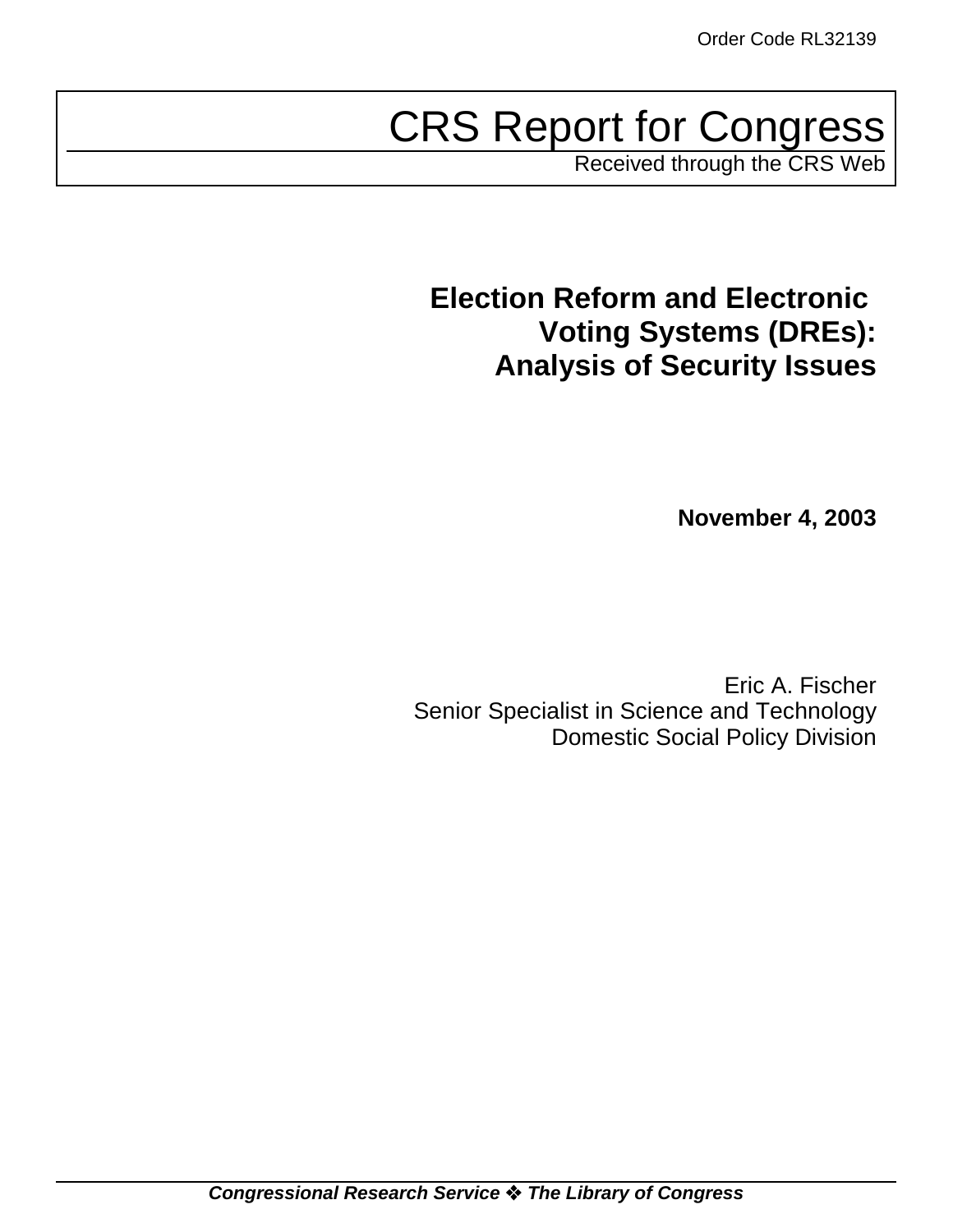# CRS Report for Congress

Received through the CRS Web

# **Election Reform and Electronic Voting Systems (DREs): Analysis of Security Issues**

**November 4, 2003**

Eric A. Fischer Senior Specialist in Science and Technology Domestic Social Policy Division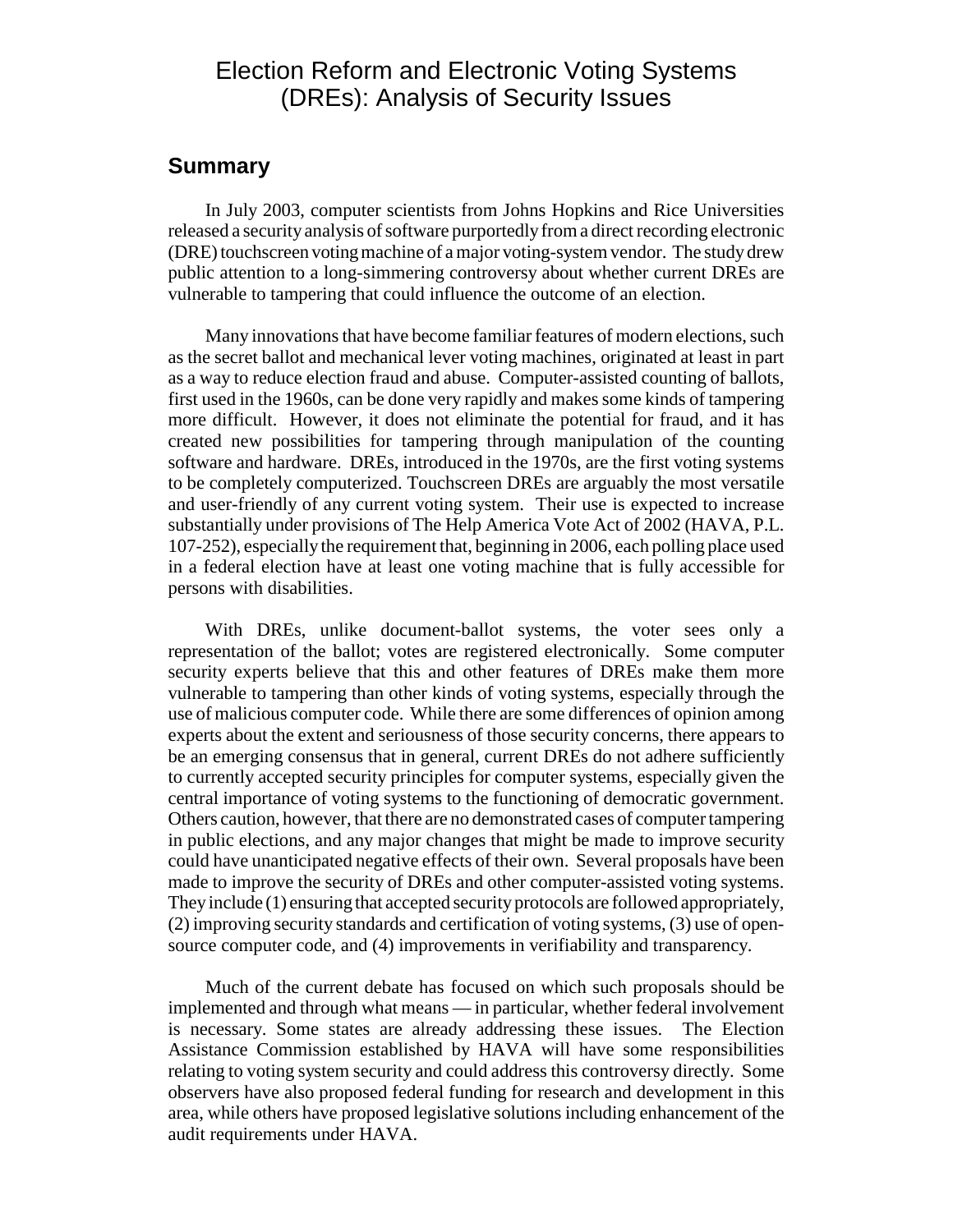# Election Reform and Electronic Voting Systems (DREs): Analysis of Security Issues

# **Summary**

In July 2003, computer scientists from Johns Hopkins and Rice Universities released a security analysis of software purportedly from a direct recording electronic (DRE) touchscreen voting machine of a major voting-system vendor. The study drew public attention to a long-simmering controversy about whether current DREs are vulnerable to tampering that could influence the outcome of an election.

Many innovations that have become familiar features of modern elections, such as the secret ballot and mechanical lever voting machines, originated at least in part as a way to reduce election fraud and abuse. Computer-assisted counting of ballots, first used in the 1960s, can be done very rapidly and makes some kinds of tampering more difficult. However, it does not eliminate the potential for fraud, and it has created new possibilities for tampering through manipulation of the counting software and hardware. DREs, introduced in the 1970s, are the first voting systems to be completely computerized. Touchscreen DREs are arguably the most versatile and user-friendly of any current voting system. Their use is expected to increase substantially under provisions of The Help America Vote Act of 2002 (HAVA, P.L. 107-252), especially the requirement that, beginning in 2006, each polling place used in a federal election have at least one voting machine that is fully accessible for persons with disabilities.

With DREs, unlike document-ballot systems, the voter sees only a representation of the ballot; votes are registered electronically. Some computer security experts believe that this and other features of DREs make them more vulnerable to tampering than other kinds of voting systems, especially through the use of malicious computer code. While there are some differences of opinion among experts about the extent and seriousness of those security concerns, there appears to be an emerging consensus that in general, current DREs do not adhere sufficiently to currently accepted security principles for computer systems, especially given the central importance of voting systems to the functioning of democratic government. Others caution, however, that there are no demonstrated cases of computer tampering in public elections, and any major changes that might be made to improve security could have unanticipated negative effects of their own. Several proposals have been made to improve the security of DREs and other computer-assisted voting systems. They include (1) ensuring that accepted security protocols are followed appropriately, (2) improving security standards and certification of voting systems, (3) use of opensource computer code, and (4) improvements in verifiability and transparency.

Much of the current debate has focused on which such proposals should be implemented and through what means — in particular, whether federal involvement is necessary. Some states are already addressing these issues. The Election Assistance Commission established by HAVA will have some responsibilities relating to voting system security and could address this controversy directly. Some observers have also proposed federal funding for research and development in this area, while others have proposed legislative solutions including enhancement of the audit requirements under HAVA.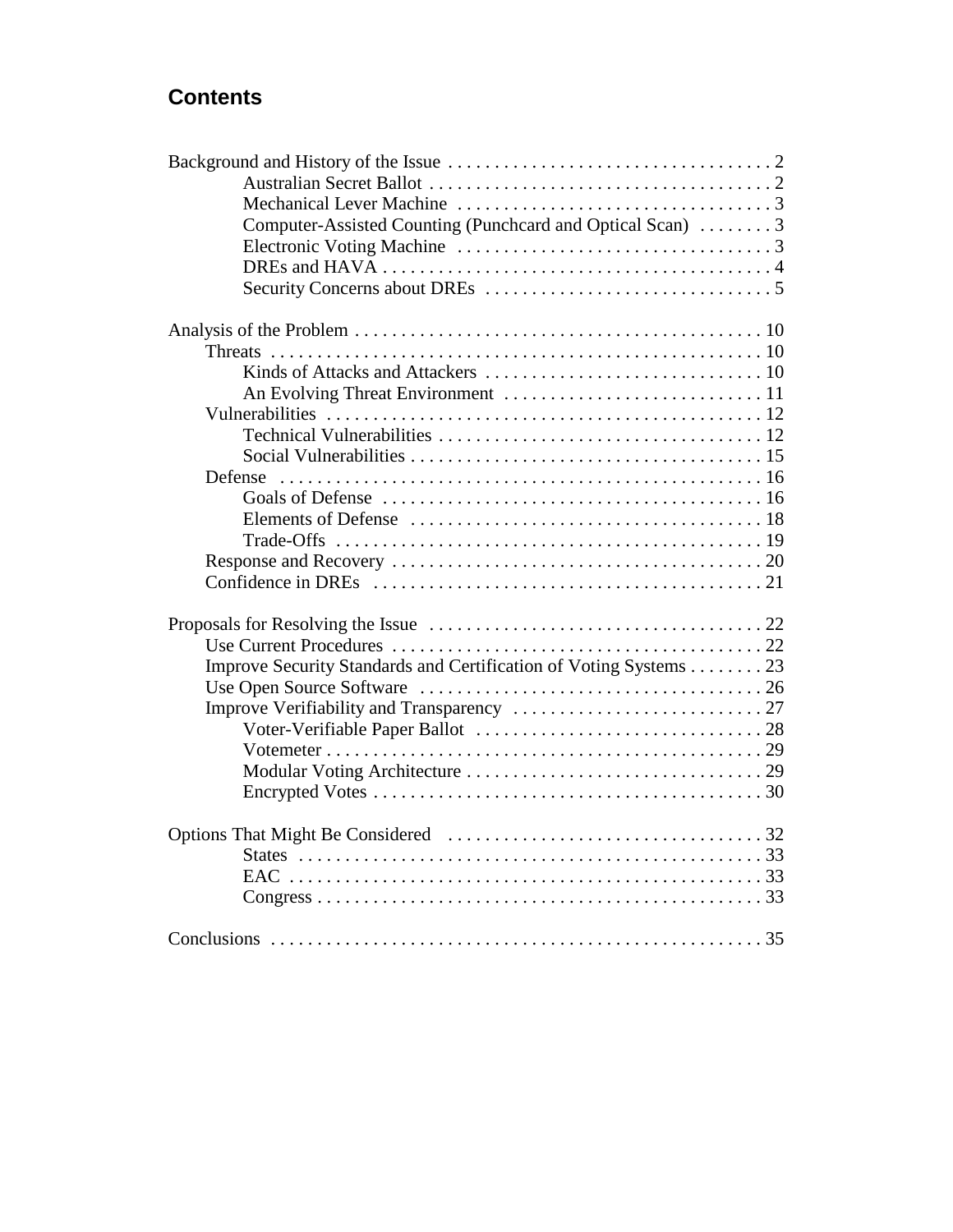# **Contents**

| Computer-Assisted Counting (Punchcard and Optical Scan) 3         |  |  |
|-------------------------------------------------------------------|--|--|
|                                                                   |  |  |
|                                                                   |  |  |
|                                                                   |  |  |
|                                                                   |  |  |
|                                                                   |  |  |
|                                                                   |  |  |
|                                                                   |  |  |
|                                                                   |  |  |
|                                                                   |  |  |
|                                                                   |  |  |
|                                                                   |  |  |
|                                                                   |  |  |
|                                                                   |  |  |
|                                                                   |  |  |
|                                                                   |  |  |
|                                                                   |  |  |
|                                                                   |  |  |
|                                                                   |  |  |
|                                                                   |  |  |
|                                                                   |  |  |
| Improve Security Standards and Certification of Voting Systems 23 |  |  |
|                                                                   |  |  |
|                                                                   |  |  |
|                                                                   |  |  |
|                                                                   |  |  |
|                                                                   |  |  |
|                                                                   |  |  |
|                                                                   |  |  |
|                                                                   |  |  |
|                                                                   |  |  |
|                                                                   |  |  |
|                                                                   |  |  |
|                                                                   |  |  |
|                                                                   |  |  |
|                                                                   |  |  |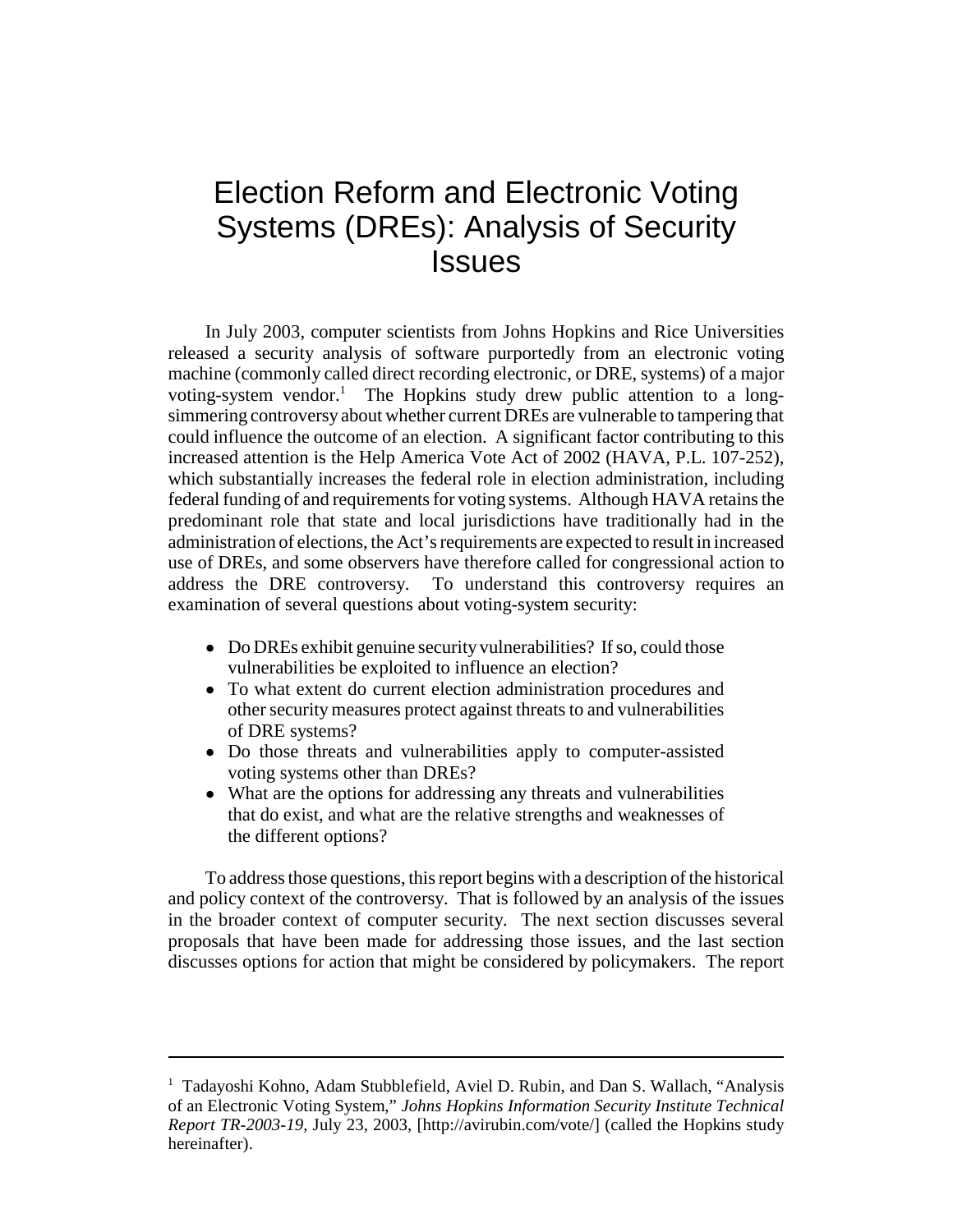# Election Reform and Electronic Voting Systems (DREs): Analysis of Security **Issues**

In July 2003, computer scientists from Johns Hopkins and Rice Universities released a security analysis of software purportedly from an electronic voting machine (commonly called direct recording electronic, or DRE, systems) of a major voting-system vendor.<sup>1</sup> The Hopkins study drew public attention to a longsimmering controversy about whether current DREs are vulnerable to tampering that could influence the outcome of an election. A significant factor contributing to this increased attention is the Help America Vote Act of 2002 (HAVA, P.L. 107-252), which substantially increases the federal role in election administration, including federal funding of and requirements for voting systems. Although HAVA retains the predominant role that state and local jurisdictions have traditionally had in the administration of elections, the Act's requirements are expected to result in increased use of DREs, and some observers have therefore called for congressional action to address the DRE controversy. To understand this controversy requires an examination of several questions about voting-system security:

- Do DREs exhibit genuine security vulnerabilities? If so, could those vulnerabilities be exploited to influence an election?
- To what extent do current election administration procedures and other security measures protect against threats to and vulnerabilities of DRE systems?
- ! Do those threats and vulnerabilities apply to computer-assisted voting systems other than DREs?
- ! What are the options for addressing any threats and vulnerabilities that do exist, and what are the relative strengths and weaknesses of the different options?

To address those questions, this report begins with a description of the historical and policy context of the controversy. That is followed by an analysis of the issues in the broader context of computer security. The next section discusses several proposals that have been made for addressing those issues, and the last section discusses options for action that might be considered by policymakers. The report

<sup>&</sup>lt;sup>1</sup> Tadayoshi Kohno, Adam Stubblefield, Aviel D. Rubin, and Dan S. Wallach, "Analysis of an Electronic Voting System," *Johns Hopkins Information Security Institute Technical Report TR-2003-19,* July 23, 2003, [http://avirubin.com/vote/] (called the Hopkins study hereinafter).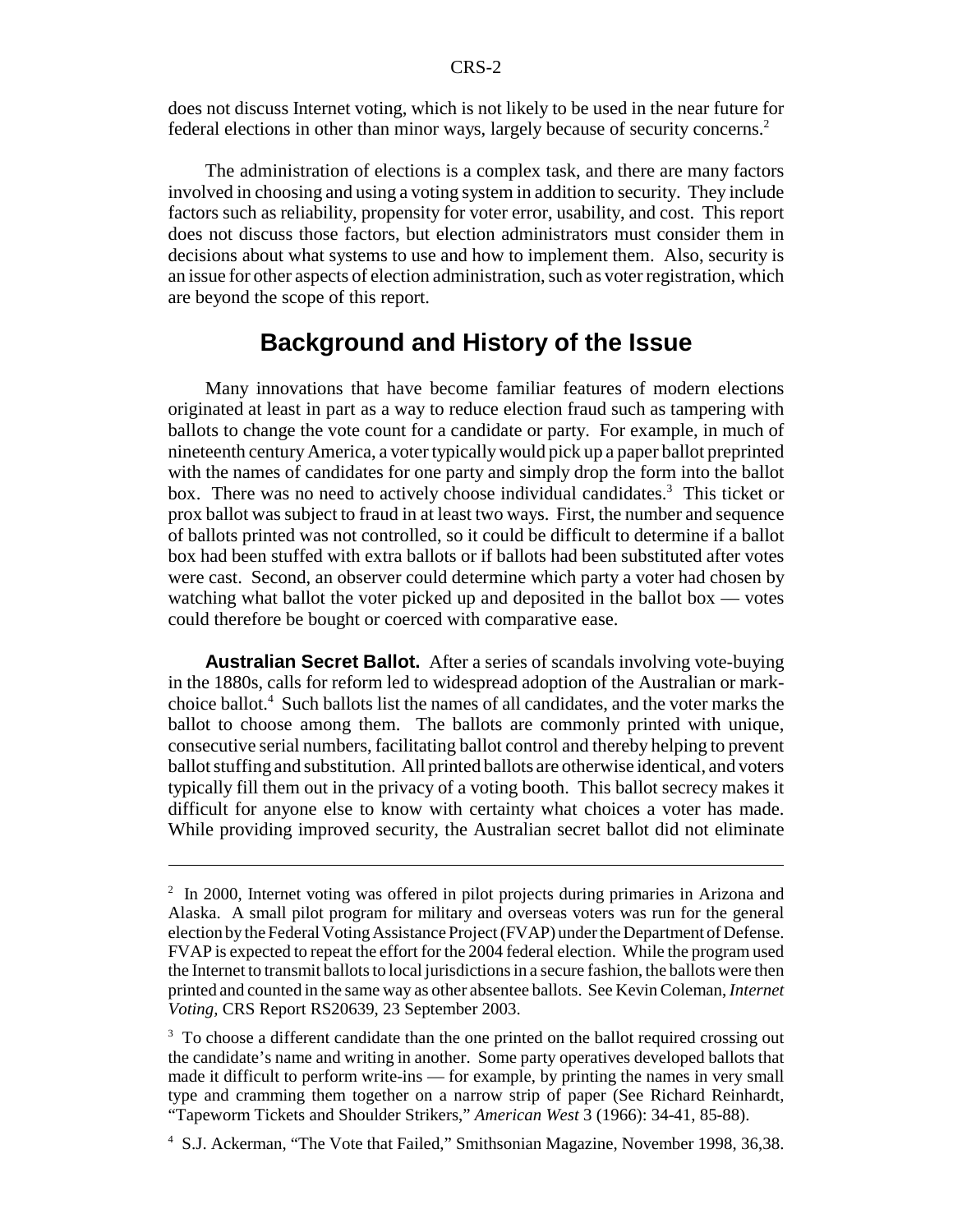does not discuss Internet voting, which is not likely to be used in the near future for federal elections in other than minor ways, largely because of security concerns.<sup>2</sup>

The administration of elections is a complex task, and there are many factors involved in choosing and using a voting system in addition to security. They include factors such as reliability, propensity for voter error, usability, and cost. This report does not discuss those factors, but election administrators must consider them in decisions about what systems to use and how to implement them. Also, security is an issue for other aspects of election administration, such as voter registration, which are beyond the scope of this report.

# **Background and History of the Issue**

Many innovations that have become familiar features of modern elections originated at least in part as a way to reduce election fraud such as tampering with ballots to change the vote count for a candidate or party. For example, in much of nineteenth century America, a voter typically would pick up a paper ballot preprinted with the names of candidates for one party and simply drop the form into the ballot box. There was no need to actively choose individual candidates.<sup>3</sup> This ticket or prox ballot was subject to fraud in at least two ways. First, the number and sequence of ballots printed was not controlled, so it could be difficult to determine if a ballot box had been stuffed with extra ballots or if ballots had been substituted after votes were cast. Second, an observer could determine which party a voter had chosen by watching what ballot the voter picked up and deposited in the ballot box — votes could therefore be bought or coerced with comparative ease.

**Australian Secret Ballot.** After a series of scandals involving vote-buying in the 1880s, calls for reform led to widespread adoption of the Australian or markchoice ballot.4 Such ballots list the names of all candidates, and the voter marks the ballot to choose among them. The ballots are commonly printed with unique, consecutive serial numbers, facilitating ballot control and thereby helping to prevent ballot stuffing and substitution. All printed ballots are otherwise identical, and voters typically fill them out in the privacy of a voting booth. This ballot secrecy makes it difficult for anyone else to know with certainty what choices a voter has made. While providing improved security, the Australian secret ballot did not eliminate

<sup>&</sup>lt;sup>2</sup> In 2000, Internet voting was offered in pilot projects during primaries in Arizona and Alaska. A small pilot program for military and overseas voters was run for the general election by the Federal Voting Assistance Project (FVAP) under the Department of Defense. FVAP is expected to repeat the effort for the 2004 federal election. While the program used the Internet to transmit ballots to local jurisdictions in a secure fashion, the ballots were then printed and counted in the same way as other absentee ballots. See Kevin Coleman, *Internet Voting,* CRS Report RS20639, 23 September 2003.

<sup>&</sup>lt;sup>3</sup> To choose a different candidate than the one printed on the ballot required crossing out the candidate's name and writing in another. Some party operatives developed ballots that made it difficult to perform write-ins — for example, by printing the names in very small type and cramming them together on a narrow strip of paper (See Richard Reinhardt, "Tapeworm Tickets and Shoulder Strikers," *American West* 3 (1966): 34-41, 85-88).

<sup>&</sup>lt;sup>4</sup> S.J. Ackerman, "The Vote that Failed," Smithsonian Magazine, November 1998, 36,38.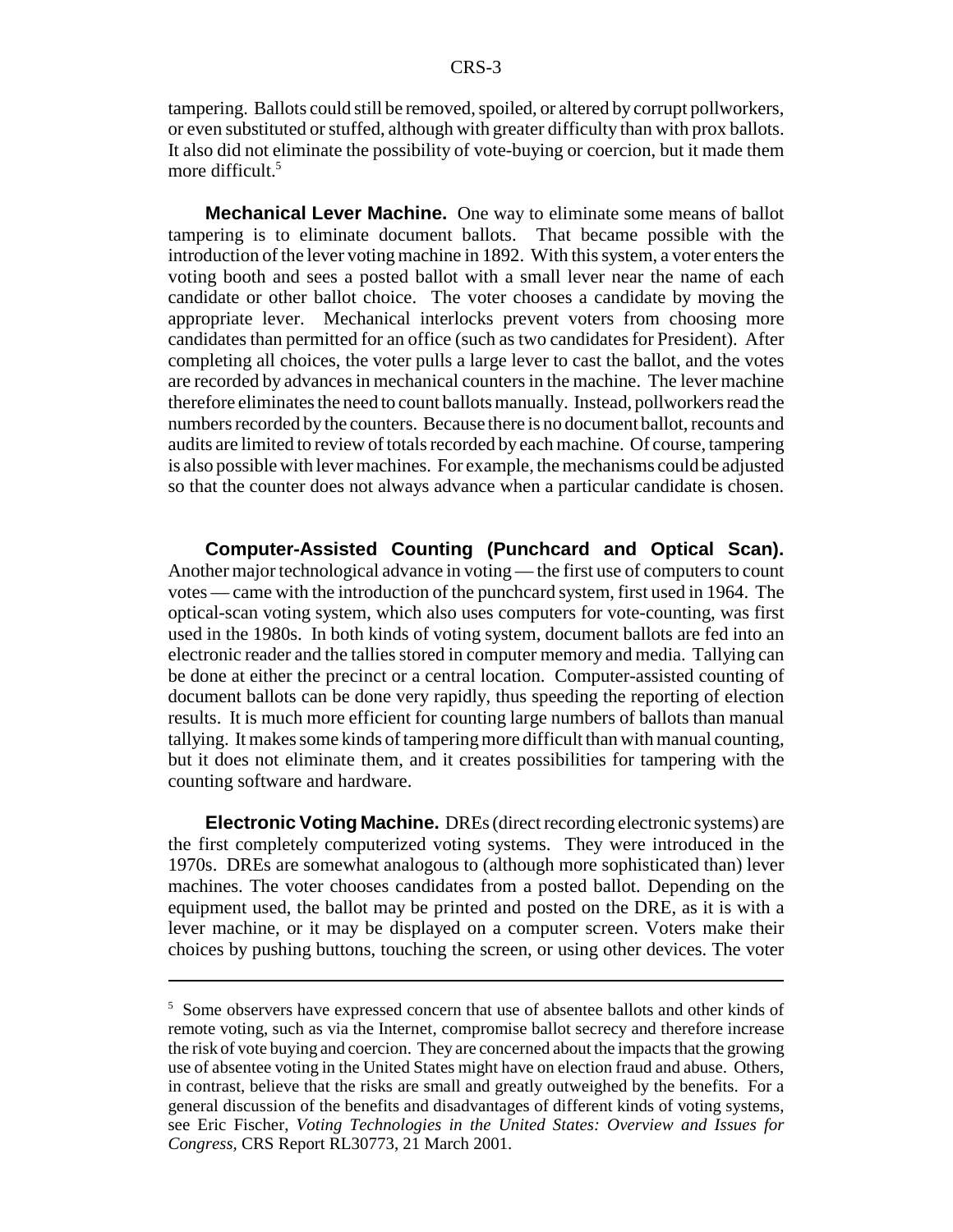tampering. Ballots could still be removed, spoiled, or altered by corrupt pollworkers, or even substituted or stuffed, although with greater difficulty than with prox ballots. It also did not eliminate the possibility of vote-buying or coercion, but it made them more difficult.<sup>5</sup>

**Mechanical Lever Machine.** One way to eliminate some means of ballot tampering is to eliminate document ballots. That became possible with the introduction of the lever voting machine in 1892. With this system, a voter enters the voting booth and sees a posted ballot with a small lever near the name of each candidate or other ballot choice. The voter chooses a candidate by moving the appropriate lever. Mechanical interlocks prevent voters from choosing more candidates than permitted for an office (such as two candidates for President). After completing all choices, the voter pulls a large lever to cast the ballot, and the votes are recorded by advances in mechanical counters in the machine. The lever machine therefore eliminates the need to count ballots manually. Instead, pollworkers read the numbers recorded by the counters. Because there is no document ballot, recounts and audits are limited to review of totals recorded by each machine. Of course, tampering is also possible with lever machines. For example, the mechanisms could be adjusted so that the counter does not always advance when a particular candidate is chosen.

**Computer-Assisted Counting (Punchcard and Optical Scan).** Another major technological advance in voting — the first use of computers to count votes — came with the introduction of the punchcard system, first used in 1964. The optical-scan voting system, which also uses computers for vote-counting, was first used in the 1980s. In both kinds of voting system, document ballots are fed into an electronic reader and the tallies stored in computer memory and media. Tallying can be done at either the precinct or a central location. Computer-assisted counting of document ballots can be done very rapidly, thus speeding the reporting of election results. It is much more efficient for counting large numbers of ballots than manual tallying. It makes some kinds of tampering more difficult than with manual counting, but it does not eliminate them, and it creates possibilities for tampering with the counting software and hardware.

**Electronic Voting Machine.** DREs (direct recording electronic systems) are the first completely computerized voting systems. They were introduced in the 1970s. DREs are somewhat analogous to (although more sophisticated than) lever machines. The voter chooses candidates from a posted ballot. Depending on the equipment used, the ballot may be printed and posted on the DRE, as it is with a lever machine, or it may be displayed on a computer screen. Voters make their choices by pushing buttons, touching the screen, or using other devices. The voter

<sup>&</sup>lt;sup>5</sup> Some observers have expressed concern that use of absentee ballots and other kinds of remote voting, such as via the Internet, compromise ballot secrecy and therefore increase the risk of vote buying and coercion. They are concerned about the impacts that the growing use of absentee voting in the United States might have on election fraud and abuse. Others, in contrast, believe that the risks are small and greatly outweighed by the benefits. For a general discussion of the benefits and disadvantages of different kinds of voting systems, see Eric Fischer, *Voting Technologies in the United States: Overview and Issues for Congress,* CRS Report RL30773, 21 March 2001.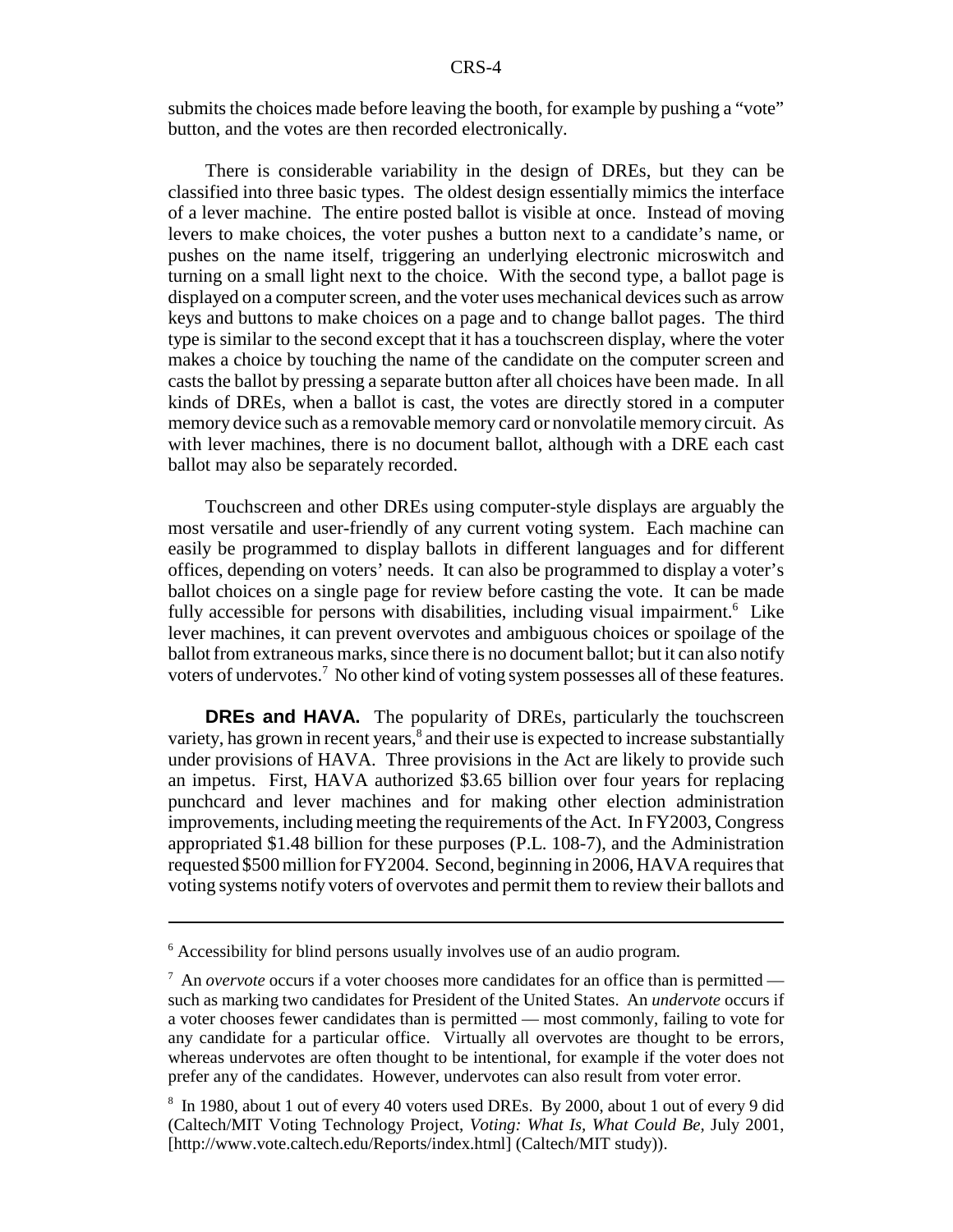submits the choices made before leaving the booth, for example by pushing a "vote" button, and the votes are then recorded electronically.

There is considerable variability in the design of DREs, but they can be classified into three basic types. The oldest design essentially mimics the interface of a lever machine. The entire posted ballot is visible at once. Instead of moving levers to make choices, the voter pushes a button next to a candidate's name, or pushes on the name itself, triggering an underlying electronic microswitch and turning on a small light next to the choice. With the second type, a ballot page is displayed on a computer screen, and the voter uses mechanical devices such as arrow keys and buttons to make choices on a page and to change ballot pages. The third type is similar to the second except that it has a touchscreen display, where the voter makes a choice by touching the name of the candidate on the computer screen and casts the ballot by pressing a separate button after all choices have been made. In all kinds of DREs, when a ballot is cast, the votes are directly stored in a computer memory device such as a removable memory card or nonvolatile memory circuit. As with lever machines, there is no document ballot, although with a DRE each cast ballot may also be separately recorded.

Touchscreen and other DREs using computer-style displays are arguably the most versatile and user-friendly of any current voting system. Each machine can easily be programmed to display ballots in different languages and for different offices, depending on voters' needs. It can also be programmed to display a voter's ballot choices on a single page for review before casting the vote. It can be made fully accessible for persons with disabilities, including visual impairment.<sup>6</sup> Like lever machines, it can prevent overvotes and ambiguous choices or spoilage of the ballot from extraneous marks, since there is no document ballot; but it can also notify voters of undervotes.<sup>7</sup> No other kind of voting system possesses all of these features.

**DREs and HAVA.** The popularity of DREs, particularly the touchscreen variety, has grown in recent years,<sup>8</sup> and their use is expected to increase substantially under provisions of HAVA. Three provisions in the Act are likely to provide such an impetus. First, HAVA authorized \$3.65 billion over four years for replacing punchcard and lever machines and for making other election administration improvements, including meeting the requirements of the Act. In FY2003, Congress appropriated \$1.48 billion for these purposes (P.L. 108-7), and the Administration requested \$500 million for FY2004. Second, beginning in 2006, HAVA requires that voting systems notify voters of overvotes and permit them to review their ballots and

<sup>6</sup> Accessibility for blind persons usually involves use of an audio program.

<sup>&</sup>lt;sup>7</sup> An *overvote* occurs if a voter chooses more candidates for an office than is permitted such as marking two candidates for President of the United States. An *undervote* occurs if a voter chooses fewer candidates than is permitted — most commonly, failing to vote for any candidate for a particular office. Virtually all overvotes are thought to be errors, whereas undervotes are often thought to be intentional, for example if the voter does not prefer any of the candidates. However, undervotes can also result from voter error.

<sup>&</sup>lt;sup>8</sup> In 1980, about 1 out of every 40 voters used DREs. By 2000, about 1 out of every 9 did (Caltech/MIT Voting Technology Project, *Voting: What Is, What Could Be,* July 2001, [http://www.vote.caltech.edu/Reports/index.html] (Caltech/MIT study)).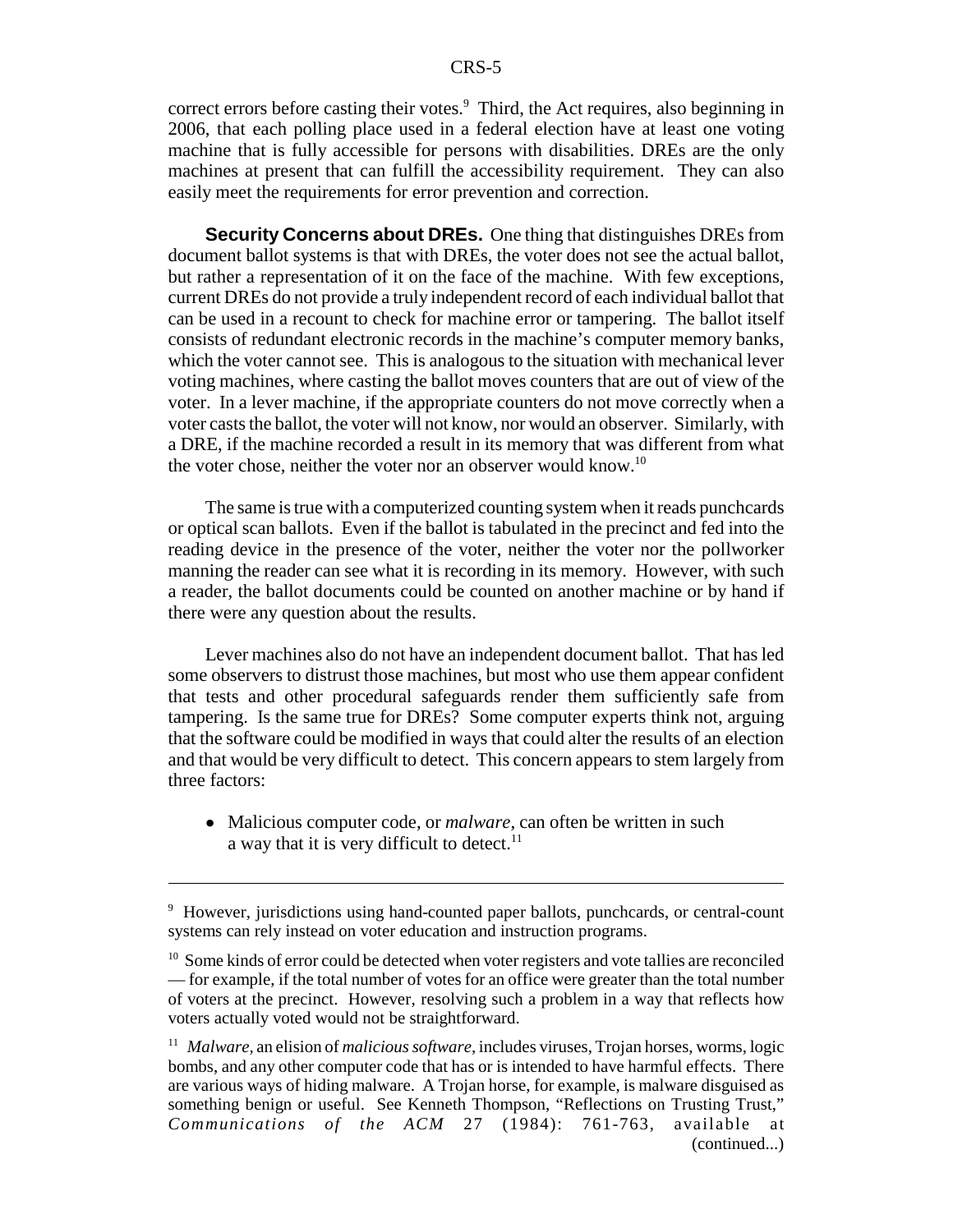correct errors before casting their votes.<sup>9</sup> Third, the Act requires, also beginning in 2006, that each polling place used in a federal election have at least one voting machine that is fully accessible for persons with disabilities. DREs are the only machines at present that can fulfill the accessibility requirement. They can also easily meet the requirements for error prevention and correction.

**Security Concerns about DREs.** One thing that distinguishes DREs from document ballot systems is that with DREs, the voter does not see the actual ballot, but rather a representation of it on the face of the machine. With few exceptions, current DREs do not provide a truly independent record of each individual ballot that can be used in a recount to check for machine error or tampering. The ballot itself consists of redundant electronic records in the machine's computer memory banks, which the voter cannot see. This is analogous to the situation with mechanical lever voting machines, where casting the ballot moves counters that are out of view of the voter. In a lever machine, if the appropriate counters do not move correctly when a voter casts the ballot, the voter will not know, nor would an observer. Similarly, with a DRE, if the machine recorded a result in its memory that was different from what the voter chose, neither the voter nor an observer would know.<sup>10</sup>

The same is true with a computerized counting system when it reads punchcards or optical scan ballots. Even if the ballot is tabulated in the precinct and fed into the reading device in the presence of the voter, neither the voter nor the pollworker manning the reader can see what it is recording in its memory. However, with such a reader, the ballot documents could be counted on another machine or by hand if there were any question about the results.

Lever machines also do not have an independent document ballot. That has led some observers to distrust those machines, but most who use them appear confident that tests and other procedural safeguards render them sufficiently safe from tampering. Is the same true for DREs? Some computer experts think not, arguing that the software could be modified in ways that could alter the results of an election and that would be very difficult to detect. This concern appears to stem largely from three factors:

• Malicious computer code, or *malware*, can often be written in such a way that it is very difficult to detect. $11$ 

<sup>&</sup>lt;sup>9</sup> However, jurisdictions using hand-counted paper ballots, punchcards, or central-count systems can rely instead on voter education and instruction programs.

<sup>&</sup>lt;sup>10</sup> Some kinds of error could be detected when voter registers and vote tallies are reconciled — for example, if the total number of votes for an office were greater than the total number of voters at the precinct. However, resolving such a problem in a way that reflects how voters actually voted would not be straightforward.

<sup>11</sup> *Malware,* an elision of *malicious software,* includes viruses, Trojan horses, worms, logic bombs, and any other computer code that has or is intended to have harmful effects. There are various ways of hiding malware. A Trojan horse, for example, is malware disguised as something benign or useful. See Kenneth Thompson, "Reflections on Trusting Trust," *Communications of the ACM* 27 (1984): 761-763, available at (continued...)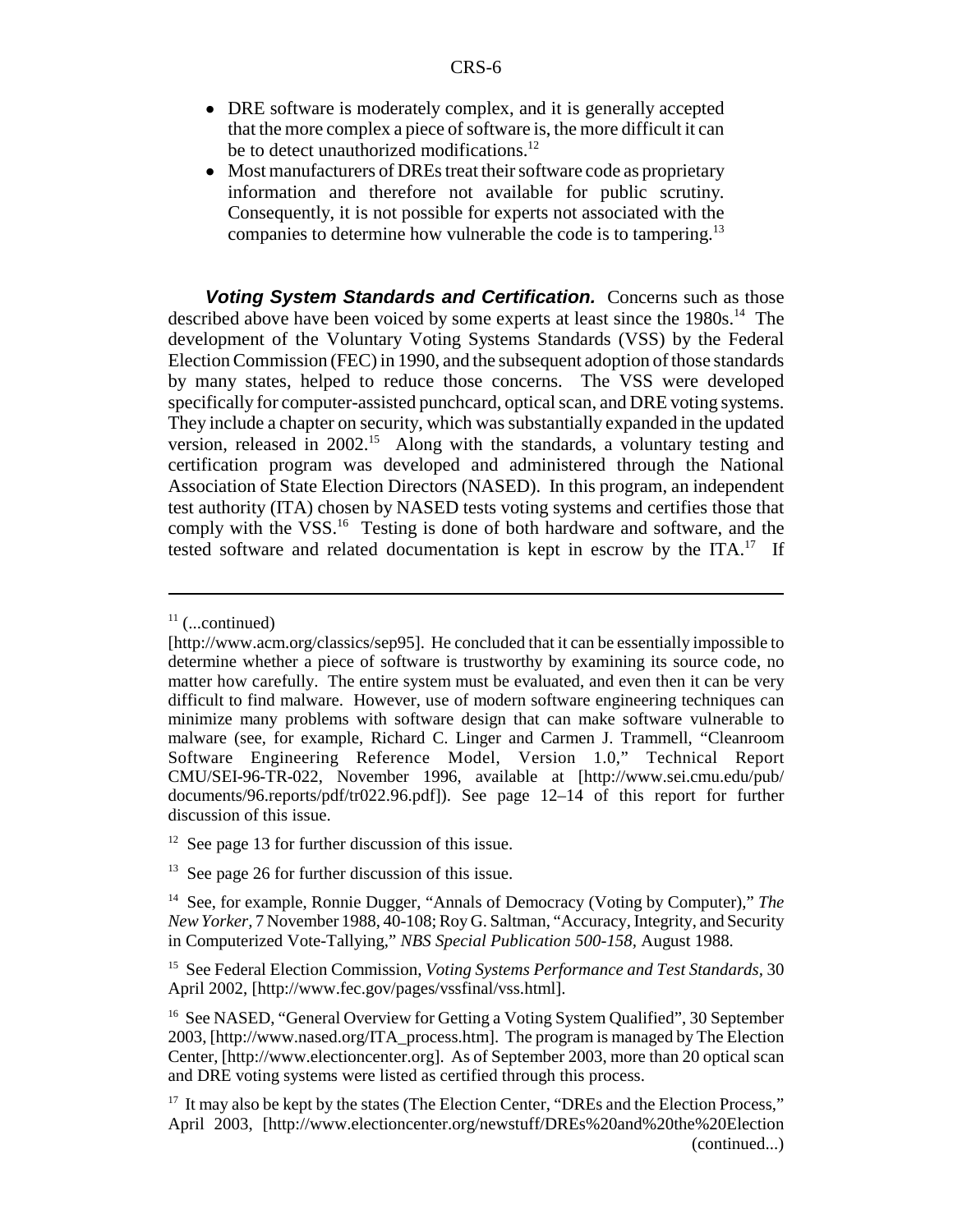- DRE software is moderately complex, and it is generally accepted that the more complex a piece of software is, the more difficult it can be to detect unauthorized modifications.<sup>12</sup>
- Most manufacturers of DREs treat their software code as proprietary information and therefore not available for public scrutiny. Consequently, it is not possible for experts not associated with the companies to determine how vulnerable the code is to tampering.<sup>13</sup>

*Voting System Standards and Certification.* Concerns such as those described above have been voiced by some experts at least since the  $1980s$ <sup>14</sup>. The development of the Voluntary Voting Systems Standards (VSS) by the Federal Election Commission (FEC) in 1990, and the subsequent adoption of those standards by many states, helped to reduce those concerns. The VSS were developed specifically for computer-assisted punchcard, optical scan, and DRE voting systems. They include a chapter on security, which was substantially expanded in the updated version, released in 2002.<sup>15</sup> Along with the standards, a voluntary testing and certification program was developed and administered through the National Association of State Election Directors (NASED). In this program, an independent test authority (ITA) chosen by NASED tests voting systems and certifies those that comply with the VSS.<sup>16</sup> Testing is done of both hardware and software, and the tested software and related documentation is kept in escrow by the  $ITA$ <sup>17</sup> If

- $12$  See page 13 for further discussion of this issue.
- $13$  See page 26 for further discussion of this issue.

 $11$  (...continued)

<sup>[</sup>http://www.acm.org/classics/sep95]. He concluded that it can be essentially impossible to determine whether a piece of software is trustworthy by examining its source code, no matter how carefully. The entire system must be evaluated, and even then it can be very difficult to find malware. However, use of modern software engineering techniques can minimize many problems with software design that can make software vulnerable to malware (see, for example, Richard C. Linger and Carmen J. Trammell, "Cleanroom Software Engineering Reference Model, Version 1.0," Technical Report CMU/SEI-96-TR-022, November 1996, available at [http://www.sei.cmu.edu/pub/ documents/96.reports/pdf/tr022.96.pdf]). See page 12–14 of this report for further discussion of this issue.

<sup>14</sup> See, for example, Ronnie Dugger, "Annals of Democracy (Voting by Computer)," *The New Yorker,* 7 November 1988, 40-108; Roy G. Saltman, "Accuracy, Integrity, and Security in Computerized Vote-Tallying," *NBS Special Publication 500-158,* August 1988.

<sup>15</sup> See Federal Election Commission, *Voting Systems Performance and Test Standards,* 30 April 2002, [http://www.fec.gov/pages/vssfinal/vss.html].

<sup>&</sup>lt;sup>16</sup> See NASED, "General Overview for Getting a Voting System Qualified", 30 September 2003, [http://www.nased.org/ITA\_process.htm]. The program is managed by The Election Center, [http://www.electioncenter.org]. As of September 2003, more than 20 optical scan and DRE voting systems were listed as certified through this process.

<sup>&</sup>lt;sup>17</sup> It may also be kept by the states (The Election Center, "DREs and the Election Process," April 2003, [http://www.electioncenter.org/newstuff/DREs%20and%20the%20Election (continued...)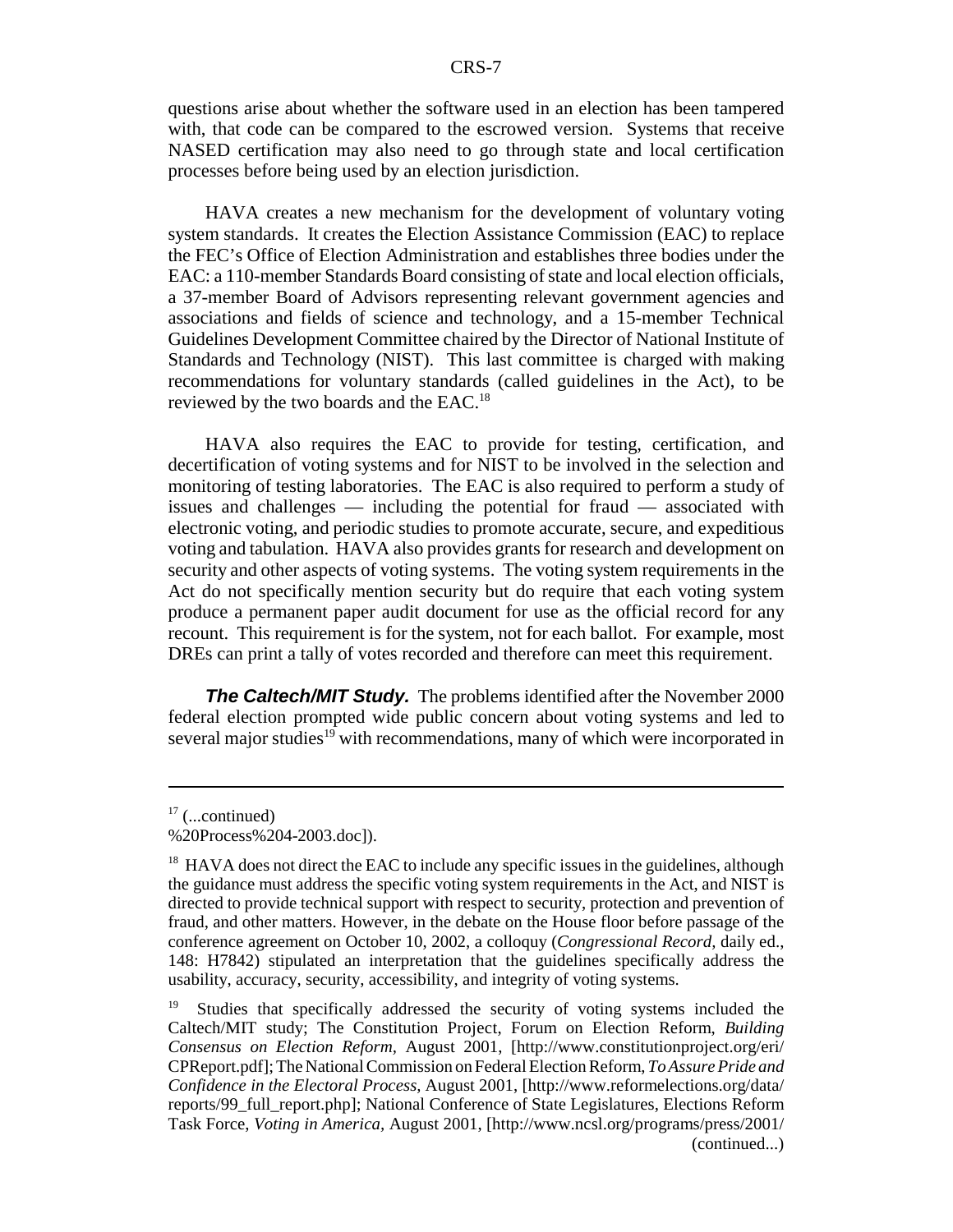questions arise about whether the software used in an election has been tampered with, that code can be compared to the escrowed version. Systems that receive NASED certification may also need to go through state and local certification processes before being used by an election jurisdiction.

HAVA creates a new mechanism for the development of voluntary voting system standards. It creates the Election Assistance Commission (EAC) to replace the FEC's Office of Election Administration and establishes three bodies under the EAC: a 110-member Standards Board consisting of state and local election officials, a 37-member Board of Advisors representing relevant government agencies and associations and fields of science and technology, and a 15-member Technical Guidelines Development Committee chaired by the Director of National Institute of Standards and Technology (NIST). This last committee is charged with making recommendations for voluntary standards (called guidelines in the Act), to be reviewed by the two boards and the EAC.<sup>18</sup>

HAVA also requires the EAC to provide for testing, certification, and decertification of voting systems and for NIST to be involved in the selection and monitoring of testing laboratories. The EAC is also required to perform a study of issues and challenges — including the potential for fraud — associated with electronic voting, and periodic studies to promote accurate, secure, and expeditious voting and tabulation. HAVA also provides grants for research and development on security and other aspects of voting systems. The voting system requirements in the Act do not specifically mention security but do require that each voting system produce a permanent paper audit document for use as the official record for any recount. This requirement is for the system, not for each ballot. For example, most DREs can print a tally of votes recorded and therefore can meet this requirement.

*The Caltech/MIT Study.* The problems identified after the November 2000 federal election prompted wide public concern about voting systems and led to several major studies<sup>19</sup> with recommendations, many of which were incorporated in

 $17$  (...continued)

<sup>%20</sup>Process%204-2003.doc]).

<sup>&</sup>lt;sup>18</sup> HAVA does not direct the EAC to include any specific issues in the guidelines, although the guidance must address the specific voting system requirements in the Act, and NIST is directed to provide technical support with respect to security, protection and prevention of fraud, and other matters. However, in the debate on the House floor before passage of the conference agreement on October 10, 2002, a colloquy (*Congressional Record,* daily ed., 148: H7842) stipulated an interpretation that the guidelines specifically address the usability, accuracy, security, accessibility, and integrity of voting systems.

<sup>&</sup>lt;sup>19</sup> Studies that specifically addressed the security of voting systems included the Caltech/MIT study; The Constitution Project, Forum on Election Reform, *Building Consensus on Election Reform,* August 2001, [http://www.constitutionproject.org/eri/ CPReport.pdf]; The National Commission on Federal Election Reform, *To Assure Pride and Confidence in the Electoral Process,* August 2001, [http://www.reformelections.org/data/ reports/99\_full\_report.php]; National Conference of State Legislatures, Elections Reform Task Force, *Voting in America,* August 2001, [http://www.ncsl.org/programs/press/2001/ (continued...)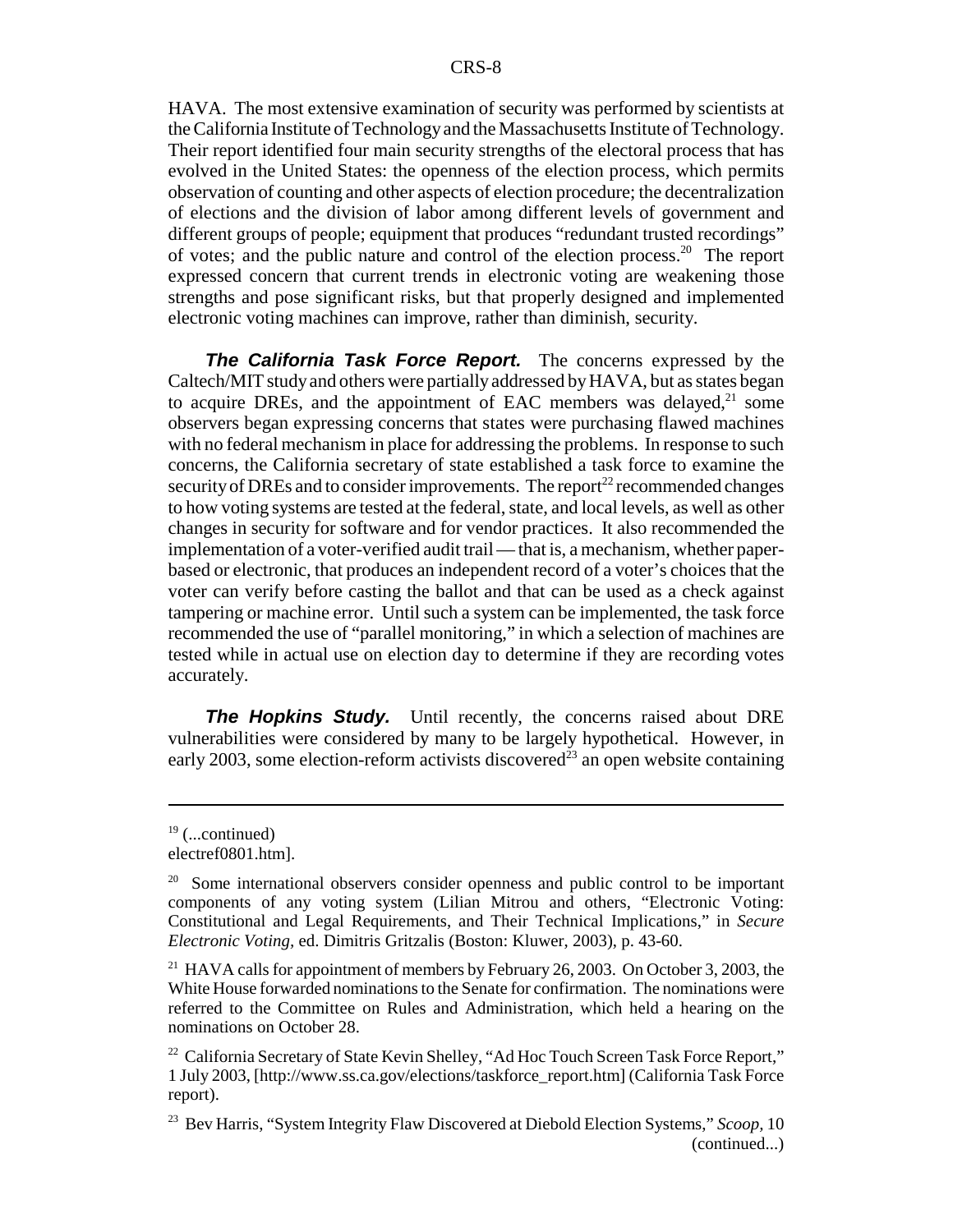HAVA. The most extensive examination of security was performed by scientists at the California Institute of Technology and the Massachusetts Institute of Technology. Their report identified four main security strengths of the electoral process that has evolved in the United States: the openness of the election process, which permits observation of counting and other aspects of election procedure; the decentralization of elections and the division of labor among different levels of government and different groups of people; equipment that produces "redundant trusted recordings" of votes; and the public nature and control of the election process.20 The report expressed concern that current trends in electronic voting are weakening those strengths and pose significant risks, but that properly designed and implemented electronic voting machines can improve, rather than diminish, security.

*The California Task Force Report.* The concerns expressed by the Caltech/MIT study and others were partially addressed by HAVA, but as states began to acquire DREs, and the appointment of EAC members was delayed, $^{21}$  some observers began expressing concerns that states were purchasing flawed machines with no federal mechanism in place for addressing the problems. In response to such concerns, the California secretary of state established a task force to examine the security of DREs and to consider improvements. The report<sup>22</sup> recommended changes to how voting systems are tested at the federal, state, and local levels, as well as other changes in security for software and for vendor practices. It also recommended the implementation of a voter-verified audit trail — that is, a mechanism, whether paperbased or electronic, that produces an independent record of a voter's choices that the voter can verify before casting the ballot and that can be used as a check against tampering or machine error. Until such a system can be implemented, the task force recommended the use of "parallel monitoring," in which a selection of machines are tested while in actual use on election day to determine if they are recording votes accurately.

**The Hopkins Study.** Until recently, the concerns raised about DRE vulnerabilities were considered by many to be largely hypothetical. However, in early 2003, some election-reform activists discovered<sup>23</sup> an open website containing

 $19$  (...continued)

electref0801.htm].

<sup>&</sup>lt;sup>20</sup> Some international observers consider openness and public control to be important components of any voting system (Lilian Mitrou and others, "Electronic Voting: Constitutional and Legal Requirements, and Their Technical Implications," in *Secure Electronic Voting,* ed. Dimitris Gritzalis (Boston: Kluwer, 2003), p. 43-60.

<sup>&</sup>lt;sup>21</sup> HAVA calls for appointment of members by February 26, 2003. On October 3, 2003, the White House forwarded nominations to the Senate for confirmation. The nominations were referred to the Committee on Rules and Administration, which held a hearing on the nominations on October 28.

<sup>&</sup>lt;sup>22</sup> California Secretary of State Kevin Shelley, "Ad Hoc Touch Screen Task Force Report," 1 July 2003, [http://www.ss.ca.gov/elections/taskforce\_report.htm] (California Task Force report).

<sup>23</sup> Bev Harris, "System Integrity Flaw Discovered at Diebold Election Systems," *Scoop,* 10 (continued...)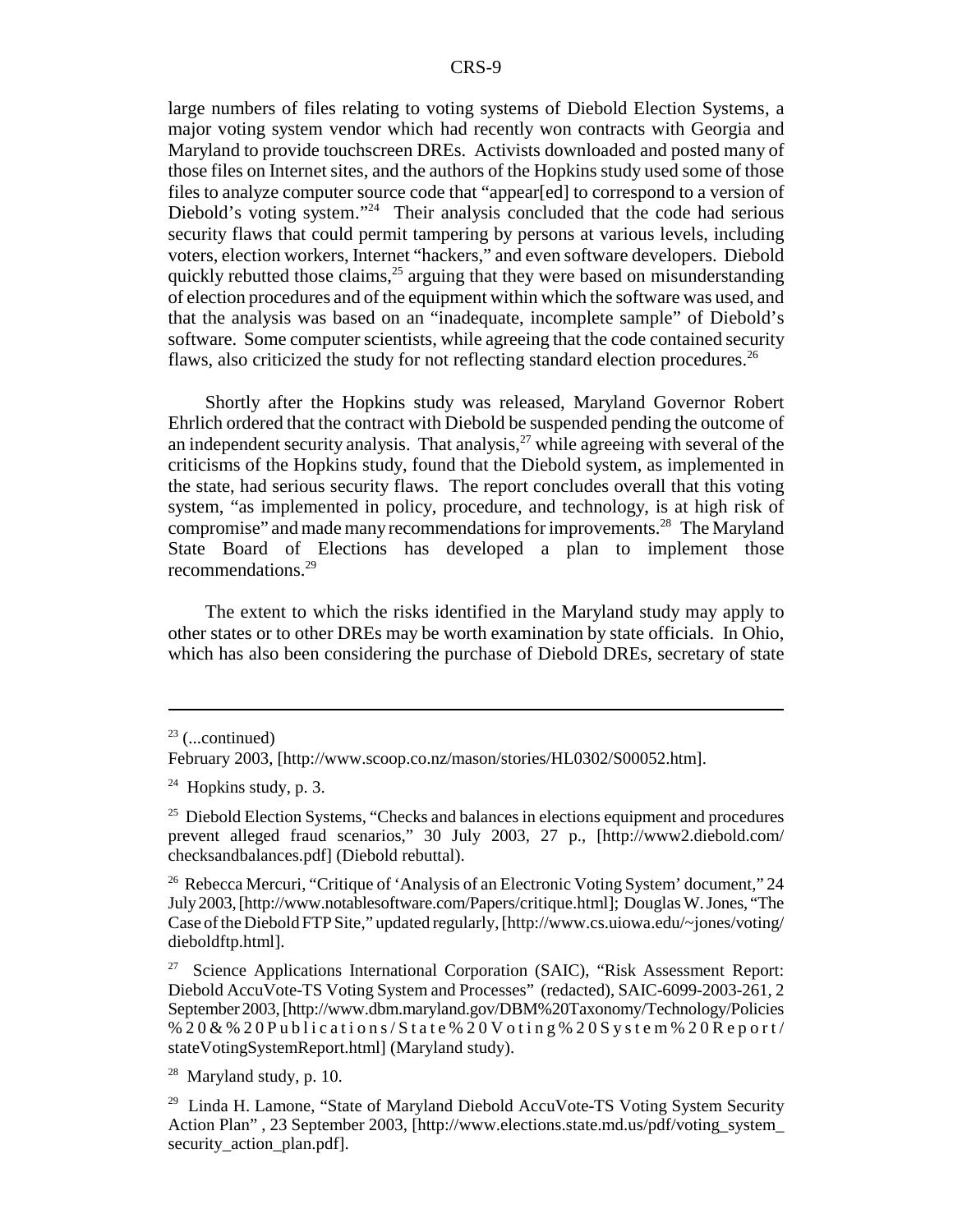large numbers of files relating to voting systems of Diebold Election Systems, a major voting system vendor which had recently won contracts with Georgia and Maryland to provide touchscreen DREs. Activists downloaded and posted many of those files on Internet sites, and the authors of the Hopkins study used some of those files to analyze computer source code that "appear[ed] to correspond to a version of Diebold's voting system."<sup>24</sup> Their analysis concluded that the code had serious security flaws that could permit tampering by persons at various levels, including voters, election workers, Internet "hackers," and even software developers. Diebold quickly rebutted those claims,  $25$  arguing that they were based on misunderstanding of election procedures and of the equipment within which the software was used, and that the analysis was based on an "inadequate, incomplete sample" of Diebold's software. Some computer scientists, while agreeing that the code contained security flaws, also criticized the study for not reflecting standard election procedures.<sup>26</sup>

Shortly after the Hopkins study was released, Maryland Governor Robert Ehrlich ordered that the contract with Diebold be suspended pending the outcome of an independent security analysis. That analysis,  $^{27}$  while agreeing with several of the criticisms of the Hopkins study, found that the Diebold system, as implemented in the state, had serious security flaws. The report concludes overall that this voting system, "as implemented in policy, procedure, and technology, is at high risk of compromise" and made many recommendations for improvements.28 The Maryland State Board of Elections has developed a plan to implement those recommendations.29

The extent to which the risks identified in the Maryland study may apply to other states or to other DREs may be worth examination by state officials. In Ohio, which has also been considering the purchase of Diebold DREs, secretary of state

 $23$  (...continued)

February 2003, [http://www.scoop.co.nz/mason/stories/HL0302/S00052.htm].

 $24$  Hopkins study, p. 3.

<sup>&</sup>lt;sup>25</sup> Diebold Election Systems, "Checks and balances in elections equipment and procedures prevent alleged fraud scenarios," 30 July 2003, 27 p., [http://www2.diebold.com/ checksandbalances.pdf] (Diebold rebuttal).

<sup>&</sup>lt;sup>26</sup> Rebecca Mercuri, "Critique of 'Analysis of an Electronic Voting System' document," 24 July 2003, [http://www.notablesoftware.com/Papers/critique.html]; Douglas W. Jones, "The Case of the Diebold FTP Site," updated regularly, [http://www.cs.uiowa.edu/~jones/voting/ dieboldftp.html].

<sup>&</sup>lt;sup>27</sup> Science Applications International Corporation (SAIC), "Risk Assessment Report: Diebold AccuVote-TS Voting System and Processes" (redacted), SAIC-6099-2003-261, 2 September 2003, [http://www.dbm.maryland.gov/DBM%20Taxonomy/Technology/Policies %20&%20Publications/State%20Voting%20System%20Report/ stateVotingSystemReport.html] (Maryland study).

 $28$  Maryland study, p. 10.

<sup>&</sup>lt;sup>29</sup> Linda H. Lamone, "State of Maryland Diebold AccuVote-TS Voting System Security Action Plan" , 23 September 2003, [http://www.elections.state.md.us/pdf/voting\_system\_ security\_action\_plan.pdf].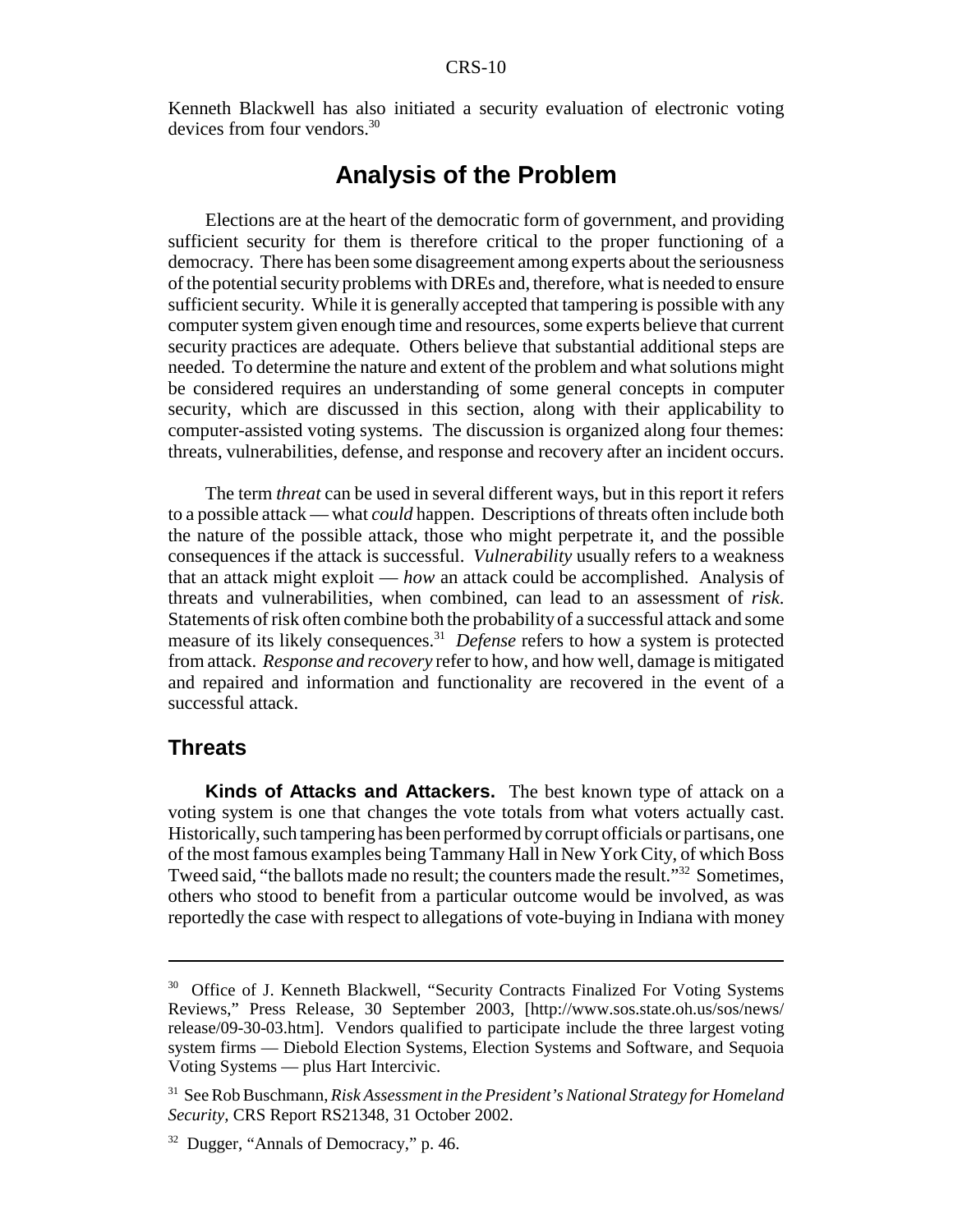Kenneth Blackwell has also initiated a security evaluation of electronic voting devices from four vendors.30

# **Analysis of the Problem**

Elections are at the heart of the democratic form of government, and providing sufficient security for them is therefore critical to the proper functioning of a democracy. There has been some disagreement among experts about the seriousness of the potential security problems with DREs and, therefore, what is needed to ensure sufficient security. While it is generally accepted that tampering is possible with any computer system given enough time and resources, some experts believe that current security practices are adequate. Others believe that substantial additional steps are needed. To determine the nature and extent of the problem and what solutions might be considered requires an understanding of some general concepts in computer security, which are discussed in this section, along with their applicability to computer-assisted voting systems. The discussion is organized along four themes: threats, vulnerabilities, defense, and response and recovery after an incident occurs.

The term *threat* can be used in several different ways, but in this report it refers to a possible attack — what *could* happen. Descriptions of threats often include both the nature of the possible attack, those who might perpetrate it, and the possible consequences if the attack is successful. *Vulnerability* usually refers to a weakness that an attack might exploit — *how* an attack could be accomplished. Analysis of threats and vulnerabilities, when combined, can lead to an assessment of *risk*. Statements of risk often combine both the probability of a successful attack and some measure of its likely consequences.31 *Defense* refers to how a system is protected from attack. *Response and recovery* refer to how, and how well, damage is mitigated and repaired and information and functionality are recovered in the event of a successful attack.

# **Threats**

**Kinds of Attacks and Attackers.** The best known type of attack on a voting system is one that changes the vote totals from what voters actually cast. Historically, such tampering has been performed by corrupt officials or partisans, one of the most famous examples being Tammany Hall in New York City, of which Boss Tweed said, "the ballots made no result; the counters made the result."32 Sometimes, others who stood to benefit from a particular outcome would be involved, as was reportedly the case with respect to allegations of vote-buying in Indiana with money

<sup>&</sup>lt;sup>30</sup> Office of J. Kenneth Blackwell, "Security Contracts Finalized For Voting Systems Reviews," Press Release, 30 September 2003, [http://www.sos.state.oh.us/sos/news/ release/09-30-03.htm]. Vendors qualified to participate include the three largest voting system firms — Diebold Election Systems, Election Systems and Software, and Sequoia Voting Systems — plus Hart Intercivic.

<sup>31</sup> See Rob Buschmann, *Risk Assessment in the President's National Strategy for Homeland Security,* CRS Report RS21348, 31 October 2002.

 $32$  Dugger, "Annals of Democracy," p. 46.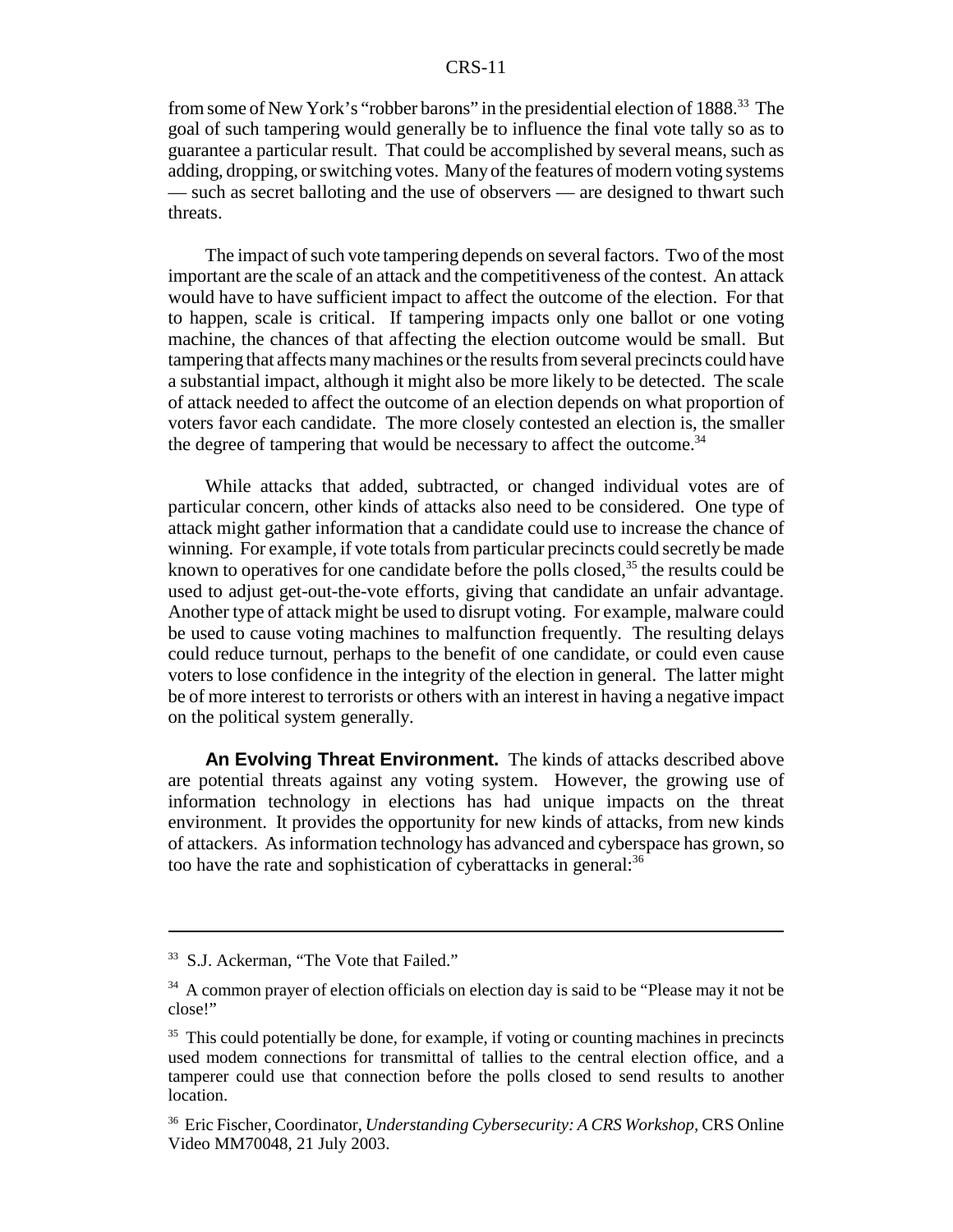from some of New York's "robber barons" in the presidential election of 1888.<sup>33</sup> The goal of such tampering would generally be to influence the final vote tally so as to guarantee a particular result. That could be accomplished by several means, such as adding, dropping, or switching votes. Many of the features of modern voting systems — such as secret balloting and the use of observers — are designed to thwart such threats.

The impact of such vote tampering depends on several factors. Two of the most important are the scale of an attack and the competitiveness of the contest. An attack would have to have sufficient impact to affect the outcome of the election. For that to happen, scale is critical. If tampering impacts only one ballot or one voting machine, the chances of that affecting the election outcome would be small. But tampering that affects many machines or the results from several precincts could have a substantial impact, although it might also be more likely to be detected. The scale of attack needed to affect the outcome of an election depends on what proportion of voters favor each candidate. The more closely contested an election is, the smaller the degree of tampering that would be necessary to affect the outcome.<sup>34</sup>

While attacks that added, subtracted, or changed individual votes are of particular concern, other kinds of attacks also need to be considered. One type of attack might gather information that a candidate could use to increase the chance of winning. For example, if vote totals from particular precincts could secretly be made known to operatives for one candidate before the polls closed, $35$  the results could be used to adjust get-out-the-vote efforts, giving that candidate an unfair advantage. Another type of attack might be used to disrupt voting. For example, malware could be used to cause voting machines to malfunction frequently. The resulting delays could reduce turnout, perhaps to the benefit of one candidate, or could even cause voters to lose confidence in the integrity of the election in general. The latter might be of more interest to terrorists or others with an interest in having a negative impact on the political system generally.

**An Evolving Threat Environment.** The kinds of attacks described above are potential threats against any voting system. However, the growing use of information technology in elections has had unique impacts on the threat environment. It provides the opportunity for new kinds of attacks, from new kinds of attackers. As information technology has advanced and cyberspace has grown, so too have the rate and sophistication of cyberattacks in general:<sup>36</sup>

<sup>&</sup>lt;sup>33</sup> S.J. Ackerman, "The Vote that Failed."

 $34$  A common prayer of election officials on election day is said to be "Please may it not be close!"

<sup>&</sup>lt;sup>35</sup> This could potentially be done, for example, if voting or counting machines in precincts used modem connections for transmittal of tallies to the central election office, and a tamperer could use that connection before the polls closed to send results to another location.

<sup>36</sup> Eric Fischer, Coordinator, *Understanding Cybersecurity: A CRS Workshop,* CRS Online Video MM70048, 21 July 2003.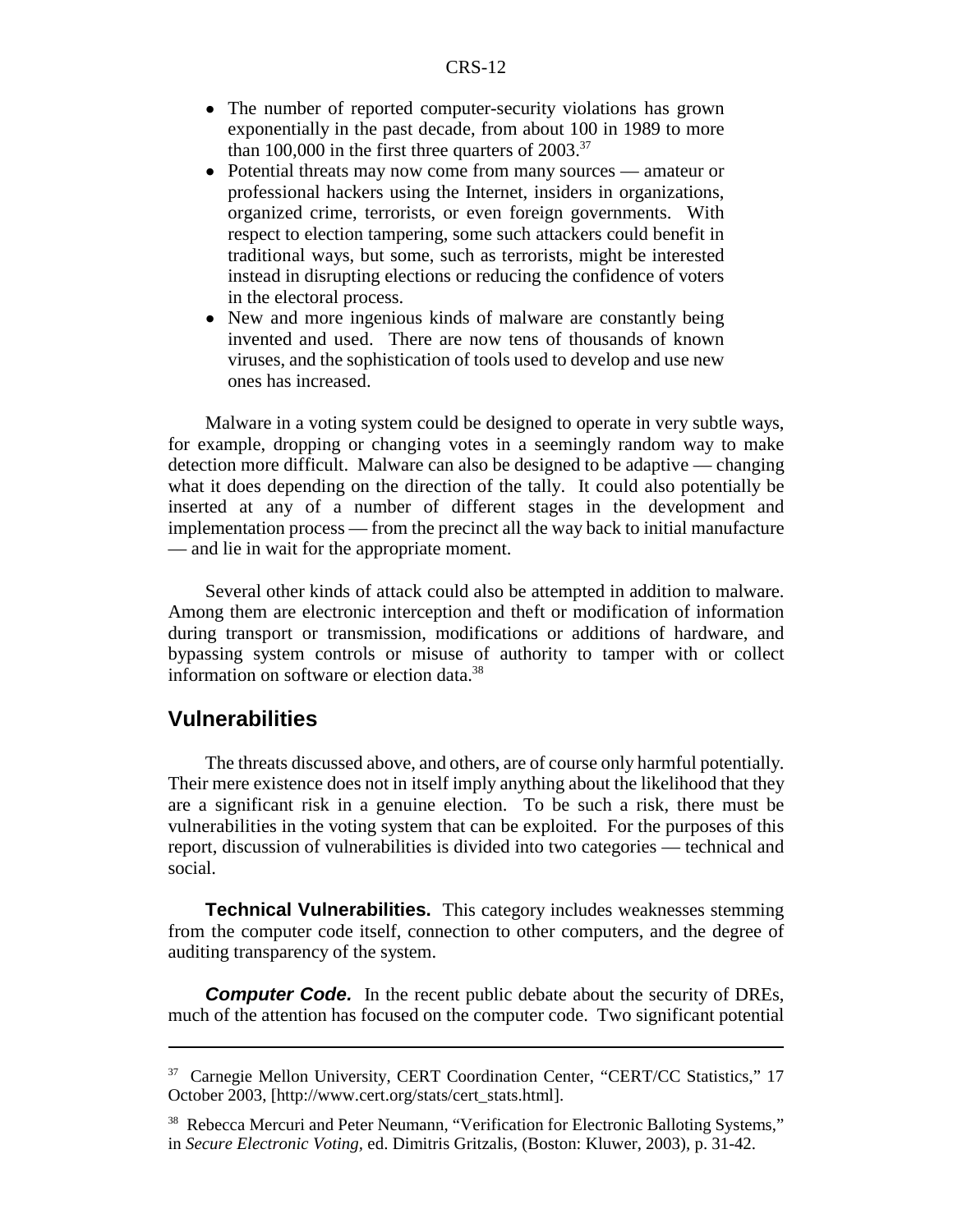- The number of reported computer-security violations has grown exponentially in the past decade, from about 100 in 1989 to more than 100,000 in the first three quarters of  $2003$ <sup>37</sup>
- Potential threats may now come from many sources amateur or professional hackers using the Internet, insiders in organizations, organized crime, terrorists, or even foreign governments. With respect to election tampering, some such attackers could benefit in traditional ways, but some, such as terrorists, might be interested instead in disrupting elections or reducing the confidence of voters in the electoral process.
- New and more ingenious kinds of malware are constantly being invented and used. There are now tens of thousands of known viruses, and the sophistication of tools used to develop and use new ones has increased.

Malware in a voting system could be designed to operate in very subtle ways, for example, dropping or changing votes in a seemingly random way to make detection more difficult. Malware can also be designed to be adaptive — changing what it does depending on the direction of the tally. It could also potentially be inserted at any of a number of different stages in the development and implementation process — from the precinct all the way back to initial manufacture — and lie in wait for the appropriate moment.

Several other kinds of attack could also be attempted in addition to malware. Among them are electronic interception and theft or modification of information during transport or transmission, modifications or additions of hardware, and bypassing system controls or misuse of authority to tamper with or collect information on software or election data.<sup>38</sup>

# **Vulnerabilities**

The threats discussed above, and others, are of course only harmful potentially. Their mere existence does not in itself imply anything about the likelihood that they are a significant risk in a genuine election. To be such a risk, there must be vulnerabilities in the voting system that can be exploited. For the purposes of this report, discussion of vulnerabilities is divided into two categories — technical and social.

**Technical Vulnerabilities.** This category includes weaknesses stemming from the computer code itself, connection to other computers, and the degree of auditing transparency of the system.

**Computer Code.** In the recent public debate about the security of DREs, much of the attention has focused on the computer code. Two significant potential

<sup>&</sup>lt;sup>37</sup> Carnegie Mellon University, CERT Coordination Center, "CERT/CC Statistics," 17 October 2003, [http://www.cert.org/stats/cert\_stats.html].

<sup>&</sup>lt;sup>38</sup> Rebecca Mercuri and Peter Neumann, "Verification for Electronic Balloting Systems," in *Secure Electronic Voting,* ed. Dimitris Gritzalis, (Boston: Kluwer, 2003), p. 31-42.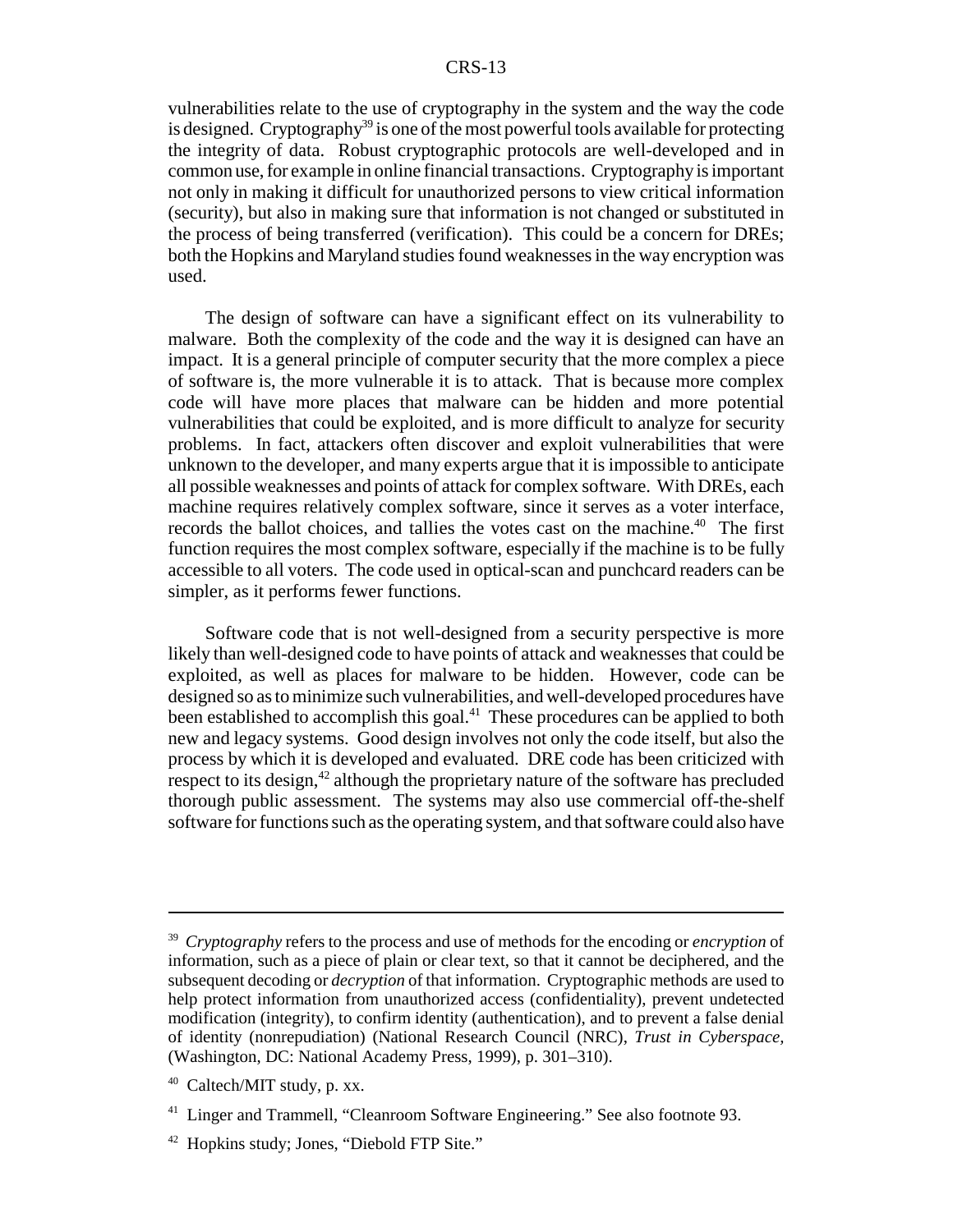vulnerabilities relate to the use of cryptography in the system and the way the code is designed. Cryptography<sup>39</sup> is one of the most powerful tools available for protecting the integrity of data. Robust cryptographic protocols are well-developed and in common use, for example in online financial transactions. Cryptography is important not only in making it difficult for unauthorized persons to view critical information (security), but also in making sure that information is not changed or substituted in the process of being transferred (verification). This could be a concern for DREs; both the Hopkins and Maryland studies found weaknesses in the way encryption was used.

The design of software can have a significant effect on its vulnerability to malware. Both the complexity of the code and the way it is designed can have an impact. It is a general principle of computer security that the more complex a piece of software is, the more vulnerable it is to attack. That is because more complex code will have more places that malware can be hidden and more potential vulnerabilities that could be exploited, and is more difficult to analyze for security problems. In fact, attackers often discover and exploit vulnerabilities that were unknown to the developer, and many experts argue that it is impossible to anticipate all possible weaknesses and points of attack for complex software. With DREs, each machine requires relatively complex software, since it serves as a voter interface, records the ballot choices, and tallies the votes cast on the machine.<sup>40</sup> The first function requires the most complex software, especially if the machine is to be fully accessible to all voters. The code used in optical-scan and punchcard readers can be simpler, as it performs fewer functions.

Software code that is not well-designed from a security perspective is more likely than well-designed code to have points of attack and weaknesses that could be exploited, as well as places for malware to be hidden. However, code can be designed so as to minimize such vulnerabilities, and well-developed procedures have been established to accomplish this goal.<sup>41</sup> These procedures can be applied to both new and legacy systems. Good design involves not only the code itself, but also the process by which it is developed and evaluated. DRE code has been criticized with respect to its design, $42$  although the proprietary nature of the software has precluded thorough public assessment. The systems may also use commercial off-the-shelf software for functions such as the operating system, and that software could also have

<sup>39</sup> *Cryptography* refers to the process and use of methods for the encoding or *encryption* of information, such as a piece of plain or clear text, so that it cannot be deciphered, and the subsequent decoding or *decryption* of that information. Cryptographic methods are used to help protect information from unauthorized access (confidentiality), prevent undetected modification (integrity), to confirm identity (authentication), and to prevent a false denial of identity (nonrepudiation) (National Research Council (NRC), *Trust in Cyberspace,* (Washington, DC: National Academy Press, 1999), p. 301–310).

 $40$  Caltech/MIT study, p. xx.

<sup>&</sup>lt;sup>41</sup> Linger and Trammell, "Cleanroom Software Engineering." See also footnote 93.

<sup>42</sup> Hopkins study; Jones, "Diebold FTP Site."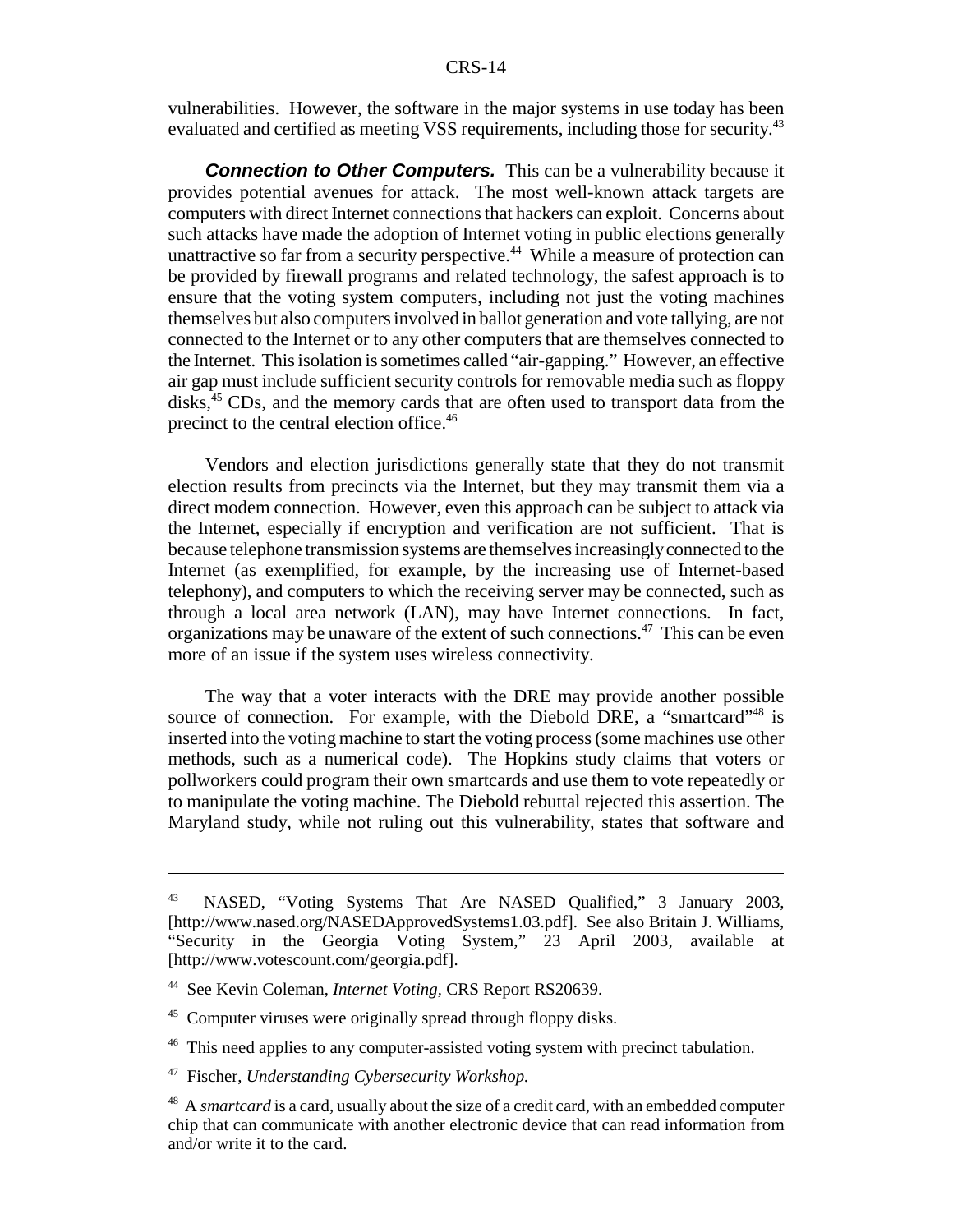vulnerabilities. However, the software in the major systems in use today has been evaluated and certified as meeting VSS requirements, including those for security.<sup>43</sup>

**Connection to Other Computers.** This can be a vulnerability because it provides potential avenues for attack. The most well-known attack targets are computers with direct Internet connections that hackers can exploit. Concerns about such attacks have made the adoption of Internet voting in public elections generally unattractive so far from a security perspective.<sup>44</sup> While a measure of protection can be provided by firewall programs and related technology, the safest approach is to ensure that the voting system computers, including not just the voting machines themselves but also computers involved in ballot generation and vote tallying, are not connected to the Internet or to any other computers that are themselves connected to the Internet. This isolation is sometimes called "air-gapping." However, an effective air gap must include sufficient security controls for removable media such as floppy disks,<sup>45</sup> CDs, and the memory cards that are often used to transport data from the precinct to the central election office.<sup>46</sup>

Vendors and election jurisdictions generally state that they do not transmit election results from precincts via the Internet, but they may transmit them via a direct modem connection. However, even this approach can be subject to attack via the Internet, especially if encryption and verification are not sufficient. That is because telephone transmission systems are themselves increasingly connected to the Internet (as exemplified, for example, by the increasing use of Internet-based telephony), and computers to which the receiving server may be connected, such as through a local area network (LAN), may have Internet connections. In fact, organizations may be unaware of the extent of such connections.47 This can be even more of an issue if the system uses wireless connectivity.

The way that a voter interacts with the DRE may provide another possible source of connection. For example, with the Diebold DRE, a "smartcard"<sup>48</sup> is inserted into the voting machine to start the voting process (some machines use other methods, such as a numerical code). The Hopkins study claims that voters or pollworkers could program their own smartcards and use them to vote repeatedly or to manipulate the voting machine. The Diebold rebuttal rejected this assertion. The Maryland study, while not ruling out this vulnerability, states that software and

<sup>43</sup> NASED, "Voting Systems That Are NASED Qualified," 3 January 2003, [http://www.nased.org/NASEDApprovedSystems1.03.pdf]. See also Britain J. Williams, "Security in the Georgia Voting System," 23 April 2003, available at [http://www.votescount.com/georgia.pdf].

<sup>44</sup> See Kevin Coleman, *Internet Voting,* CRS Report RS20639.

<sup>45</sup> Computer viruses were originally spread through floppy disks.

<sup>&</sup>lt;sup>46</sup> This need applies to any computer-assisted voting system with precinct tabulation.

<sup>47</sup> Fischer, *Understanding Cybersecurity Workshop.*

<sup>48</sup> A *smartcard* is a card, usually about the size of a credit card, with an embedded computer chip that can communicate with another electronic device that can read information from and/or write it to the card.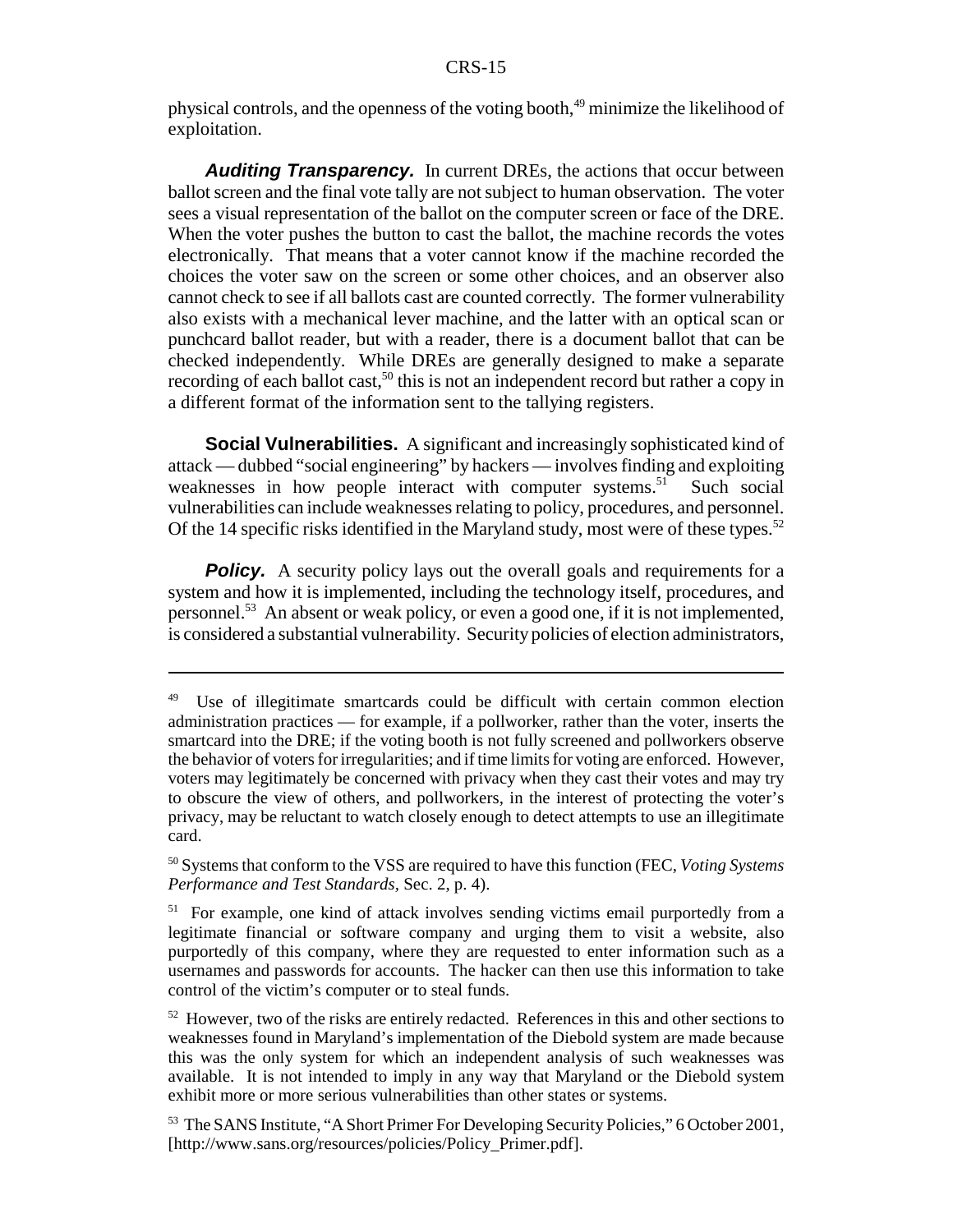physical controls, and the openness of the voting booth,<sup>49</sup> minimize the likelihood of exploitation.

*Auditing Transparency.* In current DREs, the actions that occur between ballot screen and the final vote tally are not subject to human observation. The voter sees a visual representation of the ballot on the computer screen or face of the DRE. When the voter pushes the button to cast the ballot, the machine records the votes electronically. That means that a voter cannot know if the machine recorded the choices the voter saw on the screen or some other choices, and an observer also cannot check to see if all ballots cast are counted correctly. The former vulnerability also exists with a mechanical lever machine, and the latter with an optical scan or punchcard ballot reader, but with a reader, there is a document ballot that can be checked independently. While DREs are generally designed to make a separate recording of each ballot cast,<sup>50</sup> this is not an independent record but rather a copy in a different format of the information sent to the tallying registers.

**Social Vulnerabilities.** A significant and increasingly sophisticated kind of attack — dubbed "social engineering" by hackers — involves finding and exploiting weaknesses in how people interact with computer systems.<sup>51</sup> Such social vulnerabilities can include weaknesses relating to policy, procedures, and personnel. Of the 14 specific risks identified in the Maryland study, most were of these types.<sup>52</sup>

**Policy.** A security policy lays out the overall goals and requirements for a system and how it is implemented, including the technology itself, procedures, and personnel.53 An absent or weak policy, or even a good one, if it is not implemented, is considered a substantial vulnerability. Security policies of election administrators,

<sup>&</sup>lt;sup>49</sup> Use of illegitimate smartcards could be difficult with certain common election administration practices — for example, if a pollworker, rather than the voter, inserts the smartcard into the DRE; if the voting booth is not fully screened and pollworkers observe the behavior of voters for irregularities; and if time limits for voting are enforced. However, voters may legitimately be concerned with privacy when they cast their votes and may try to obscure the view of others, and pollworkers, in the interest of protecting the voter's privacy, may be reluctant to watch closely enough to detect attempts to use an illegitimate card.

<sup>50</sup> Systems that conform to the VSS are required to have this function (FEC, *Voting Systems Performance and Test Standards,* Sec. 2, p. 4).

<sup>&</sup>lt;sup>51</sup> For example, one kind of attack involves sending victims email purportedly from a legitimate financial or software company and urging them to visit a website, also purportedly of this company, where they are requested to enter information such as a usernames and passwords for accounts. The hacker can then use this information to take control of the victim's computer or to steal funds.

 $52$  However, two of the risks are entirely redacted. References in this and other sections to weaknesses found in Maryland's implementation of the Diebold system are made because this was the only system for which an independent analysis of such weaknesses was available. It is not intended to imply in any way that Maryland or the Diebold system exhibit more or more serious vulnerabilities than other states or systems.

<sup>&</sup>lt;sup>53</sup> The SANS Institute, "A Short Primer For Developing Security Policies," 6 October 2001, [http://www.sans.org/resources/policies/Policy\_Primer.pdf].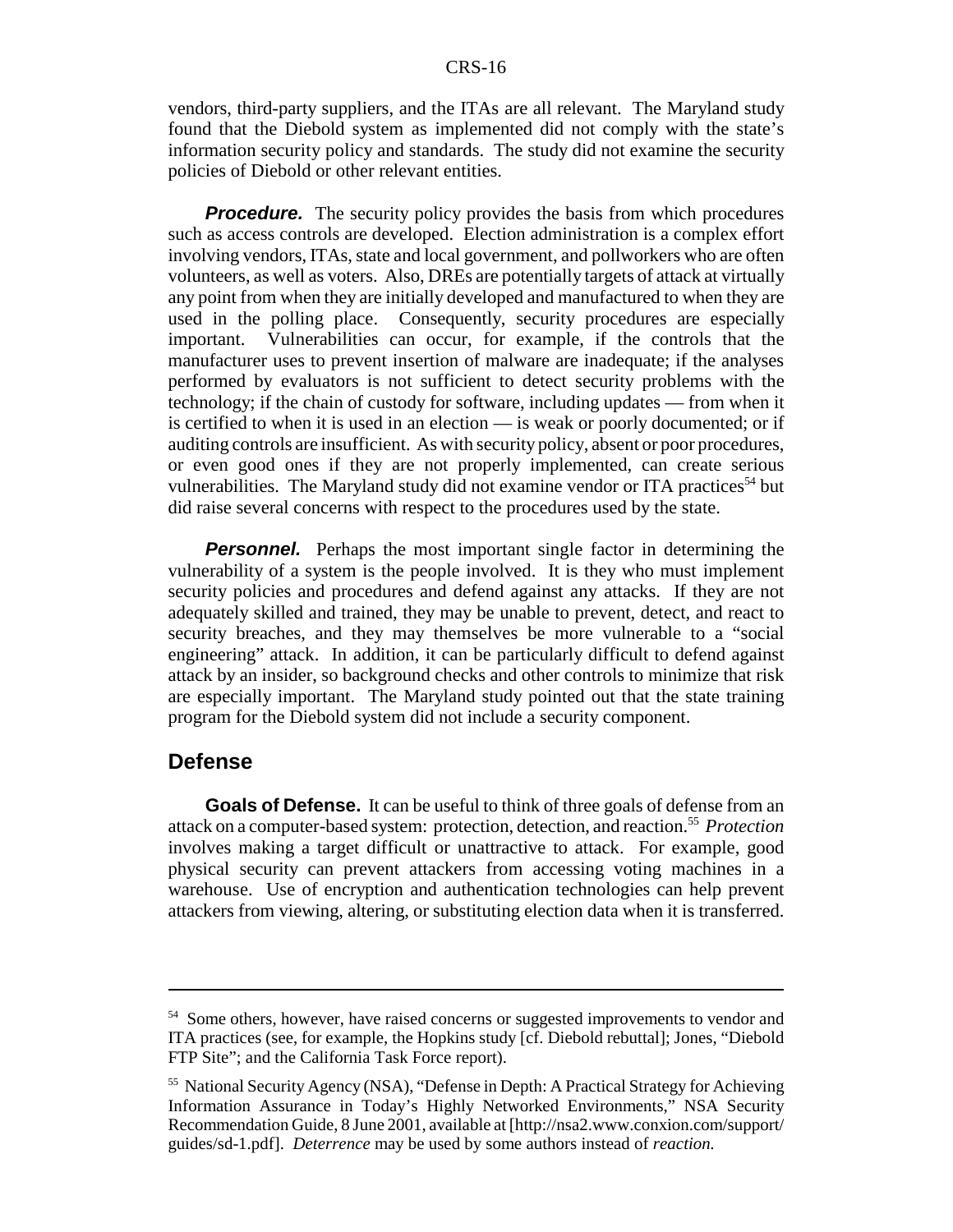vendors, third-party suppliers, and the ITAs are all relevant. The Maryland study found that the Diebold system as implemented did not comply with the state's information security policy and standards. The study did not examine the security policies of Diebold or other relevant entities.

**Procedure.** The security policy provides the basis from which procedures such as access controls are developed. Election administration is a complex effort involving vendors, ITAs, state and local government, and pollworkers who are often volunteers, as well as voters. Also, DREs are potentially targets of attack at virtually any point from when they are initially developed and manufactured to when they are used in the polling place. Consequently, security procedures are especially important. Vulnerabilities can occur, for example, if the controls that the manufacturer uses to prevent insertion of malware are inadequate; if the analyses performed by evaluators is not sufficient to detect security problems with the technology; if the chain of custody for software, including updates — from when it is certified to when it is used in an election — is weak or poorly documented; or if auditing controls are insufficient. As with security policy, absent or poor procedures, or even good ones if they are not properly implemented, can create serious vulnerabilities. The Maryland study did not examine vendor or ITA practices<sup>54</sup> but did raise several concerns with respect to the procedures used by the state.

**Personnel.** Perhaps the most important single factor in determining the vulnerability of a system is the people involved. It is they who must implement security policies and procedures and defend against any attacks. If they are not adequately skilled and trained, they may be unable to prevent, detect, and react to security breaches, and they may themselves be more vulnerable to a "social engineering" attack. In addition, it can be particularly difficult to defend against attack by an insider, so background checks and other controls to minimize that risk are especially important. The Maryland study pointed out that the state training program for the Diebold system did not include a security component.

# **Defense**

**Goals of Defense.** It can be useful to think of three goals of defense from an attack on a computer-based system: protection, detection, and reaction.<sup>55</sup> Protection involves making a target difficult or unattractive to attack. For example, good physical security can prevent attackers from accessing voting machines in a warehouse. Use of encryption and authentication technologies can help prevent attackers from viewing, altering, or substituting election data when it is transferred.

<sup>&</sup>lt;sup>54</sup> Some others, however, have raised concerns or suggested improvements to vendor and ITA practices (see, for example, the Hopkins study [cf. Diebold rebuttal]; Jones, "Diebold FTP Site"; and the California Task Force report).

<sup>55</sup> National Security Agency (NSA), "Defense in Depth: A Practical Strategy for Achieving Information Assurance in Today's Highly Networked Environments," NSA Security Recommendation Guide, 8 June 2001, available at [http://nsa2.www.conxion.com/support/ guides/sd-1.pdf]. *Deterrence* may be used by some authors instead of *reaction.*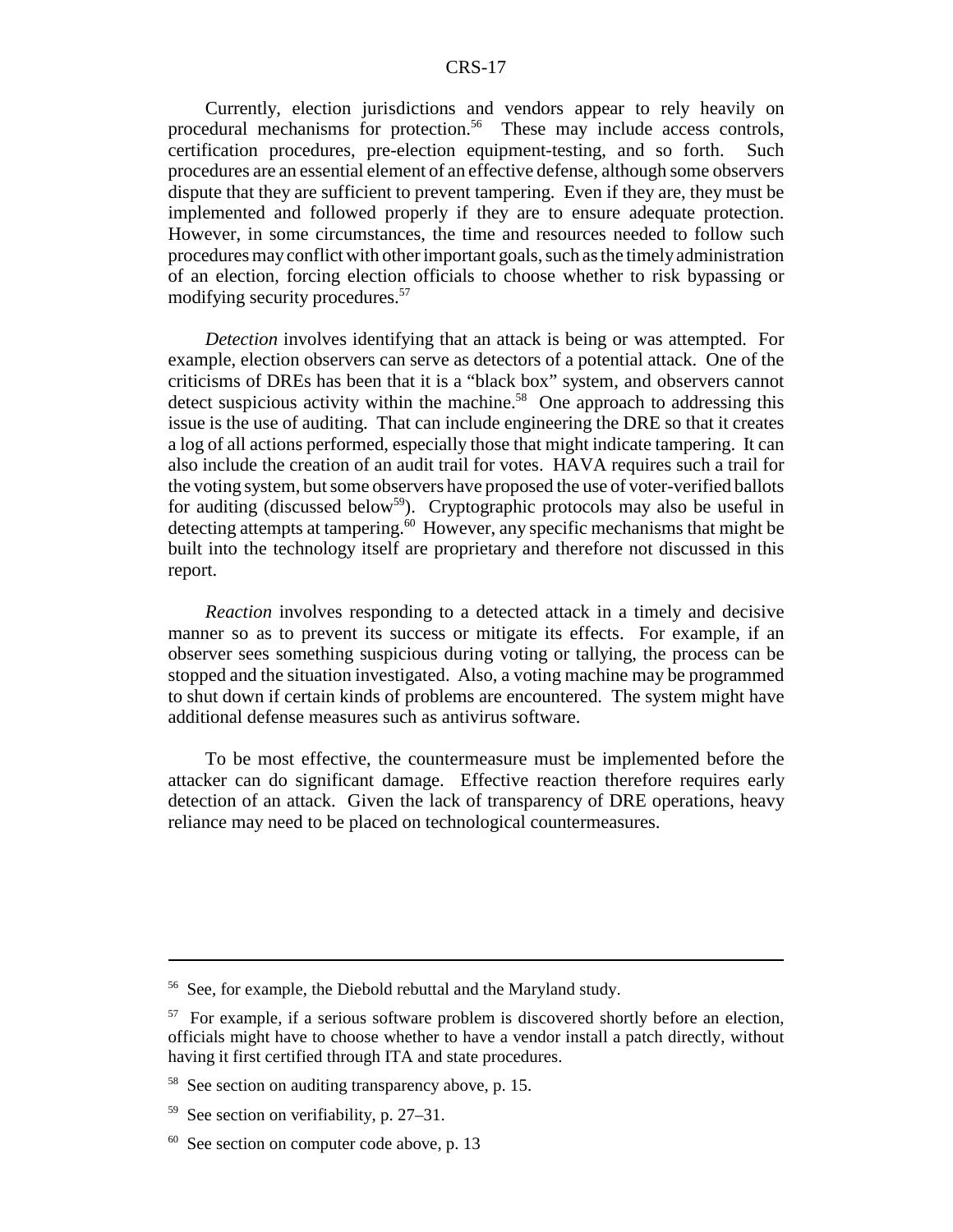Currently, election jurisdictions and vendors appear to rely heavily on procedural mechanisms for protection.<sup>56</sup> These may include access controls, certification procedures, pre-election equipment-testing, and so forth. Such procedures are an essential element of an effective defense, although some observers dispute that they are sufficient to prevent tampering. Even if they are, they must be implemented and followed properly if they are to ensure adequate protection. However, in some circumstances, the time and resources needed to follow such procedures may conflict with other important goals, such as the timely administration of an election, forcing election officials to choose whether to risk bypassing or modifying security procedures.<sup>57</sup>

*Detection* involves identifying that an attack is being or was attempted. For example, election observers can serve as detectors of a potential attack. One of the criticisms of DREs has been that it is a "black box" system, and observers cannot detect suspicious activity within the machine.<sup>58</sup> One approach to addressing this issue is the use of auditing. That can include engineering the DRE so that it creates a log of all actions performed, especially those that might indicate tampering. It can also include the creation of an audit trail for votes. HAVA requires such a trail for the voting system, but some observers have proposed the use of voter-verified ballots for auditing (discussed below<sup>59</sup>). Cryptographic protocols may also be useful in detecting attempts at tampering.<sup>60</sup> However, any specific mechanisms that might be built into the technology itself are proprietary and therefore not discussed in this report.

*Reaction* involves responding to a detected attack in a timely and decisive manner so as to prevent its success or mitigate its effects. For example, if an observer sees something suspicious during voting or tallying, the process can be stopped and the situation investigated. Also, a voting machine may be programmed to shut down if certain kinds of problems are encountered. The system might have additional defense measures such as antivirus software.

To be most effective, the countermeasure must be implemented before the attacker can do significant damage. Effective reaction therefore requires early detection of an attack. Given the lack of transparency of DRE operations, heavy reliance may need to be placed on technological countermeasures.

<sup>56</sup> See, for example, the Diebold rebuttal and the Maryland study.

<sup>&</sup>lt;sup>57</sup> For example, if a serious software problem is discovered shortly before an election, officials might have to choose whether to have a vendor install a patch directly, without having it first certified through ITA and state procedures.

<sup>58</sup> See section on auditing transparency above, p. 15.

 $59$  See section on verifiability, p. 27–31.

 $60$  See section on computer code above, p. 13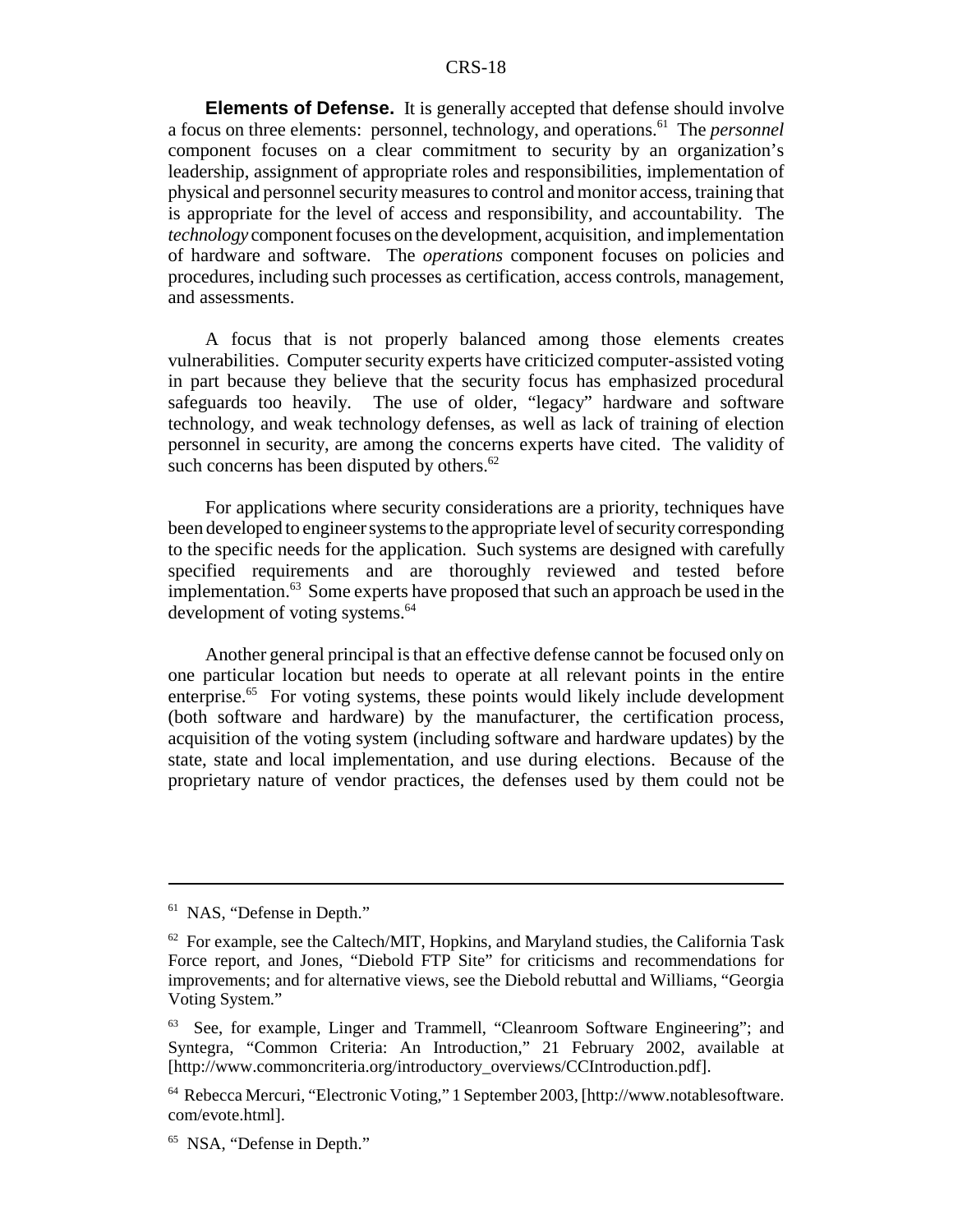**Elements of Defense.** It is generally accepted that defense should involve a focus on three elements: personnel, technology, and operations.61 The *personnel* component focuses on a clear commitment to security by an organization's leadership, assignment of appropriate roles and responsibilities, implementation of physical and personnel security measures to control and monitor access, training that is appropriate for the level of access and responsibility, and accountability. The *technology* component focuses on the development, acquisition, and implementation of hardware and software. The *operations* component focuses on policies and procedures, including such processes as certification, access controls, management, and assessments.

A focus that is not properly balanced among those elements creates vulnerabilities. Computer security experts have criticized computer-assisted voting in part because they believe that the security focus has emphasized procedural safeguards too heavily. The use of older, "legacy" hardware and software technology, and weak technology defenses, as well as lack of training of election personnel in security, are among the concerns experts have cited. The validity of such concerns has been disputed by others.<sup>62</sup>

For applications where security considerations are a priority, techniques have been developed to engineer systems to the appropriate level of security corresponding to the specific needs for the application. Such systems are designed with carefully specified requirements and are thoroughly reviewed and tested before implementation.<sup>63</sup> Some experts have proposed that such an approach be used in the development of voting systems.<sup>64</sup>

Another general principal is that an effective defense cannot be focused only on one particular location but needs to operate at all relevant points in the entire enterprise.<sup>65</sup> For voting systems, these points would likely include development (both software and hardware) by the manufacturer, the certification process, acquisition of the voting system (including software and hardware updates) by the state, state and local implementation, and use during elections. Because of the proprietary nature of vendor practices, the defenses used by them could not be

<sup>61</sup> NAS, "Defense in Depth."

 $62$  For example, see the Caltech/MIT, Hopkins, and Maryland studies, the California Task Force report, and Jones, "Diebold FTP Site" for criticisms and recommendations for improvements; and for alternative views, see the Diebold rebuttal and Williams, "Georgia Voting System."

<sup>63</sup> See, for example, Linger and Trammell, "Cleanroom Software Engineering"; and Syntegra, "Common Criteria: An Introduction," 21 February 2002, available at [http://www.commoncriteria.org/introductory\_overviews/CCIntroduction.pdf].

<sup>64</sup> Rebecca Mercuri, "Electronic Voting," 1 September 2003, [http://www.notablesoftware. com/evote.html].

<sup>65</sup> NSA, "Defense in Depth."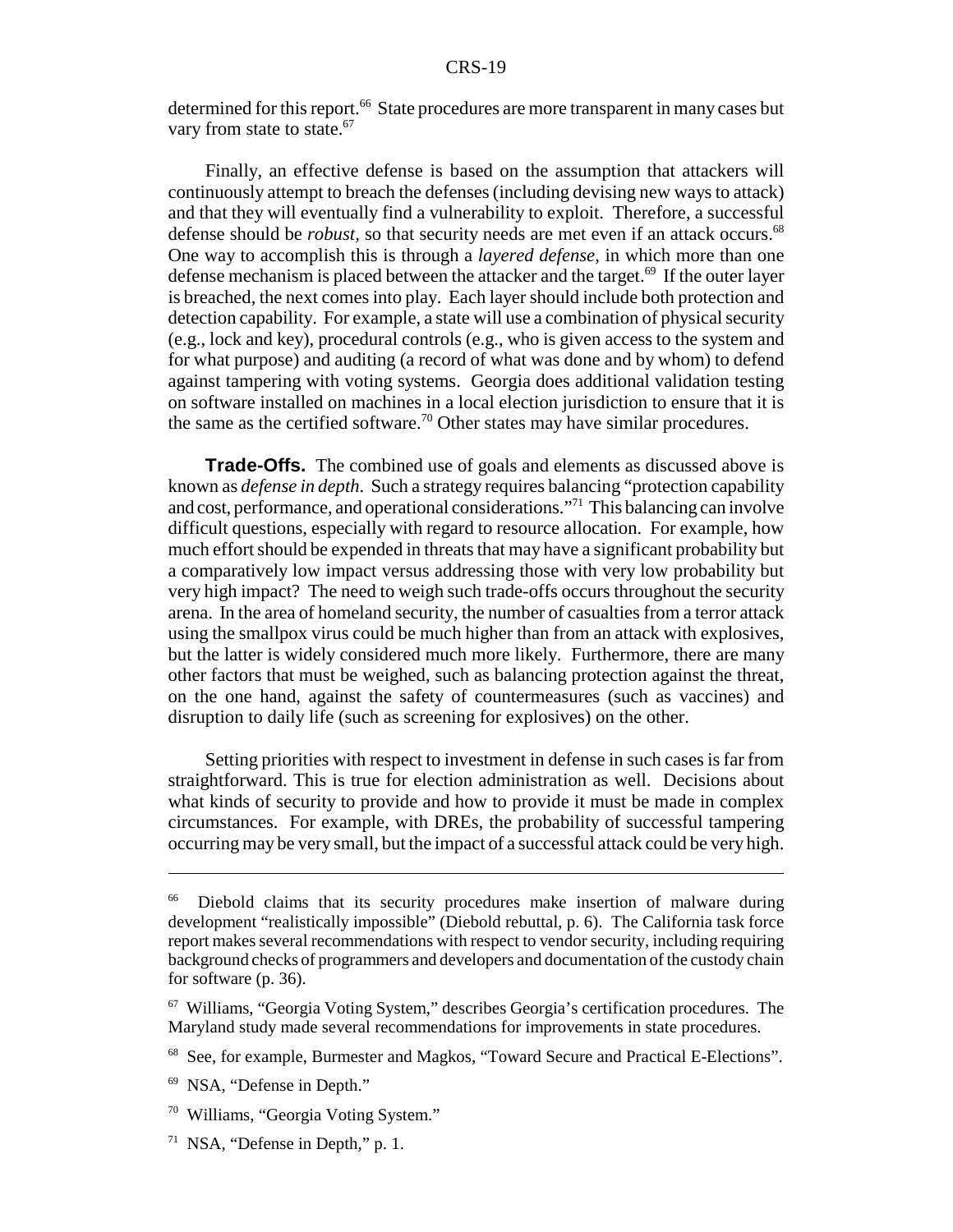determined for this report.<sup>66</sup> State procedures are more transparent in many cases but vary from state to state.<sup>67</sup>

Finally, an effective defense is based on the assumption that attackers will continuously attempt to breach the defenses (including devising new ways to attack) and that they will eventually find a vulnerability to exploit. Therefore, a successful defense should be *robust*, so that security needs are met even if an attack occurs.<sup>68</sup> One way to accomplish this is through a *layered defense,* in which more than one defense mechanism is placed between the attacker and the target.<sup>69</sup> If the outer layer is breached, the next comes into play. Each layer should include both protection and detection capability. For example, a state will use a combination of physical security (e.g., lock and key), procedural controls (e.g., who is given access to the system and for what purpose) and auditing (a record of what was done and by whom) to defend against tampering with voting systems. Georgia does additional validation testing on software installed on machines in a local election jurisdiction to ensure that it is the same as the certified software.<sup>70</sup> Other states may have similar procedures.

**Trade-Offs.** The combined use of goals and elements as discussed above is known as *defense in depth*. Such a strategy requires balancing "protection capability and cost, performance, and operational considerations."71 This balancing can involve difficult questions, especially with regard to resource allocation. For example, how much effort should be expended in threats that may have a significant probability but a comparatively low impact versus addressing those with very low probability but very high impact? The need to weigh such trade-offs occurs throughout the security arena. In the area of homeland security, the number of casualties from a terror attack using the smallpox virus could be much higher than from an attack with explosives, but the latter is widely considered much more likely. Furthermore, there are many other factors that must be weighed, such as balancing protection against the threat, on the one hand, against the safety of countermeasures (such as vaccines) and disruption to daily life (such as screening for explosives) on the other.

Setting priorities with respect to investment in defense in such cases is far from straightforward. This is true for election administration as well. Decisions about what kinds of security to provide and how to provide it must be made in complex circumstances. For example, with DREs, the probability of successful tampering occurring may be very small, but the impact of a successful attack could be very high.

<sup>66</sup> Diebold claims that its security procedures make insertion of malware during development "realistically impossible" (Diebold rebuttal, p. 6). The California task force report makes several recommendations with respect to vendor security, including requiring background checks of programmers and developers and documentation of the custody chain for software (p. 36).

<sup>67</sup> Williams, "Georgia Voting System," describes Georgia's certification procedures. The Maryland study made several recommendations for improvements in state procedures.

<sup>68</sup> See, for example, Burmester and Magkos, "Toward Secure and Practical E-Elections".

<sup>69</sup> NSA, "Defense in Depth."

<sup>70</sup> Williams, "Georgia Voting System."

 $71$  NSA, "Defense in Depth," p. 1.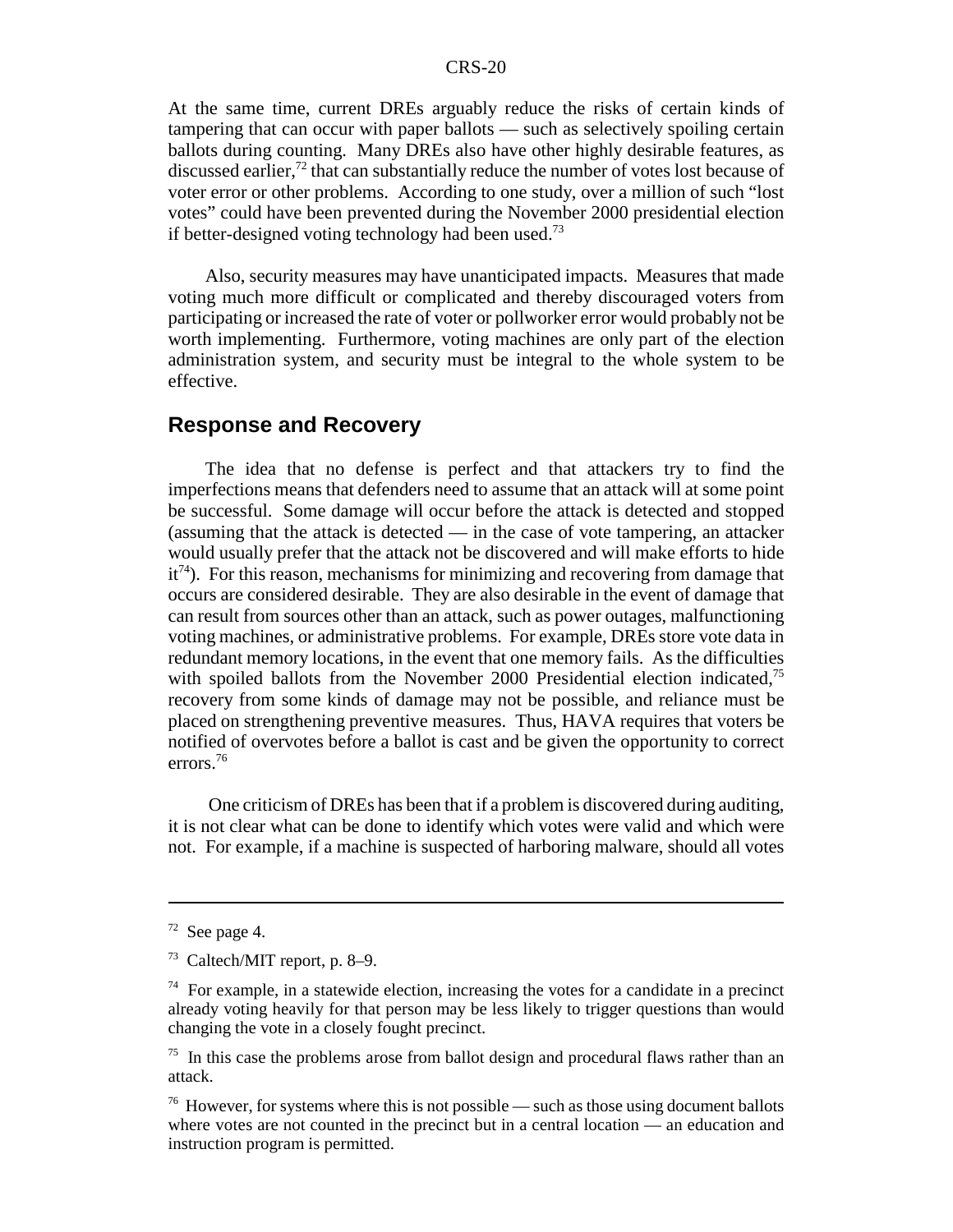At the same time, current DREs arguably reduce the risks of certain kinds of tampering that can occur with paper ballots — such as selectively spoiling certain ballots during counting. Many DREs also have other highly desirable features, as discussed earlier, $^{72}$  that can substantially reduce the number of votes lost because of voter error or other problems. According to one study, over a million of such "lost votes" could have been prevented during the November 2000 presidential election if better-designed voting technology had been used.<sup>73</sup>

Also, security measures may have unanticipated impacts. Measures that made voting much more difficult or complicated and thereby discouraged voters from participating or increased the rate of voter or pollworker error would probably not be worth implementing. Furthermore, voting machines are only part of the election administration system, and security must be integral to the whole system to be effective.

### **Response and Recovery**

The idea that no defense is perfect and that attackers try to find the imperfections means that defenders need to assume that an attack will at some point be successful. Some damage will occur before the attack is detected and stopped (assuming that the attack is detected — in the case of vote tampering, an attacker would usually prefer that the attack not be discovered and will make efforts to hide  $it^{74}$ ). For this reason, mechanisms for minimizing and recovering from damage that occurs are considered desirable. They are also desirable in the event of damage that can result from sources other than an attack, such as power outages, malfunctioning voting machines, or administrative problems. For example, DREs store vote data in redundant memory locations, in the event that one memory fails. As the difficulties with spoiled ballots from the November 2000 Presidential election indicated,  $7<sup>5</sup>$ recovery from some kinds of damage may not be possible, and reliance must be placed on strengthening preventive measures. Thus, HAVA requires that voters be notified of overvotes before a ballot is cast and be given the opportunity to correct errors.76

 One criticism of DREs has been that if a problem is discovered during auditing, it is not clear what can be done to identify which votes were valid and which were not. For example, if a machine is suspected of harboring malware, should all votes

 $72$  See page 4.

<sup>73</sup> Caltech/MIT report, p. 8–9.

 $74$  For example, in a statewide election, increasing the votes for a candidate in a precinct already voting heavily for that person may be less likely to trigger questions than would changing the vote in a closely fought precinct.

<sup>&</sup>lt;sup>75</sup> In this case the problems arose from ballot design and procedural flaws rather than an attack.

 $76$  However, for systems where this is not possible — such as those using document ballots where votes are not counted in the precinct but in a central location — an education and instruction program is permitted.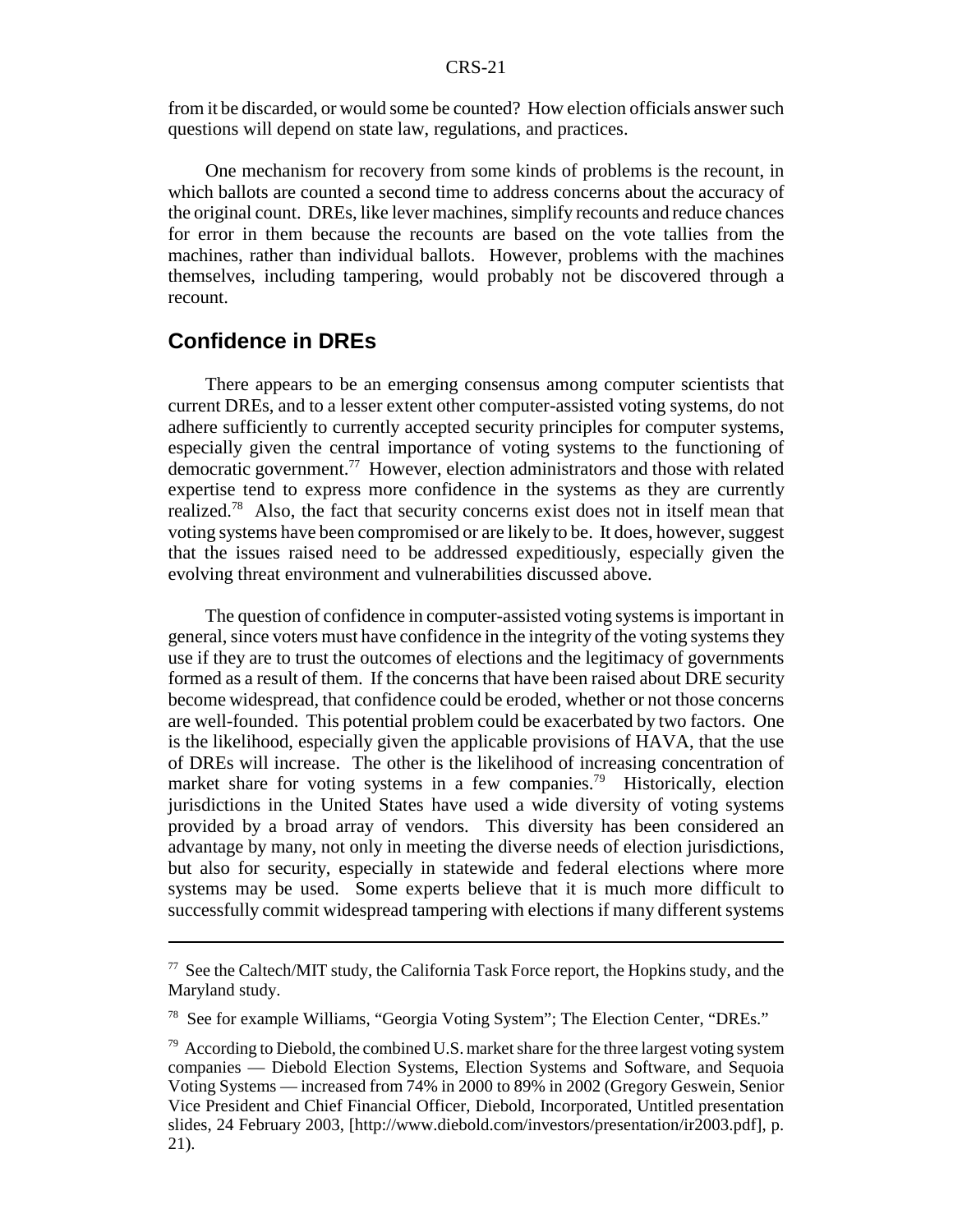from it be discarded, or would some be counted? How election officials answer such questions will depend on state law, regulations, and practices.

One mechanism for recovery from some kinds of problems is the recount, in which ballots are counted a second time to address concerns about the accuracy of the original count. DREs, like lever machines, simplify recounts and reduce chances for error in them because the recounts are based on the vote tallies from the machines, rather than individual ballots. However, problems with the machines themselves, including tampering, would probably not be discovered through a recount.

# **Confidence in DREs**

There appears to be an emerging consensus among computer scientists that current DREs, and to a lesser extent other computer-assisted voting systems, do not adhere sufficiently to currently accepted security principles for computer systems, especially given the central importance of voting systems to the functioning of democratic government.<sup>77</sup> However, election administrators and those with related expertise tend to express more confidence in the systems as they are currently realized.78 Also, the fact that security concerns exist does not in itself mean that voting systems have been compromised or are likely to be. It does, however, suggest that the issues raised need to be addressed expeditiously, especially given the evolving threat environment and vulnerabilities discussed above.

The question of confidence in computer-assisted voting systems is important in general, since voters must have confidence in the integrity of the voting systems they use if they are to trust the outcomes of elections and the legitimacy of governments formed as a result of them. If the concerns that have been raised about DRE security become widespread, that confidence could be eroded, whether or not those concerns are well-founded. This potential problem could be exacerbated by two factors. One is the likelihood, especially given the applicable provisions of HAVA, that the use of DREs will increase. The other is the likelihood of increasing concentration of market share for voting systems in a few companies.<sup>79</sup> Historically, election jurisdictions in the United States have used a wide diversity of voting systems provided by a broad array of vendors. This diversity has been considered an advantage by many, not only in meeting the diverse needs of election jurisdictions, but also for security, especially in statewide and federal elections where more systems may be used. Some experts believe that it is much more difficult to successfully commit widespread tampering with elections if many different systems

 $77$  See the Caltech/MIT study, the California Task Force report, the Hopkins study, and the Maryland study.

<sup>78</sup> See for example Williams, "Georgia Voting System"; The Election Center, "DREs."

 $79$  According to Diebold, the combined U.S. market share for the three largest voting system companies — Diebold Election Systems, Election Systems and Software, and Sequoia Voting Systems — increased from 74% in 2000 to 89% in 2002 (Gregory Geswein, Senior Vice President and Chief Financial Officer, Diebold, Incorporated, Untitled presentation slides, 24 February 2003, [http://www.diebold.com/investors/presentation/ir2003.pdf], p. 21).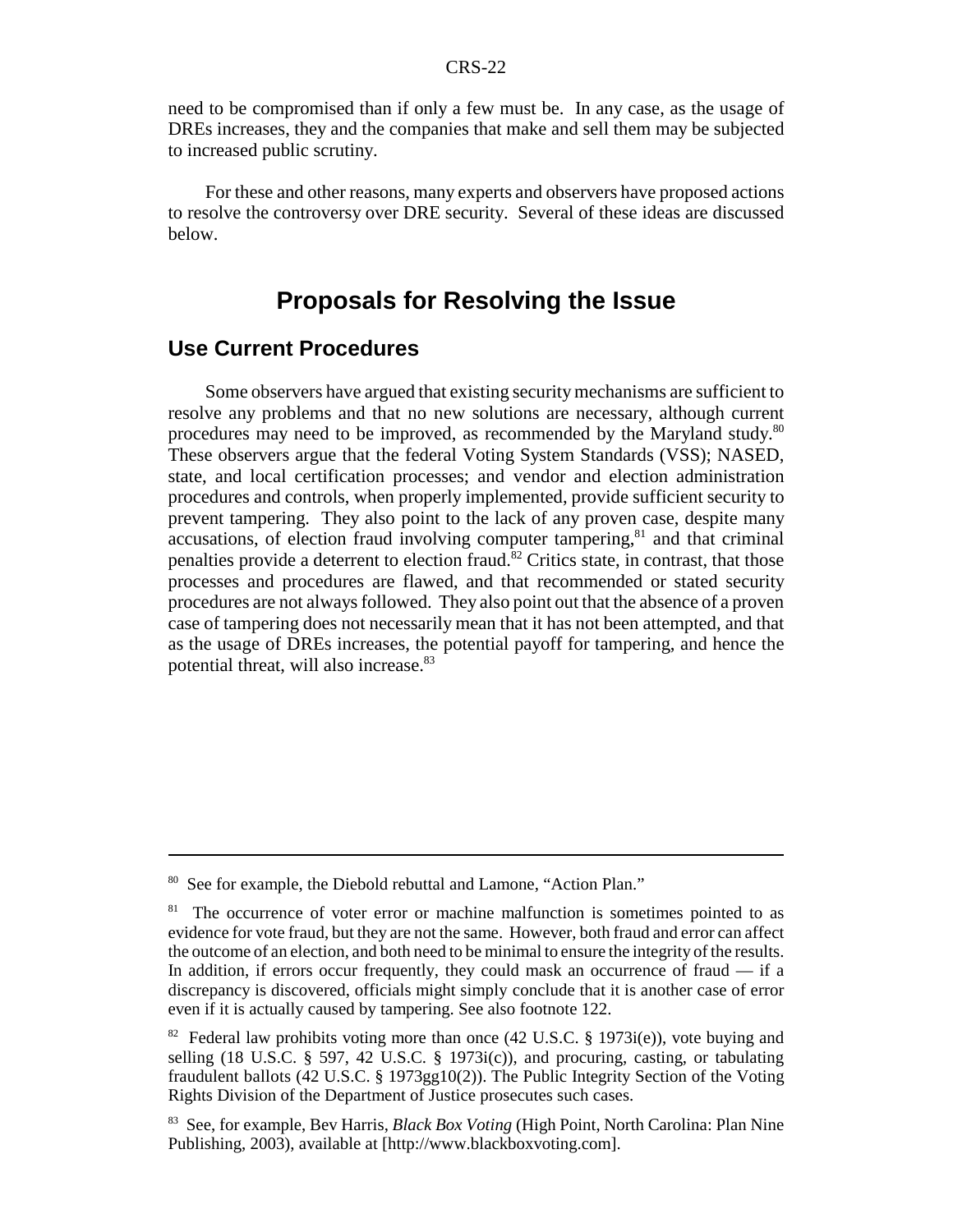need to be compromised than if only a few must be. In any case, as the usage of DREs increases, they and the companies that make and sell them may be subjected to increased public scrutiny.

For these and other reasons, many experts and observers have proposed actions to resolve the controversy over DRE security. Several of these ideas are discussed below.

# **Proposals for Resolving the Issue**

# **Use Current Procedures**

Some observers have argued that existing security mechanisms are sufficient to resolve any problems and that no new solutions are necessary, although current procedures may need to be improved, as recommended by the Maryland study.<sup>80</sup> These observers argue that the federal Voting System Standards (VSS); NASED, state, and local certification processes; and vendor and election administration procedures and controls, when properly implemented, provide sufficient security to prevent tampering. They also point to the lack of any proven case, despite many accusations, of election fraud involving computer tampering, $81$  and that criminal penalties provide a deterrent to election fraud. ${}^{82}$  Critics state, in contrast, that those processes and procedures are flawed, and that recommended or stated security procedures are not always followed. They also point out that the absence of a proven case of tampering does not necessarily mean that it has not been attempted, and that as the usage of DREs increases, the potential payoff for tampering, and hence the potential threat, will also increase.<sup>83</sup>

<sup>80</sup> See for example, the Diebold rebuttal and Lamone, "Action Plan."

<sup>&</sup>lt;sup>81</sup> The occurrence of voter error or machine malfunction is sometimes pointed to as evidence for vote fraud, but they are not the same. However, both fraud and error can affect the outcome of an election, and both need to be minimal to ensure the integrity of the results. In addition, if errors occur frequently, they could mask an occurrence of fraud — if a discrepancy is discovered, officials might simply conclude that it is another case of error even if it is actually caused by tampering. See also footnote 122.

<sup>&</sup>lt;sup>82</sup> Federal law prohibits voting more than once  $(42 \text{ U.S.C. } § 1973i(e))$ , vote buying and selling (18 U.S.C. § 597, 42 U.S.C. § 1973i(c)), and procuring, casting, or tabulating fraudulent ballots (42 U.S.C. § 1973gg10(2)). The Public Integrity Section of the Voting Rights Division of the Department of Justice prosecutes such cases.

<sup>83</sup> See, for example, Bev Harris, *Black Box Voting* (High Point, North Carolina: Plan Nine Publishing, 2003), available at [http://www.blackboxvoting.com].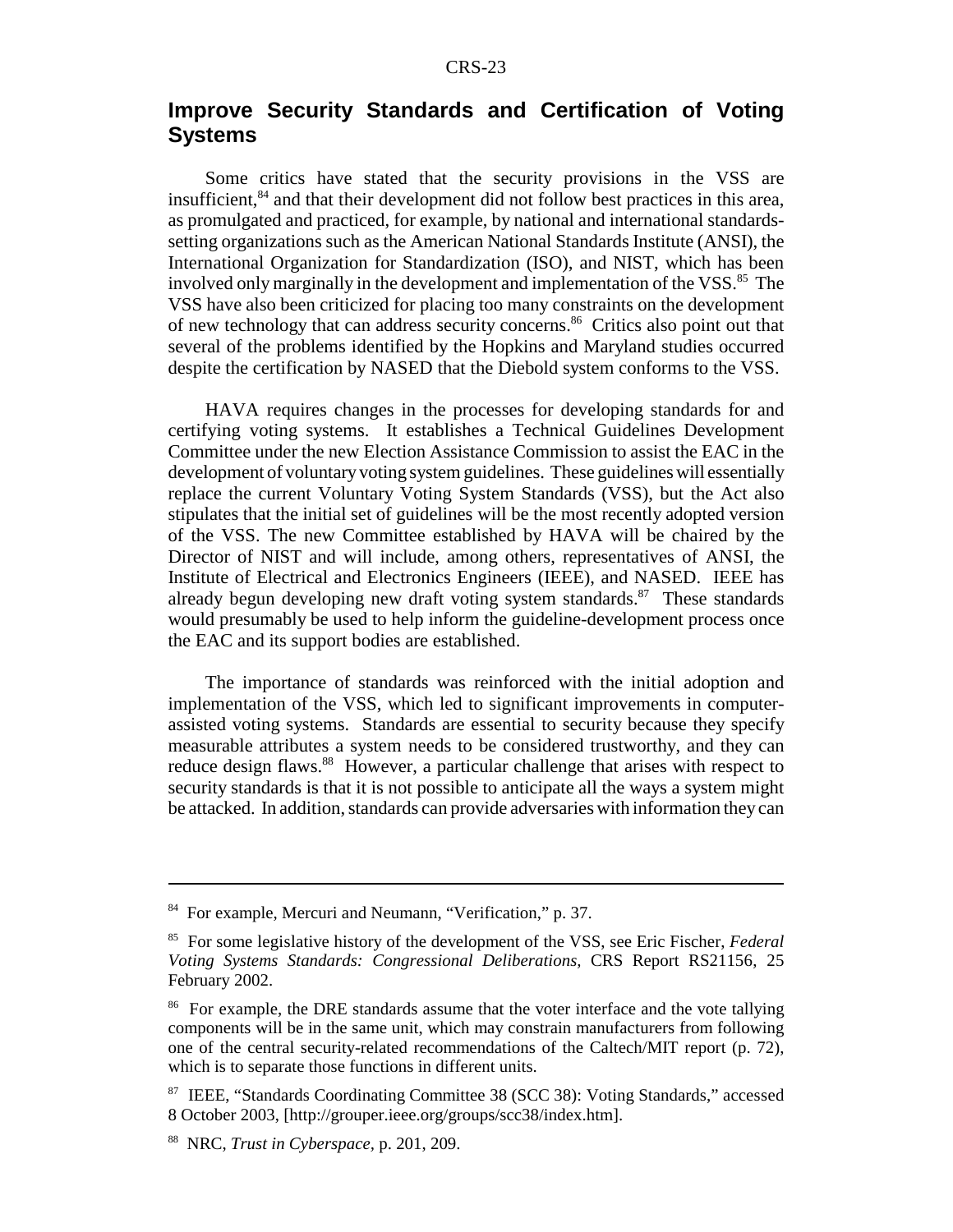# **Improve Security Standards and Certification of Voting Systems**

Some critics have stated that the security provisions in the VSS are insufficient,<sup>84</sup> and that their development did not follow best practices in this area, as promulgated and practiced, for example, by national and international standardssetting organizations such as the American National Standards Institute (ANSI), the International Organization for Standardization (ISO), and NIST, which has been involved only marginally in the development and implementation of the VSS.<sup>85</sup> The VSS have also been criticized for placing too many constraints on the development of new technology that can address security concerns.<sup>86</sup> Critics also point out that several of the problems identified by the Hopkins and Maryland studies occurred despite the certification by NASED that the Diebold system conforms to the VSS.

HAVA requires changes in the processes for developing standards for and certifying voting systems. It establishes a Technical Guidelines Development Committee under the new Election Assistance Commission to assist the EAC in the development of voluntary voting system guidelines. These guidelines will essentially replace the current Voluntary Voting System Standards (VSS), but the Act also stipulates that the initial set of guidelines will be the most recently adopted version of the VSS. The new Committee established by HAVA will be chaired by the Director of NIST and will include, among others, representatives of ANSI, the Institute of Electrical and Electronics Engineers (IEEE), and NASED. IEEE has already begun developing new draft voting system standards.<sup>87</sup> These standards would presumably be used to help inform the guideline-development process once the EAC and its support bodies are established.

The importance of standards was reinforced with the initial adoption and implementation of the VSS, which led to significant improvements in computerassisted voting systems. Standards are essential to security because they specify measurable attributes a system needs to be considered trustworthy, and they can reduce design flaws.<sup>88</sup> However, a particular challenge that arises with respect to security standards is that it is not possible to anticipate all the ways a system might be attacked. In addition, standards can provide adversaries with information they can

<sup>84</sup> For example, Mercuri and Neumann, "Verification," p. 37.

<sup>85</sup> For some legislative history of the development of the VSS, see Eric Fischer, *Federal Voting Systems Standards: Congressional Deliberations,* CRS Report RS21156, 25 February 2002.

<sup>&</sup>lt;sup>86</sup> For example, the DRE standards assume that the voter interface and the vote tallying components will be in the same unit, which may constrain manufacturers from following one of the central security-related recommendations of the Caltech/MIT report (p. 72), which is to separate those functions in different units.

<sup>87</sup> IEEE, "Standards Coordinating Committee 38 (SCC 38): Voting Standards," accessed 8 October 2003, [http://grouper.ieee.org/groups/scc38/index.htm].

<sup>88</sup> NRC, *Trust in Cyberspace,* p. 201, 209.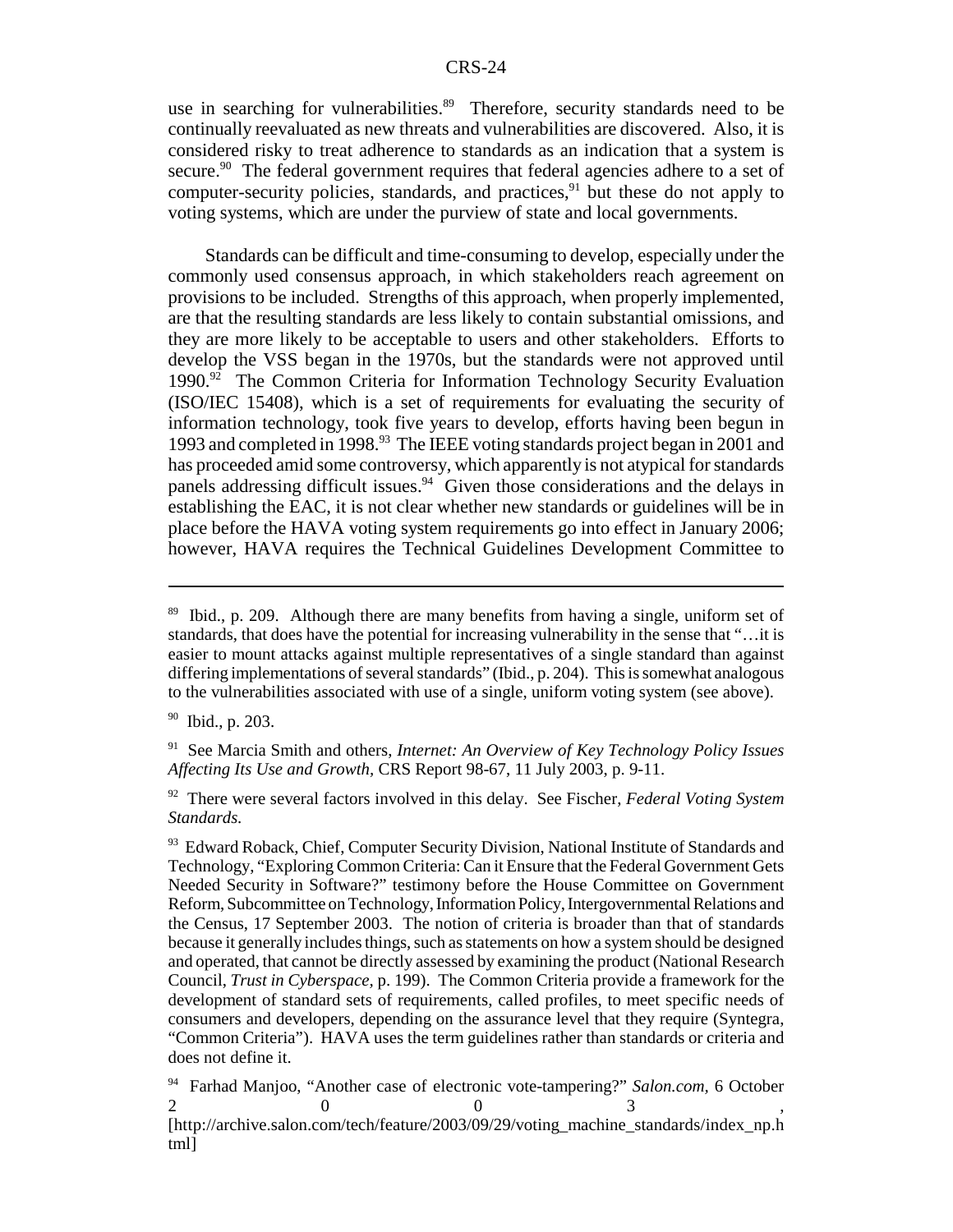use in searching for vulnerabilities.<sup>89</sup> Therefore, security standards need to be continually reevaluated as new threats and vulnerabilities are discovered. Also, it is considered risky to treat adherence to standards as an indication that a system is secure.<sup>90</sup> The federal government requires that federal agencies adhere to a set of computer-security policies, standards, and practices, $91$  but these do not apply to voting systems, which are under the purview of state and local governments.

Standards can be difficult and time-consuming to develop, especially under the commonly used consensus approach, in which stakeholders reach agreement on provisions to be included. Strengths of this approach, when properly implemented, are that the resulting standards are less likely to contain substantial omissions, and they are more likely to be acceptable to users and other stakeholders. Efforts to develop the VSS began in the 1970s, but the standards were not approved until 1990. $92$  The Common Criteria for Information Technology Security Evaluation (ISO/IEC 15408), which is a set of requirements for evaluating the security of information technology, took five years to develop, efforts having been begun in 1993 and completed in 1998.93 The IEEE voting standards project began in 2001 and has proceeded amid some controversy, which apparently is not atypical for standards panels addressing difficult issues.<sup>94</sup> Given those considerations and the delays in establishing the EAC, it is not clear whether new standards or guidelines will be in place before the HAVA voting system requirements go into effect in January 2006; however, HAVA requires the Technical Guidelines Development Committee to

<sup>&</sup>lt;sup>89</sup> Ibid., p. 209. Although there are many benefits from having a single, uniform set of standards, that does have the potential for increasing vulnerability in the sense that "…it is easier to mount attacks against multiple representatives of a single standard than against differing implementations of several standards" (Ibid., p. 204). This is somewhat analogous to the vulnerabilities associated with use of a single, uniform voting system (see above).

<sup>90</sup> Ibid., p. 203.

<sup>91</sup> See Marcia Smith and others, *Internet: An Overview of Key Technology Policy Issues Affecting Its Use and Growth,* CRS Report 98-67, 11 July 2003, p. 9-11.

<sup>92</sup> There were several factors involved in this delay. See Fischer, *Federal Voting System Standards.*

<sup>&</sup>lt;sup>93</sup> Edward Roback, Chief, Computer Security Division, National Institute of Standards and Technology, "Exploring Common Criteria: Can it Ensure that the Federal Government Gets Needed Security in Software?" testimony before the House Committee on Government Reform, Subcommittee on Technology, Information Policy, Intergovernmental Relations and the Census, 17 September 2003. The notion of criteria is broader than that of standards because it generally includes things, such as statements on how a system should be designed and operated, that cannot be directly assessed by examining the product (National Research Council, *Trust in Cyberspace,* p. 199). The Common Criteria provide a framework for the development of standard sets of requirements, called profiles, to meet specific needs of consumers and developers, depending on the assurance level that they require (Syntegra, "Common Criteria"). HAVA uses the term guidelines rather than standards or criteria and does not define it.

<sup>94</sup> Farhad Manjoo, "Another case of electronic vote-tampering?" *Salon.com,* 6 October  $2$  0 0 3, [http://archive.salon.com/tech/feature/2003/09/29/voting\_machine\_standards/index\_np.h tml]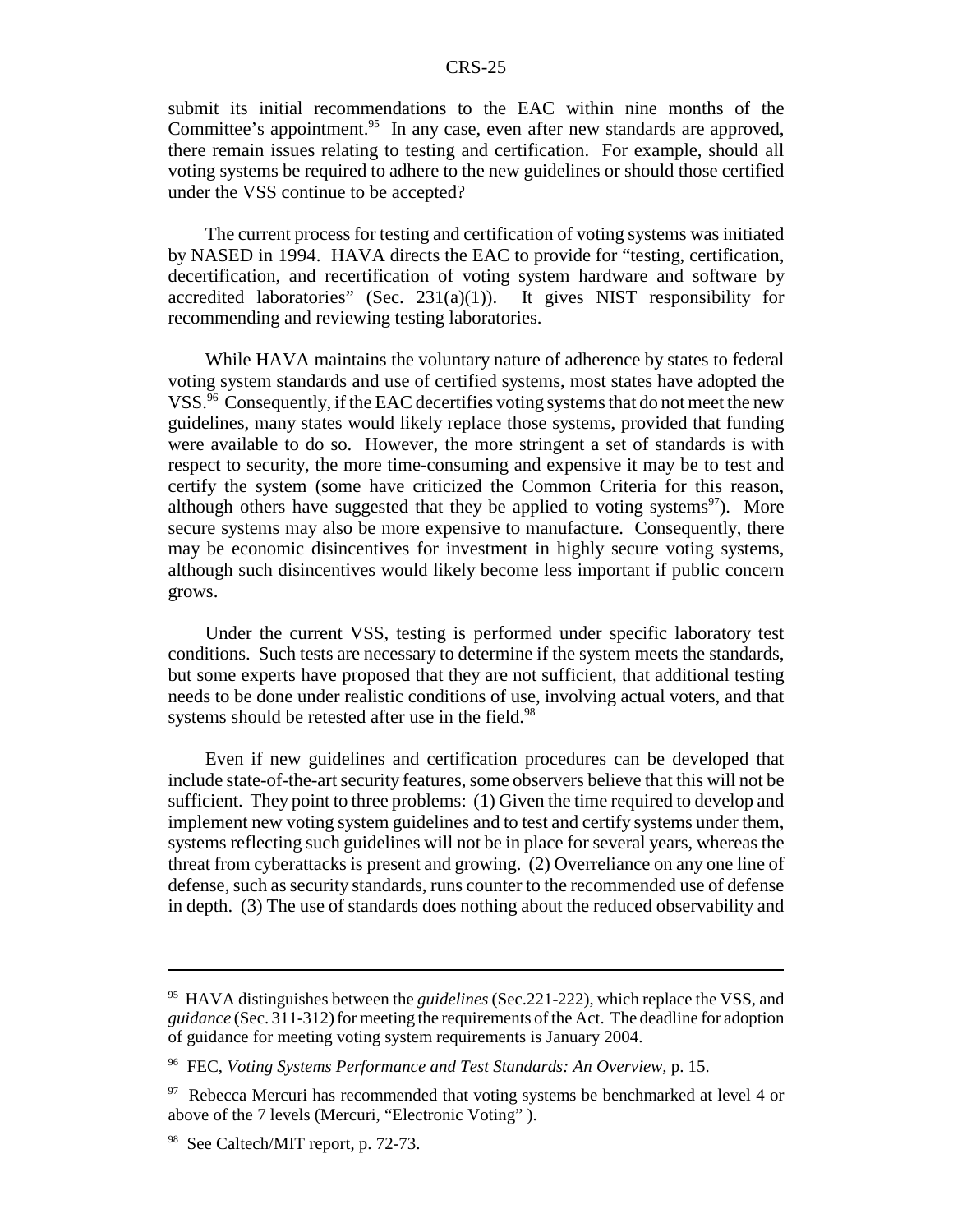submit its initial recommendations to the EAC within nine months of the Committee's appointment.<sup>95</sup> In any case, even after new standards are approved, there remain issues relating to testing and certification. For example, should all voting systems be required to adhere to the new guidelines or should those certified under the VSS continue to be accepted?

The current process for testing and certification of voting systems was initiated by NASED in 1994. HAVA directs the EAC to provide for "testing, certification, decertification, and recertification of voting system hardware and software by accredited laboratories" (Sec.  $231(a)(1)$ ). It gives NIST responsibility for accredited laboratories" (Sec.  $231(a)(1)$ ). recommending and reviewing testing laboratories.

While HAVA maintains the voluntary nature of adherence by states to federal voting system standards and use of certified systems, most states have adopted the VSS.<sup>96</sup> Consequently, if the EAC decertifies voting systems that do not meet the new guidelines, many states would likely replace those systems, provided that funding were available to do so. However, the more stringent a set of standards is with respect to security, the more time-consuming and expensive it may be to test and certify the system (some have criticized the Common Criteria for this reason, although others have suggested that they be applied to voting systems<sup>97</sup>). More secure systems may also be more expensive to manufacture. Consequently, there may be economic disincentives for investment in highly secure voting systems, although such disincentives would likely become less important if public concern grows.

Under the current VSS, testing is performed under specific laboratory test conditions. Such tests are necessary to determine if the system meets the standards, but some experts have proposed that they are not sufficient, that additional testing needs to be done under realistic conditions of use, involving actual voters, and that systems should be retested after use in the field.<sup>98</sup>

Even if new guidelines and certification procedures can be developed that include state-of-the-art security features, some observers believe that this will not be sufficient. They point to three problems: (1) Given the time required to develop and implement new voting system guidelines and to test and certify systems under them, systems reflecting such guidelines will not be in place for several years, whereas the threat from cyberattacks is present and growing. (2) Overreliance on any one line of defense, such as security standards, runs counter to the recommended use of defense in depth. (3) The use of standards does nothing about the reduced observability and

<sup>95</sup> HAVA distinguishes between the *guidelines* (Sec.221-222), which replace the VSS, and *guidance* (Sec. 311-312) for meeting the requirements of the Act. The deadline for adoption of guidance for meeting voting system requirements is January 2004.

<sup>96</sup> FEC, *Voting Systems Performance and Test Standards: An Overview,* p. 15.

 $97$  Rebecca Mercuri has recommended that voting systems be benchmarked at level 4 or above of the 7 levels (Mercuri, "Electronic Voting" ).

<sup>&</sup>lt;sup>98</sup> See Caltech/MIT report, p. 72-73.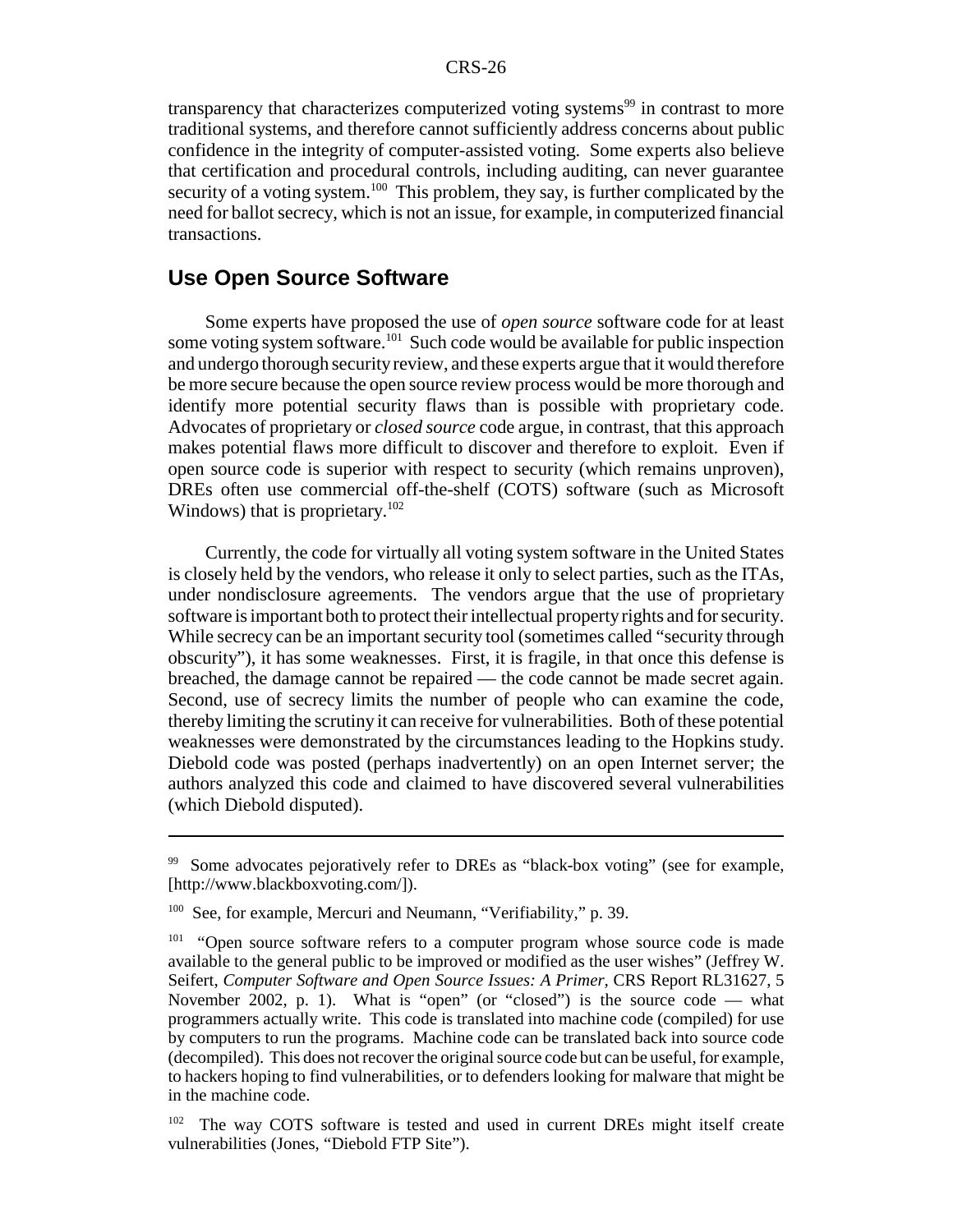transparency that characterizes computerized voting systems<sup>99</sup> in contrast to more traditional systems, and therefore cannot sufficiently address concerns about public confidence in the integrity of computer-assisted voting. Some experts also believe that certification and procedural controls, including auditing, can never guarantee security of a voting system.<sup>100</sup> This problem, they say, is further complicated by the need for ballot secrecy, which is not an issue, for example, in computerized financial transactions.

# **Use Open Source Software**

Some experts have proposed the use of *open source* software code for at least some voting system software.<sup>101</sup> Such code would be available for public inspection and undergo thorough security review, and these experts argue that it would therefore be more secure because the open source review process would be more thorough and identify more potential security flaws than is possible with proprietary code. Advocates of proprietary or *closed source* code argue, in contrast, that this approach makes potential flaws more difficult to discover and therefore to exploit. Even if open source code is superior with respect to security (which remains unproven), DREs often use commercial off-the-shelf (COTS) software (such as Microsoft Windows) that is proprietary.<sup>102</sup>

Currently, the code for virtually all voting system software in the United States is closely held by the vendors, who release it only to select parties, such as the ITAs, under nondisclosure agreements. The vendors argue that the use of proprietary software is important both to protect their intellectual property rights and for security. While secrecy can be an important security tool (sometimes called "security through obscurity"), it has some weaknesses. First, it is fragile, in that once this defense is breached, the damage cannot be repaired — the code cannot be made secret again. Second, use of secrecy limits the number of people who can examine the code, thereby limiting the scrutiny it can receive for vulnerabilities. Both of these potential weaknesses were demonstrated by the circumstances leading to the Hopkins study. Diebold code was posted (perhaps inadvertently) on an open Internet server; the authors analyzed this code and claimed to have discovered several vulnerabilities (which Diebold disputed).

<sup>&</sup>lt;sup>99</sup> Some advocates pejoratively refer to DREs as "black-box voting" (see for example, [http://www.blackboxvoting.com/]).

<sup>&</sup>lt;sup>100</sup> See, for example, Mercuri and Neumann, "Verifiability," p. 39.

 $101$  "Open source software refers to a computer program whose source code is made available to the general public to be improved or modified as the user wishes" (Jeffrey W. Seifert, *Computer Software and Open Source Issues: A Primer,* CRS Report RL31627, 5 November 2002, p. 1). What is "open" (or "closed") is the source code — what programmers actually write. This code is translated into machine code (compiled) for use by computers to run the programs. Machine code can be translated back into source code (decompiled). This does not recover the original source code but can be useful, for example, to hackers hoping to find vulnerabilities, or to defenders looking for malware that might be in the machine code.

<sup>&</sup>lt;sup>102</sup> The way COTS software is tested and used in current DREs might itself create vulnerabilities (Jones, "Diebold FTP Site").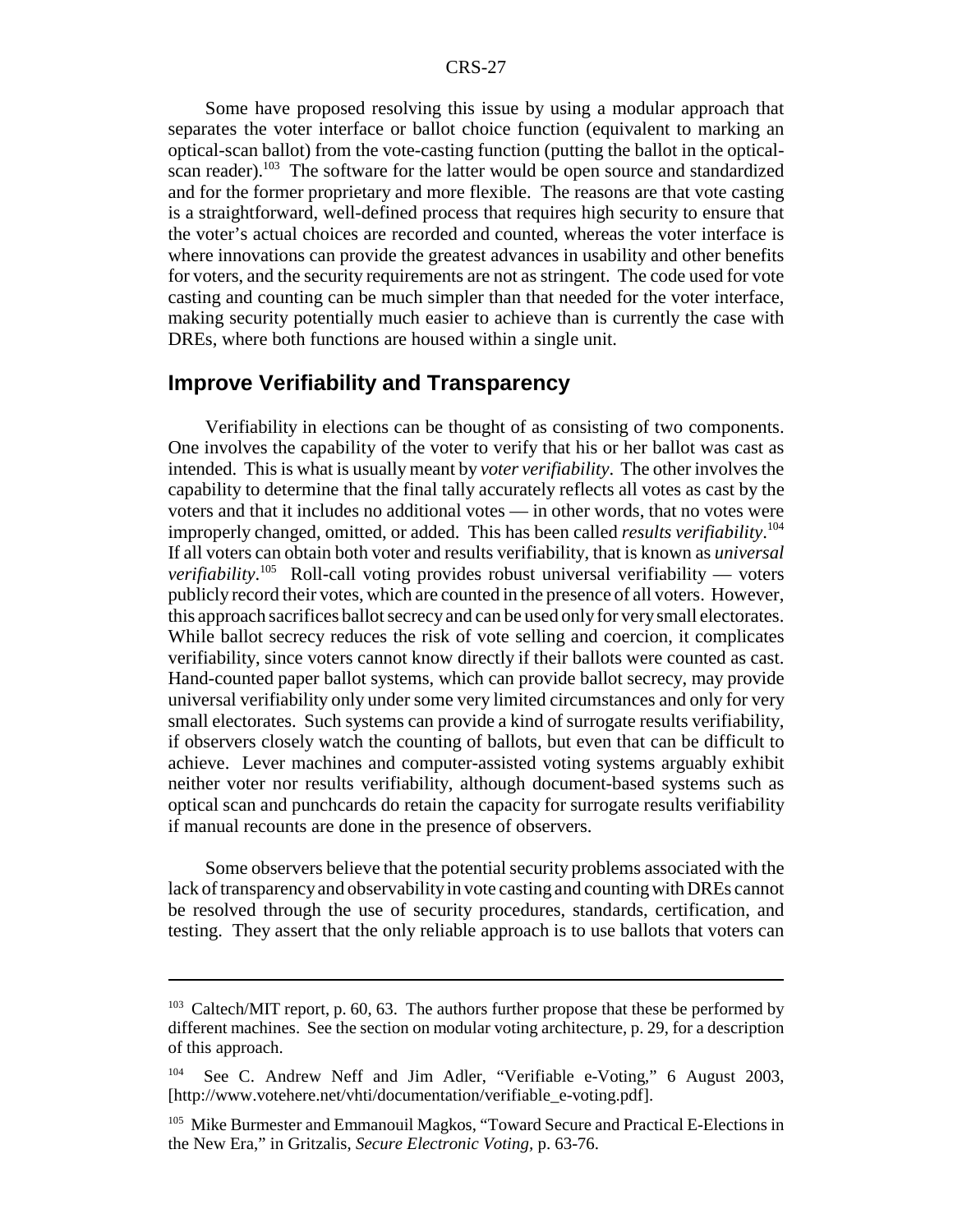Some have proposed resolving this issue by using a modular approach that separates the voter interface or ballot choice function (equivalent to marking an optical-scan ballot) from the vote-casting function (putting the ballot in the opticalscan reader).<sup>103</sup> The software for the latter would be open source and standardized and for the former proprietary and more flexible. The reasons are that vote casting is a straightforward, well-defined process that requires high security to ensure that the voter's actual choices are recorded and counted, whereas the voter interface is where innovations can provide the greatest advances in usability and other benefits for voters, and the security requirements are not as stringent. The code used for vote casting and counting can be much simpler than that needed for the voter interface, making security potentially much easier to achieve than is currently the case with DREs, where both functions are housed within a single unit.

### **Improve Verifiability and Transparency**

Verifiability in elections can be thought of as consisting of two components. One involves the capability of the voter to verify that his or her ballot was cast as intended. This is what is usually meant by *voter verifiability*. The other involves the capability to determine that the final tally accurately reflects all votes as cast by the voters and that it includes no additional votes — in other words, that no votes were improperly changed, omitted, or added. This has been called *results verifiability*. 104 If all voters can obtain both voter and results verifiability, that is known as *universal verifiability*. 105 Roll-call voting provides robust universal verifiability — voters publicly record their votes, which are counted in the presence of all voters. However, this approach sacrifices ballot secrecy and can be used only for very small electorates. While ballot secrecy reduces the risk of vote selling and coercion, it complicates verifiability, since voters cannot know directly if their ballots were counted as cast. Hand-counted paper ballot systems, which can provide ballot secrecy, may provide universal verifiability only under some very limited circumstances and only for very small electorates. Such systems can provide a kind of surrogate results verifiability, if observers closely watch the counting of ballots, but even that can be difficult to achieve. Lever machines and computer-assisted voting systems arguably exhibit neither voter nor results verifiability, although document-based systems such as optical scan and punchcards do retain the capacity for surrogate results verifiability if manual recounts are done in the presence of observers.

Some observers believe that the potential security problems associated with the lack of transparency and observability in vote casting and counting with DREs cannot be resolved through the use of security procedures, standards, certification, and testing. They assert that the only reliable approach is to use ballots that voters can

 $103$  Caltech/MIT report, p. 60, 63. The authors further propose that these be performed by different machines. See the section on modular voting architecture, p. 29, for a description of this approach.

<sup>&</sup>lt;sup>104</sup> See C. Andrew Neff and Jim Adler, "Verifiable e-Voting," 6 August 2003, [http://www.votehere.net/vhti/documentation/verifiable\_e-voting.pdf].

<sup>105</sup> Mike Burmester and Emmanouil Magkos, "Toward Secure and Practical E-Elections in the New Era," in Gritzalis, *Secure Electronic Voting,* p. 63-76.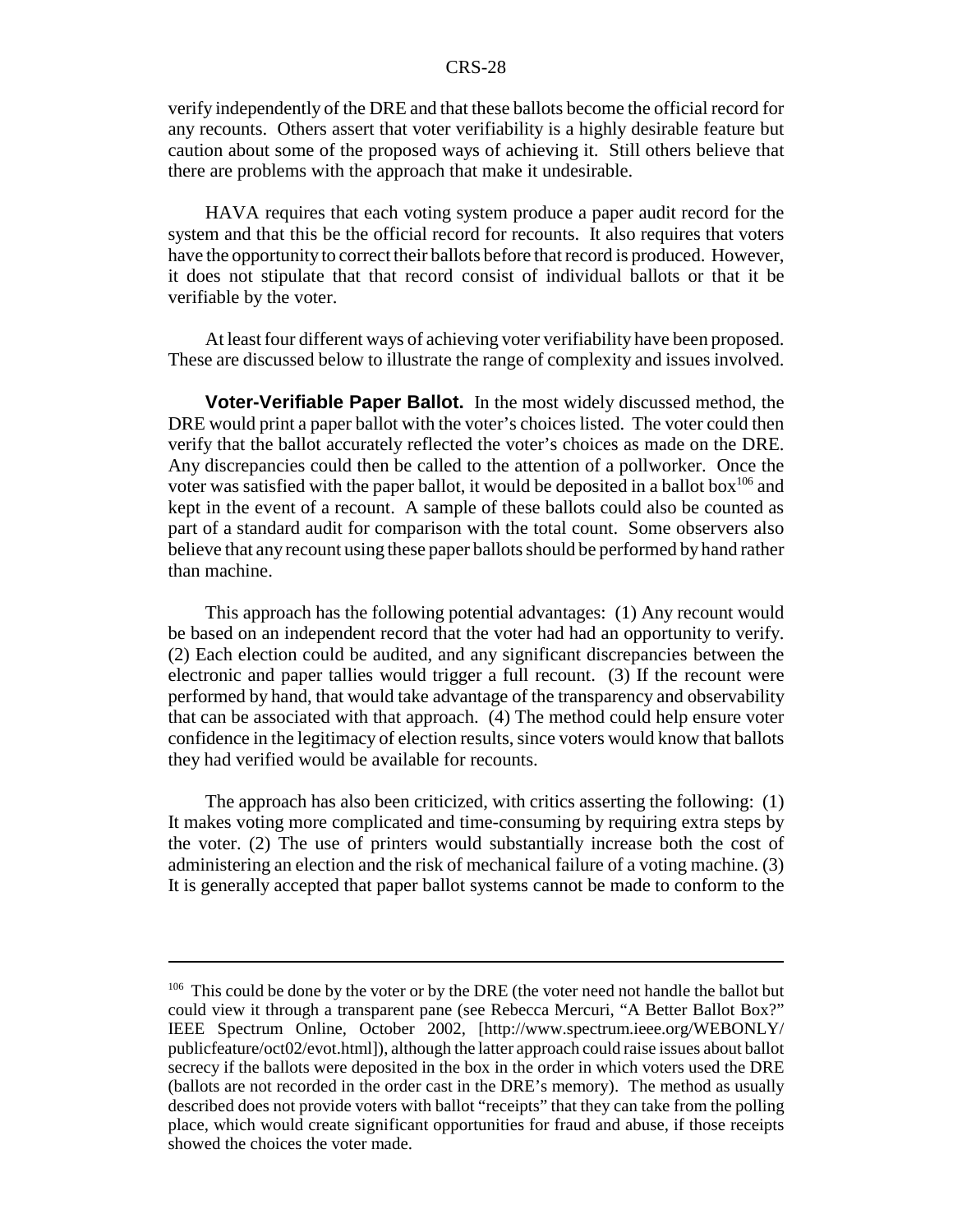verify independently of the DRE and that these ballots become the official record for any recounts. Others assert that voter verifiability is a highly desirable feature but caution about some of the proposed ways of achieving it. Still others believe that there are problems with the approach that make it undesirable.

HAVA requires that each voting system produce a paper audit record for the system and that this be the official record for recounts. It also requires that voters have the opportunity to correct their ballots before that record is produced. However, it does not stipulate that that record consist of individual ballots or that it be verifiable by the voter.

At least four different ways of achieving voter verifiability have been proposed. These are discussed below to illustrate the range of complexity and issues involved.

**Voter-Verifiable Paper Ballot.** In the most widely discussed method, the DRE would print a paper ballot with the voter's choices listed. The voter could then verify that the ballot accurately reflected the voter's choices as made on the DRE. Any discrepancies could then be called to the attention of a pollworker. Once the voter was satisfied with the paper ballot, it would be deposited in a ballot box<sup>106</sup> and kept in the event of a recount. A sample of these ballots could also be counted as part of a standard audit for comparison with the total count. Some observers also believe that any recount using these paper ballots should be performed by hand rather than machine.

This approach has the following potential advantages: (1) Any recount would be based on an independent record that the voter had had an opportunity to verify. (2) Each election could be audited, and any significant discrepancies between the electronic and paper tallies would trigger a full recount. (3) If the recount were performed by hand, that would take advantage of the transparency and observability that can be associated with that approach. (4) The method could help ensure voter confidence in the legitimacy of election results, since voters would know that ballots they had verified would be available for recounts.

The approach has also been criticized, with critics asserting the following: (1) It makes voting more complicated and time-consuming by requiring extra steps by the voter. (2) The use of printers would substantially increase both the cost of administering an election and the risk of mechanical failure of a voting machine. (3) It is generally accepted that paper ballot systems cannot be made to conform to the

<sup>&</sup>lt;sup>106</sup> This could be done by the voter or by the DRE (the voter need not handle the ballot but could view it through a transparent pane (see Rebecca Mercuri, "A Better Ballot Box?" IEEE Spectrum Online, October 2002, [http://www.spectrum.ieee.org/WEBONLY/ publicfeature/oct02/evot.html]), although the latter approach could raise issues about ballot secrecy if the ballots were deposited in the box in the order in which voters used the DRE (ballots are not recorded in the order cast in the DRE's memory). The method as usually described does not provide voters with ballot "receipts" that they can take from the polling place, which would create significant opportunities for fraud and abuse, if those receipts showed the choices the voter made.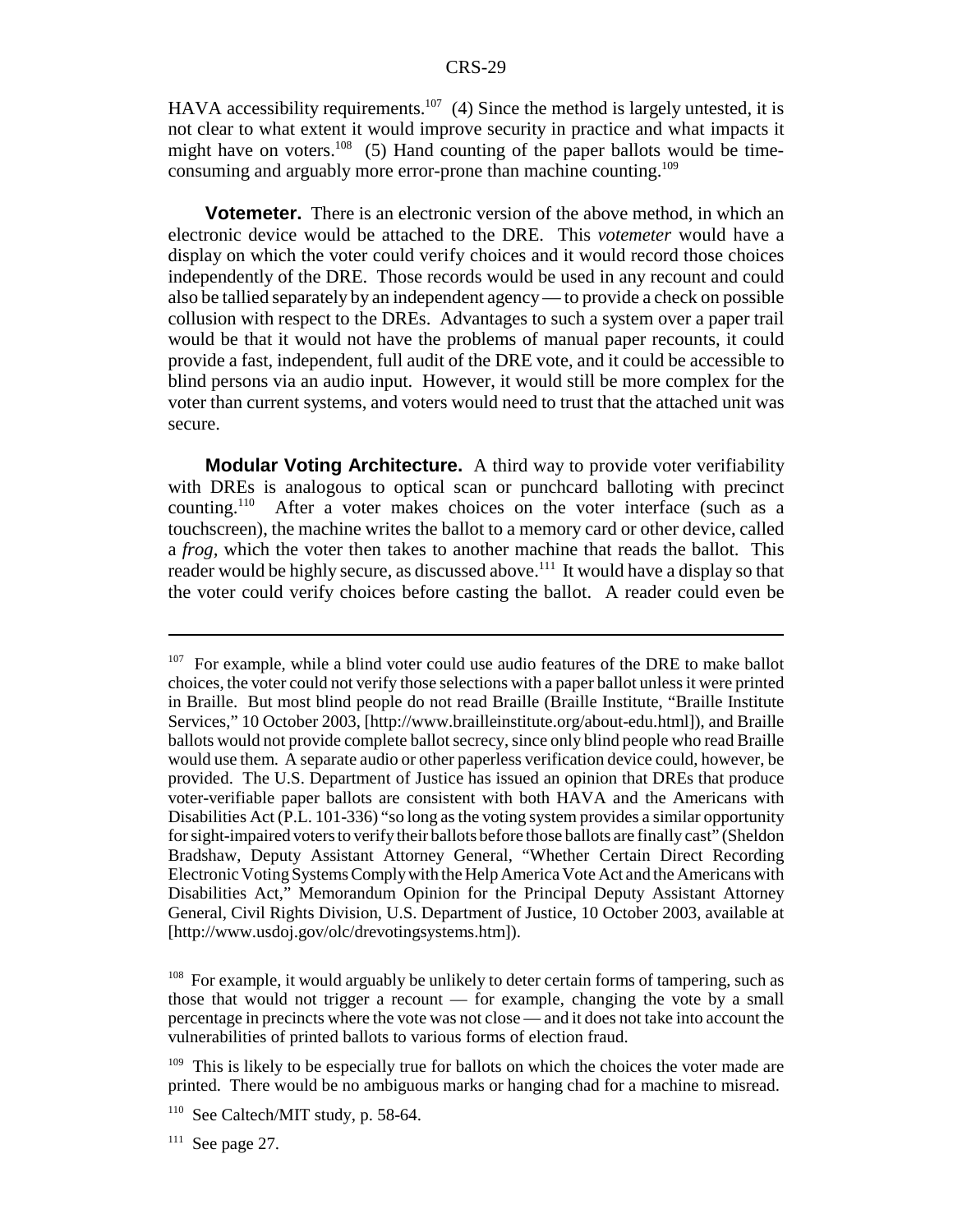HAVA accessibility requirements.<sup>107</sup> (4) Since the method is largely untested, it is not clear to what extent it would improve security in practice and what impacts it might have on voters.<sup>108</sup> (5) Hand counting of the paper ballots would be timeconsuming and arguably more error-prone than machine counting.<sup>109</sup>

**Votemeter.** There is an electronic version of the above method, in which an electronic device would be attached to the DRE. This *votemeter* would have a display on which the voter could verify choices and it would record those choices independently of the DRE. Those records would be used in any recount and could also be tallied separately by an independent agency — to provide a check on possible collusion with respect to the DREs. Advantages to such a system over a paper trail would be that it would not have the problems of manual paper recounts, it could provide a fast, independent, full audit of the DRE vote, and it could be accessible to blind persons via an audio input. However, it would still be more complex for the voter than current systems, and voters would need to trust that the attached unit was secure.

**Modular Voting Architecture.** A third way to provide voter verifiability with DREs is analogous to optical scan or punchcard balloting with precinct counting.110 After a voter makes choices on the voter interface (such as a touchscreen), the machine writes the ballot to a memory card or other device, called a *frog,* which the voter then takes to another machine that reads the ballot. This reader would be highly secure, as discussed above.<sup>111</sup> It would have a display so that the voter could verify choices before casting the ballot. A reader could even be

<sup>&</sup>lt;sup>107</sup> For example, while a blind voter could use audio features of the DRE to make ballot choices, the voter could not verify those selections with a paper ballot unless it were printed in Braille. But most blind people do not read Braille (Braille Institute, "Braille Institute Services," 10 October 2003, [http://www.brailleinstitute.org/about-edu.html]), and Braille ballots would not provide complete ballot secrecy, since only blind people who read Braille would use them. A separate audio or other paperless verification device could, however, be provided. The U.S. Department of Justice has issued an opinion that DREs that produce voter-verifiable paper ballots are consistent with both HAVA and the Americans with Disabilities Act (P.L. 101-336) "so long as the voting system provides a similar opportunity for sight-impaired voters to verify their ballots before those ballots are finally cast" (Sheldon Bradshaw, Deputy Assistant Attorney General, "Whether Certain Direct Recording Electronic Voting Systems Comply with the Help America Vote Act and the Americans with Disabilities Act," Memorandum Opinion for the Principal Deputy Assistant Attorney General, Civil Rights Division, U.S. Department of Justice, 10 October 2003, available at [http://www.usdoj.gov/olc/drevotingsystems.htm]).

 $108$  For example, it would arguably be unlikely to deter certain forms of tampering, such as those that would not trigger a recount — for example, changing the vote by a small percentage in precincts where the vote was not close — and it does not take into account the vulnerabilities of printed ballots to various forms of election fraud.

 $109$  This is likely to be especially true for ballots on which the choices the voter made are printed. There would be no ambiguous marks or hanging chad for a machine to misread.

 $110$  See Caltech/MIT study, p. 58-64.

 $111$  See page 27.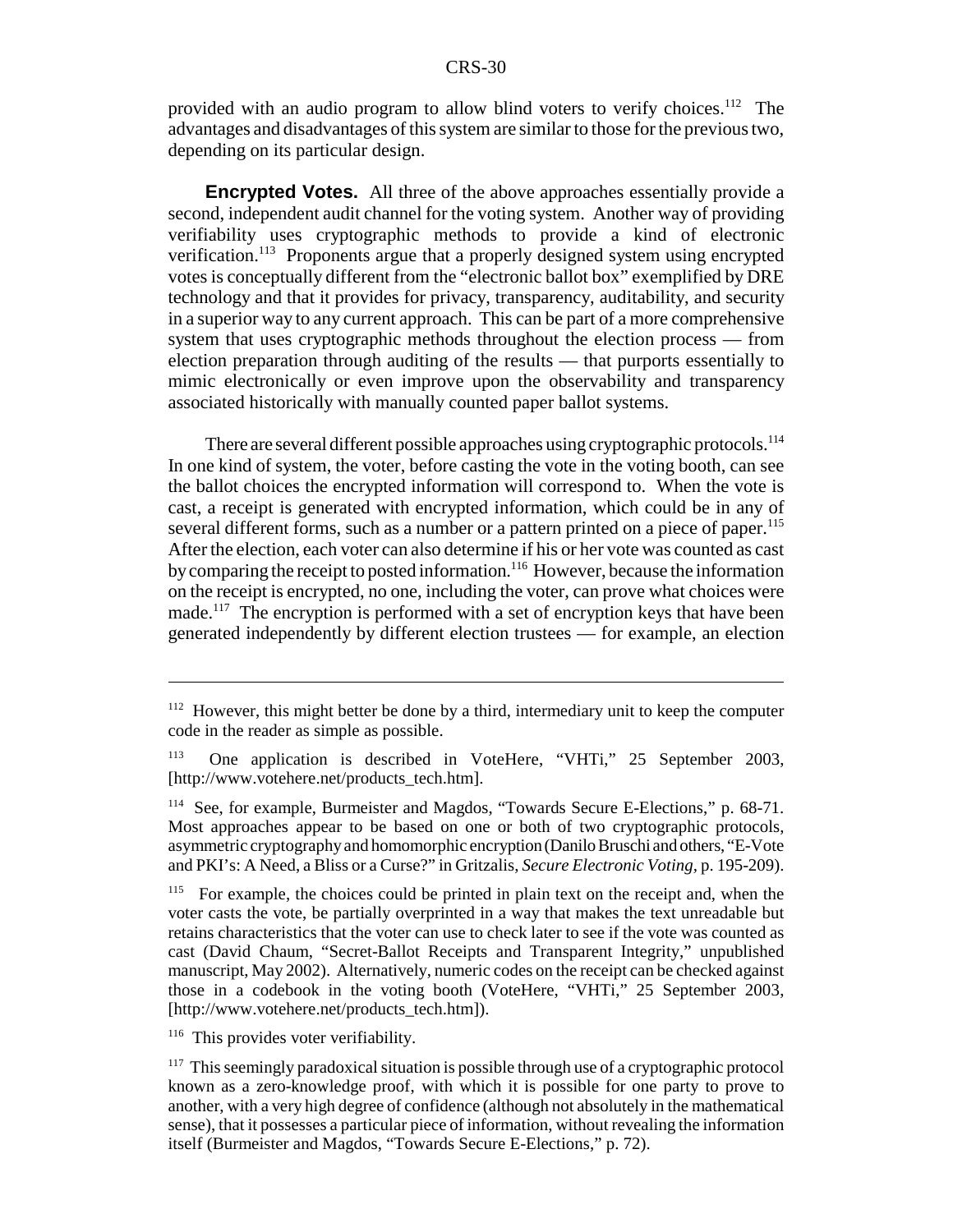provided with an audio program to allow blind voters to verify choices.<sup>112</sup> The advantages and disadvantages of this system are similar to those for the previous two, depending on its particular design.

**Encrypted Votes.** All three of the above approaches essentially provide a second, independent audit channel for the voting system. Another way of providing verifiability uses cryptographic methods to provide a kind of electronic verification.<sup>113</sup> Proponents argue that a properly designed system using encrypted votes is conceptually different from the "electronic ballot box" exemplified by DRE technology and that it provides for privacy, transparency, auditability, and security in a superior way to any current approach. This can be part of a more comprehensive system that uses cryptographic methods throughout the election process — from election preparation through auditing of the results — that purports essentially to mimic electronically or even improve upon the observability and transparency associated historically with manually counted paper ballot systems.

There are several different possible approaches using cryptographic protocols.<sup>114</sup> In one kind of system, the voter, before casting the vote in the voting booth, can see the ballot choices the encrypted information will correspond to. When the vote is cast, a receipt is generated with encrypted information, which could be in any of several different forms, such as a number or a pattern printed on a piece of paper.<sup>115</sup> After the election, each voter can also determine if his or her vote was counted as cast by comparing the receipt to posted information.<sup>116</sup> However, because the information on the receipt is encrypted, no one, including the voter, can prove what choices were made.<sup>117</sup> The encryption is performed with a set of encryption keys that have been generated independently by different election trustees — for example, an election

<sup>116</sup> This provides voter verifiability.

 $112$  However, this might better be done by a third, intermediary unit to keep the computer code in the reader as simple as possible.

<sup>113</sup> One application is described in VoteHere, "VHTi," 25 September 2003, [http://www.votehere.net/products\_tech.htm].

<sup>114</sup> See, for example, Burmeister and Magdos, "Towards Secure E-Elections," p. 68-71. Most approaches appear to be based on one or both of two cryptographic protocols, asymmetric cryptography and homomorphic encryption (Danilo Bruschi and others, "E-Vote and PKI's: A Need, a Bliss or a Curse?" in Gritzalis, *Secure Electronic Voting,* p. 195-209).

<sup>&</sup>lt;sup>115</sup> For example, the choices could be printed in plain text on the receipt and, when the voter casts the vote, be partially overprinted in a way that makes the text unreadable but retains characteristics that the voter can use to check later to see if the vote was counted as cast (David Chaum, "Secret-Ballot Receipts and Transparent Integrity," unpublished manuscript, May 2002). Alternatively, numeric codes on the receipt can be checked against those in a codebook in the voting booth (VoteHere, "VHTi," 25 September 2003, [http://www.votehere.net/products\_tech.htm]).

<sup>&</sup>lt;sup>117</sup> This seemingly paradoxical situation is possible through use of a cryptographic protocol known as a zero-knowledge proof, with which it is possible for one party to prove to another, with a very high degree of confidence (although not absolutely in the mathematical sense), that it possesses a particular piece of information, without revealing the information itself (Burmeister and Magdos, "Towards Secure E-Elections," p. 72).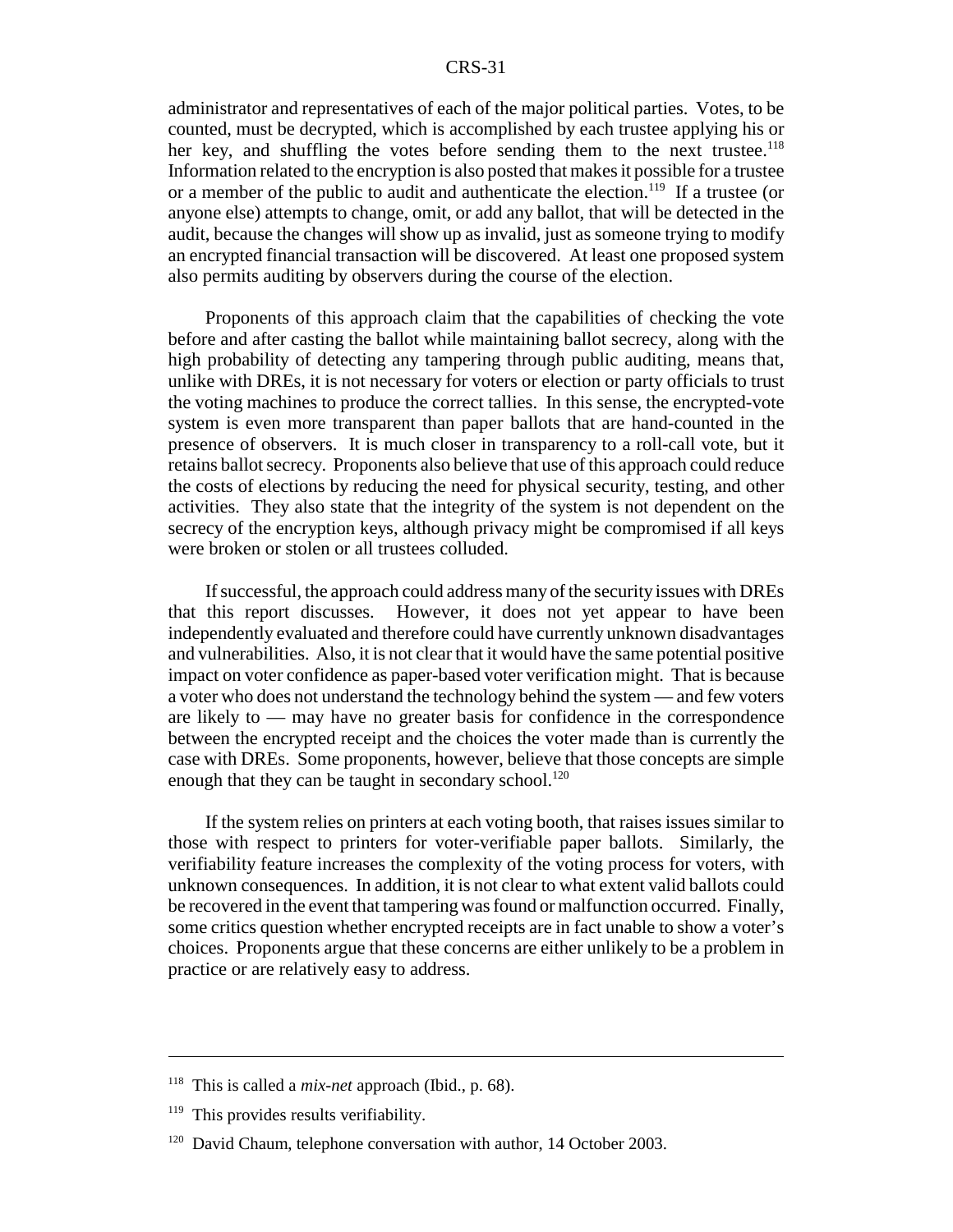administrator and representatives of each of the major political parties. Votes, to be counted, must be decrypted, which is accomplished by each trustee applying his or her key, and shuffling the votes before sending them to the next trustee.<sup>118</sup> Information related to the encryption is also posted that makes it possible for a trustee or a member of the public to audit and authenticate the election.<sup>119</sup> If a trustee (or anyone else) attempts to change, omit, or add any ballot, that will be detected in the audit, because the changes will show up as invalid, just as someone trying to modify an encrypted financial transaction will be discovered. At least one proposed system also permits auditing by observers during the course of the election.

Proponents of this approach claim that the capabilities of checking the vote before and after casting the ballot while maintaining ballot secrecy, along with the high probability of detecting any tampering through public auditing, means that, unlike with DREs, it is not necessary for voters or election or party officials to trust the voting machines to produce the correct tallies. In this sense, the encrypted-vote system is even more transparent than paper ballots that are hand-counted in the presence of observers. It is much closer in transparency to a roll-call vote, but it retains ballot secrecy. Proponents also believe that use of this approach could reduce the costs of elections by reducing the need for physical security, testing, and other activities. They also state that the integrity of the system is not dependent on the secrecy of the encryption keys, although privacy might be compromised if all keys were broken or stolen or all trustees colluded.

If successful, the approach could address many of the security issues with DREs that this report discusses. However, it does not yet appear to have been independently evaluated and therefore could have currently unknown disadvantages and vulnerabilities. Also, it is not clear that it would have the same potential positive impact on voter confidence as paper-based voter verification might. That is because a voter who does not understand the technology behind the system — and few voters are likely to — may have no greater basis for confidence in the correspondence between the encrypted receipt and the choices the voter made than is currently the case with DREs. Some proponents, however, believe that those concepts are simple enough that they can be taught in secondary school.<sup>120</sup>

If the system relies on printers at each voting booth, that raises issues similar to those with respect to printers for voter-verifiable paper ballots. Similarly, the verifiability feature increases the complexity of the voting process for voters, with unknown consequences. In addition, it is not clear to what extent valid ballots could be recovered in the event that tampering was found or malfunction occurred. Finally, some critics question whether encrypted receipts are in fact unable to show a voter's choices. Proponents argue that these concerns are either unlikely to be a problem in practice or are relatively easy to address.

<sup>118</sup> This is called a *mix-net* approach (Ibid., p. 68).

<sup>&</sup>lt;sup>119</sup> This provides results verifiability.

<sup>&</sup>lt;sup>120</sup> David Chaum, telephone conversation with author, 14 October 2003.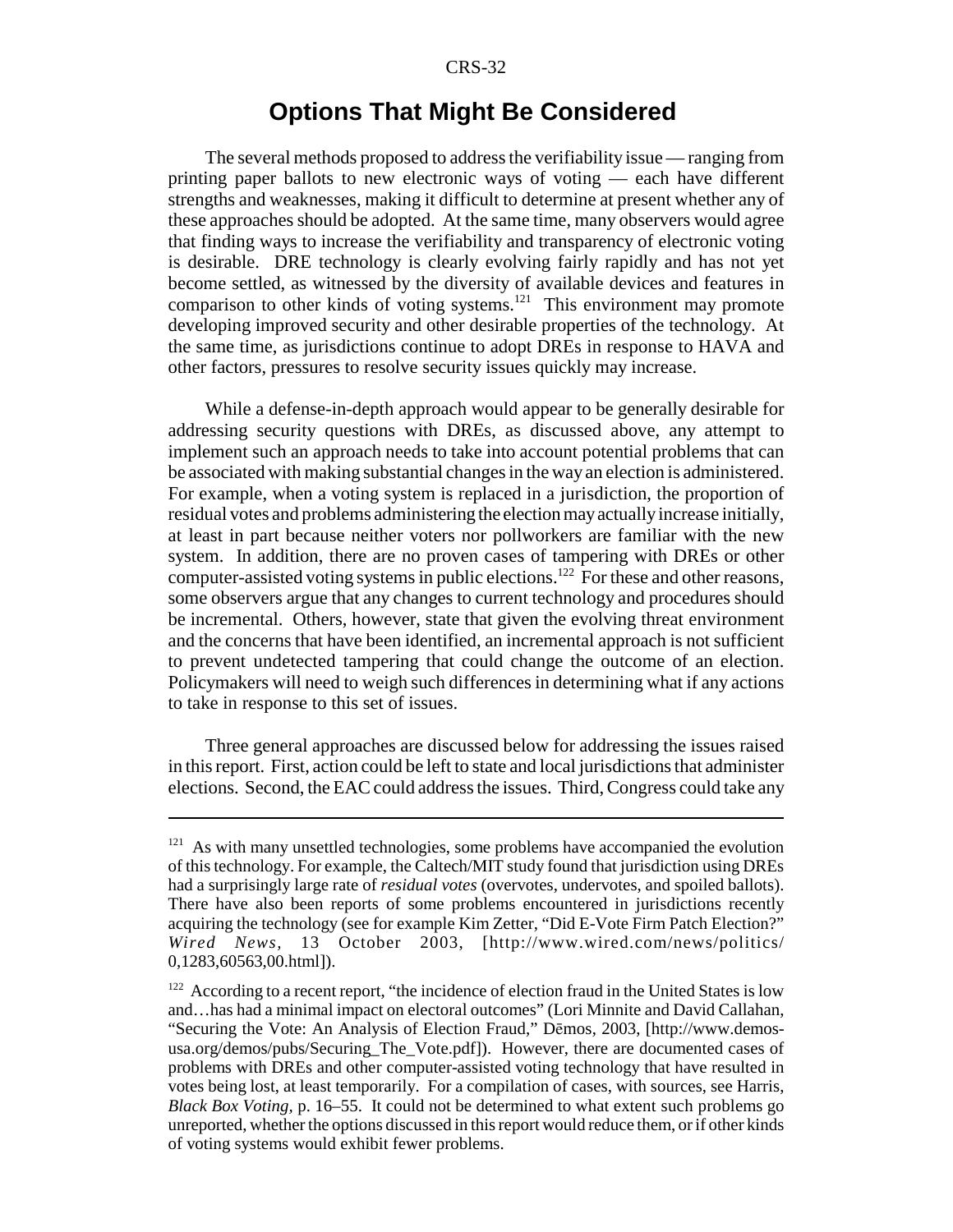# **Options That Might Be Considered**

The several methods proposed to address the verifiability issue — ranging from printing paper ballots to new electronic ways of voting — each have different strengths and weaknesses, making it difficult to determine at present whether any of these approaches should be adopted. At the same time, many observers would agree that finding ways to increase the verifiability and transparency of electronic voting is desirable. DRE technology is clearly evolving fairly rapidly and has not yet become settled, as witnessed by the diversity of available devices and features in comparison to other kinds of voting systems.<sup>121</sup> This environment may promote developing improved security and other desirable properties of the technology. At the same time, as jurisdictions continue to adopt DREs in response to HAVA and other factors, pressures to resolve security issues quickly may increase.

While a defense-in-depth approach would appear to be generally desirable for addressing security questions with DREs, as discussed above, any attempt to implement such an approach needs to take into account potential problems that can be associated with making substantial changes in the way an election is administered. For example, when a voting system is replaced in a jurisdiction, the proportion of residual votes and problems administering the election may actually increase initially, at least in part because neither voters nor pollworkers are familiar with the new system. In addition, there are no proven cases of tampering with DREs or other computer-assisted voting systems in public elections.122 For these and other reasons, some observers argue that any changes to current technology and procedures should be incremental. Others, however, state that given the evolving threat environment and the concerns that have been identified, an incremental approach is not sufficient to prevent undetected tampering that could change the outcome of an election. Policymakers will need to weigh such differences in determining what if any actions to take in response to this set of issues.

Three general approaches are discussed below for addressing the issues raised in this report. First, action could be left to state and local jurisdictions that administer elections. Second, the EAC could address the issues. Third, Congress could take any

 $121$  As with many unsettled technologies, some problems have accompanied the evolution of this technology. For example, the Caltech/MIT study found that jurisdiction using DREs had a surprisingly large rate of *residual votes* (overvotes, undervotes, and spoiled ballots). There have also been reports of some problems encountered in jurisdictions recently acquiring the technology (see for example Kim Zetter, "Did E-Vote Firm Patch Election?" *Wired News,* 13 October 2003, [http://www.wired.com/news/politics/ 0,1283,60563,00.html]).

 $122$  According to a recent report, "the incidence of election fraud in the United States is low and…has had a minimal impact on electoral outcomes" (Lori Minnite and David Callahan, "Securing the Vote: An Analysis of Election Fraud," Demos, 2003, [http://www.demosusa.org/demos/pubs/Securing\_The\_Vote.pdf]). However, there are documented cases of problems with DREs and other computer-assisted voting technology that have resulted in votes being lost, at least temporarily. For a compilation of cases, with sources, see Harris, *Black Box Voting,* p. 16–55. It could not be determined to what extent such problems go unreported, whether the options discussed in this report would reduce them, or if other kinds of voting systems would exhibit fewer problems.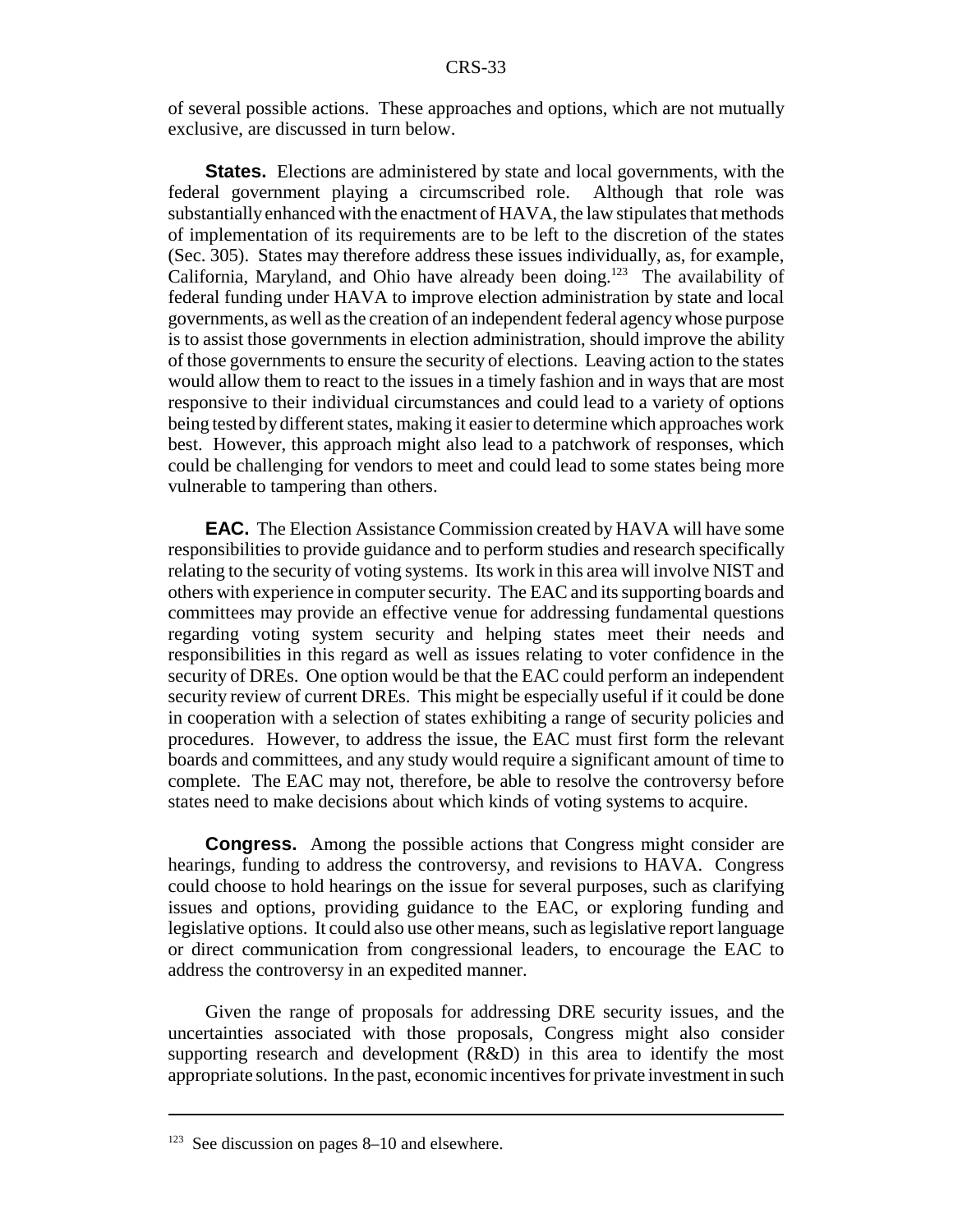of several possible actions. These approaches and options, which are not mutually exclusive, are discussed in turn below.

**States.** Elections are administered by state and local governments, with the federal government playing a circumscribed role. Although that role was substantially enhanced with the enactment of HAVA, the law stipulates that methods of implementation of its requirements are to be left to the discretion of the states (Sec. 305). States may therefore address these issues individually, as, for example, California, Maryland, and Ohio have already been doing.<sup>123</sup> The availability of federal funding under HAVA to improve election administration by state and local governments, as well as the creation of an independent federal agency whose purpose is to assist those governments in election administration, should improve the ability of those governments to ensure the security of elections. Leaving action to the states would allow them to react to the issues in a timely fashion and in ways that are most responsive to their individual circumstances and could lead to a variety of options being tested by different states, making it easier to determine which approaches work best. However, this approach might also lead to a patchwork of responses, which could be challenging for vendors to meet and could lead to some states being more vulnerable to tampering than others.

**EAC.** The Election Assistance Commission created by HAVA will have some responsibilities to provide guidance and to perform studies and research specifically relating to the security of voting systems. Its work in this area will involve NIST and others with experience in computer security. The EAC and its supporting boards and committees may provide an effective venue for addressing fundamental questions regarding voting system security and helping states meet their needs and responsibilities in this regard as well as issues relating to voter confidence in the security of DREs. One option would be that the EAC could perform an independent security review of current DREs. This might be especially useful if it could be done in cooperation with a selection of states exhibiting a range of security policies and procedures. However, to address the issue, the EAC must first form the relevant boards and committees, and any study would require a significant amount of time to complete. The EAC may not, therefore, be able to resolve the controversy before states need to make decisions about which kinds of voting systems to acquire.

**Congress.** Among the possible actions that Congress might consider are hearings, funding to address the controversy, and revisions to HAVA. Congress could choose to hold hearings on the issue for several purposes, such as clarifying issues and options, providing guidance to the EAC, or exploring funding and legislative options. It could also use other means, such as legislative report language or direct communication from congressional leaders, to encourage the EAC to address the controversy in an expedited manner.

Given the range of proposals for addressing DRE security issues, and the uncertainties associated with those proposals, Congress might also consider supporting research and development  $(R&D)$  in this area to identify the most appropriate solutions. In the past, economic incentives for private investment in such

 $123$  See discussion on pages 8–10 and elsewhere.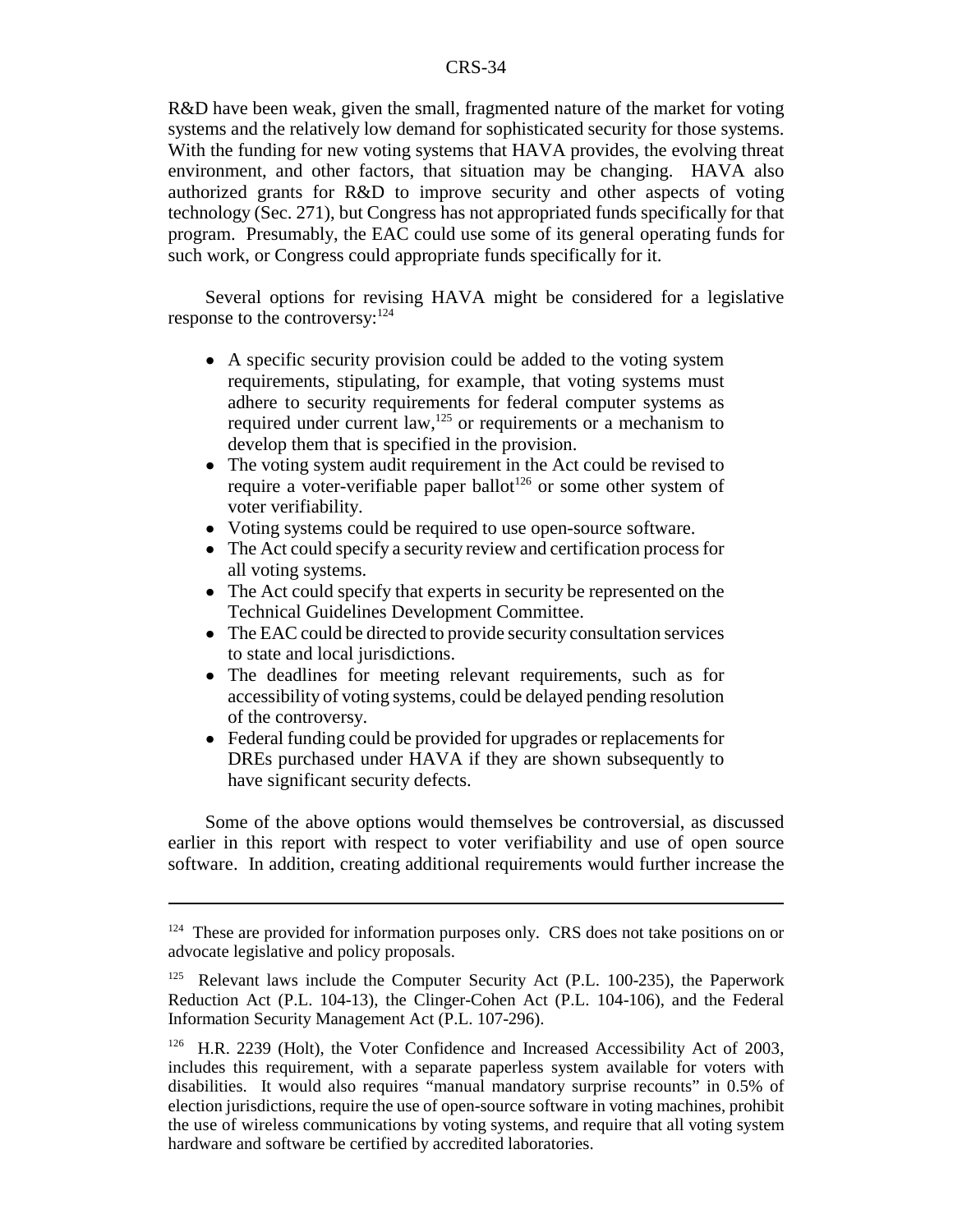R&D have been weak, given the small, fragmented nature of the market for voting systems and the relatively low demand for sophisticated security for those systems. With the funding for new voting systems that HAVA provides, the evolving threat environment, and other factors, that situation may be changing. HAVA also authorized grants for R&D to improve security and other aspects of voting technology (Sec. 271), but Congress has not appropriated funds specifically for that program. Presumably, the EAC could use some of its general operating funds for such work, or Congress could appropriate funds specifically for it.

Several options for revising HAVA might be considered for a legislative response to the controversy:  $124$ 

- A specific security provision could be added to the voting system requirements, stipulating, for example, that voting systems must adhere to security requirements for federal computer systems as required under current law,<sup>125</sup> or requirements or a mechanism to develop them that is specified in the provision.
- The voting system audit requirement in the Act could be revised to require a voter-verifiable paper ballot<sup>126</sup> or some other system of voter verifiability.
- Voting systems could be required to use open-source software.
- The Act could specify a security review and certification process for all voting systems.
- The Act could specify that experts in security be represented on the Technical Guidelines Development Committee.
- The EAC could be directed to provide security consultation services to state and local jurisdictions.
- The deadlines for meeting relevant requirements, such as for accessibility of voting systems, could be delayed pending resolution of the controversy.
- Federal funding could be provided for upgrades or replacements for DREs purchased under HAVA if they are shown subsequently to have significant security defects.

Some of the above options would themselves be controversial, as discussed earlier in this report with respect to voter verifiability and use of open source software. In addition, creating additional requirements would further increase the

<sup>&</sup>lt;sup>124</sup> These are provided for information purposes only. CRS does not take positions on or advocate legislative and policy proposals.

 $125$  Relevant laws include the Computer Security Act (P.L. 100-235), the Paperwork Reduction Act (P.L. 104-13), the Clinger-Cohen Act (P.L. 104-106), and the Federal Information Security Management Act (P.L. 107-296).

<sup>&</sup>lt;sup>126</sup> H.R. 2239 (Holt), the Voter Confidence and Increased Accessibility Act of 2003, includes this requirement, with a separate paperless system available for voters with disabilities. It would also requires "manual mandatory surprise recounts" in 0.5% of election jurisdictions, require the use of open-source software in voting machines, prohibit the use of wireless communications by voting systems, and require that all voting system hardware and software be certified by accredited laboratories.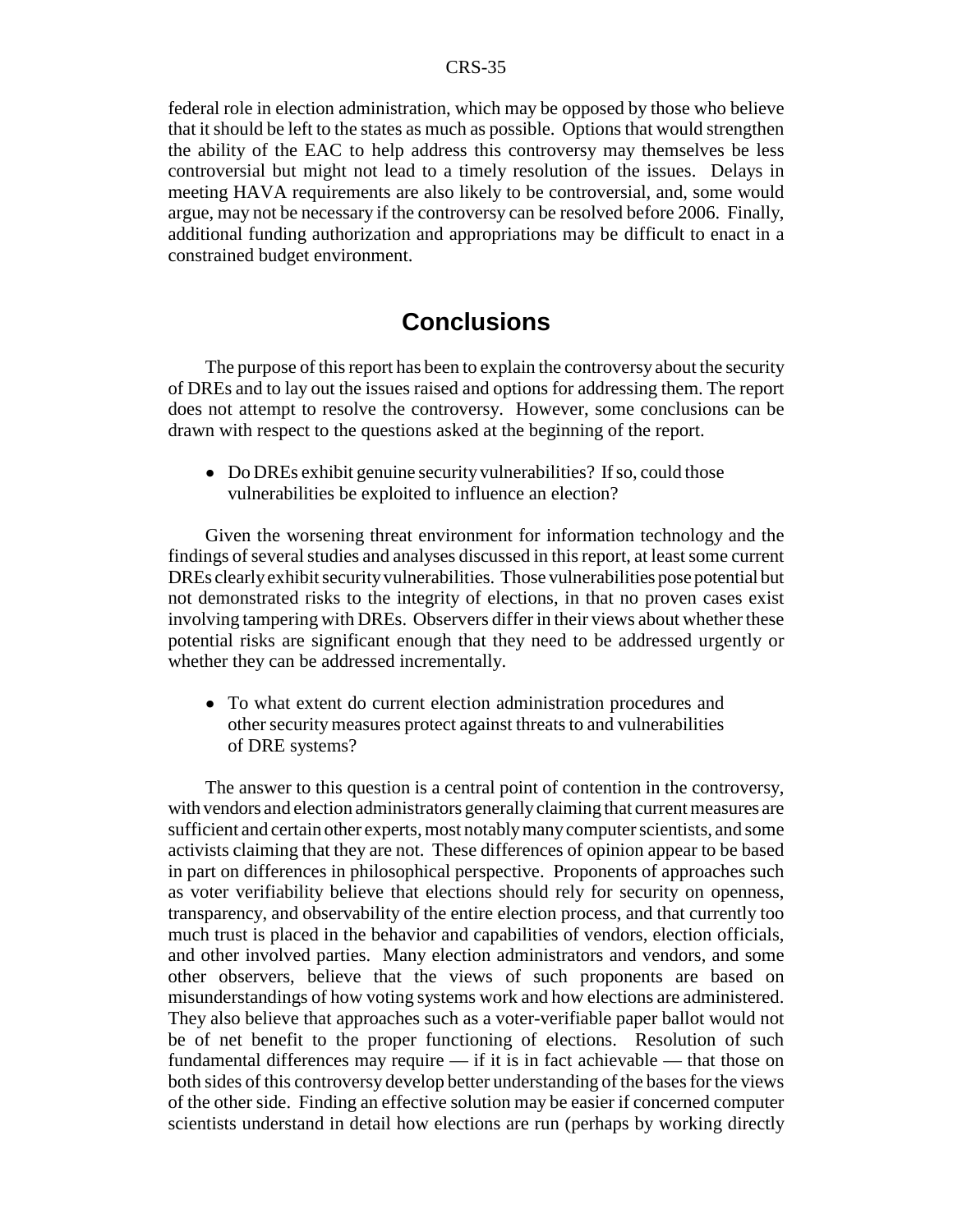federal role in election administration, which may be opposed by those who believe that it should be left to the states as much as possible. Options that would strengthen the ability of the EAC to help address this controversy may themselves be less controversial but might not lead to a timely resolution of the issues. Delays in meeting HAVA requirements are also likely to be controversial, and, some would argue, may not be necessary if the controversy can be resolved before 2006. Finally, additional funding authorization and appropriations may be difficult to enact in a constrained budget environment.

# **Conclusions**

The purpose of this report has been to explain the controversy about the security of DREs and to lay out the issues raised and options for addressing them. The report does not attempt to resolve the controversy. However, some conclusions can be drawn with respect to the questions asked at the beginning of the report.

• Do DREs exhibit genuine security vulnerabilities? If so, could those vulnerabilities be exploited to influence an election?

Given the worsening threat environment for information technology and the findings of several studies and analyses discussed in this report, at least some current DREs clearly exhibit security vulnerabilities. Those vulnerabilities pose potential but not demonstrated risks to the integrity of elections, in that no proven cases exist involving tampering with DREs. Observers differ in their views about whether these potential risks are significant enough that they need to be addressed urgently or whether they can be addressed incrementally.

• To what extent do current election administration procedures and other security measures protect against threats to and vulnerabilities of DRE systems?

The answer to this question is a central point of contention in the controversy, with vendors and election administrators generally claiming that current measures are sufficient and certain other experts, most notably many computer scientists, and some activists claiming that they are not. These differences of opinion appear to be based in part on differences in philosophical perspective. Proponents of approaches such as voter verifiability believe that elections should rely for security on openness, transparency, and observability of the entire election process, and that currently too much trust is placed in the behavior and capabilities of vendors, election officials, and other involved parties. Many election administrators and vendors, and some other observers, believe that the views of such proponents are based on misunderstandings of how voting systems work and how elections are administered. They also believe that approaches such as a voter-verifiable paper ballot would not be of net benefit to the proper functioning of elections. Resolution of such fundamental differences may require — if it is in fact achievable — that those on both sides of this controversy develop better understanding of the bases for the views of the other side. Finding an effective solution may be easier if concerned computer scientists understand in detail how elections are run (perhaps by working directly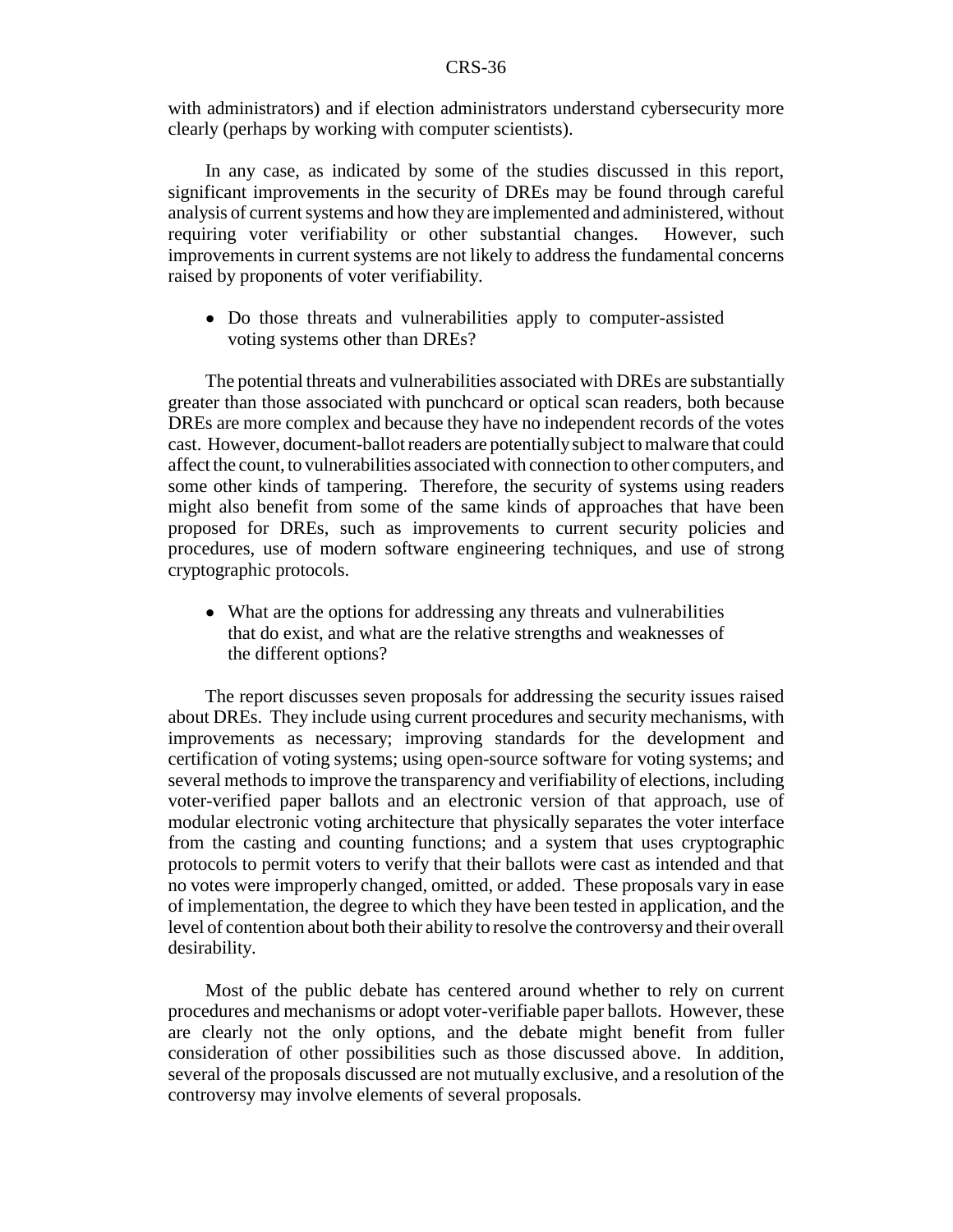with administrators) and if election administrators understand cybersecurity more clearly (perhaps by working with computer scientists).

In any case, as indicated by some of the studies discussed in this report, significant improvements in the security of DREs may be found through careful analysis of current systems and how they are implemented and administered, without requiring voter verifiability or other substantial changes. However, such improvements in current systems are not likely to address the fundamental concerns raised by proponents of voter verifiability.

• Do those threats and vulnerabilities apply to computer-assisted voting systems other than DREs?

The potential threats and vulnerabilities associated with DREs are substantially greater than those associated with punchcard or optical scan readers, both because DREs are more complex and because they have no independent records of the votes cast. However, document-ballot readers are potentially subject to malware that could affect the count, to vulnerabilities associated with connection to other computers, and some other kinds of tampering. Therefore, the security of systems using readers might also benefit from some of the same kinds of approaches that have been proposed for DREs, such as improvements to current security policies and procedures, use of modern software engineering techniques, and use of strong cryptographic protocols.

• What are the options for addressing any threats and vulnerabilities that do exist, and what are the relative strengths and weaknesses of the different options?

The report discusses seven proposals for addressing the security issues raised about DREs. They include using current procedures and security mechanisms, with improvements as necessary; improving standards for the development and certification of voting systems; using open-source software for voting systems; and several methods to improve the transparency and verifiability of elections, including voter-verified paper ballots and an electronic version of that approach, use of modular electronic voting architecture that physically separates the voter interface from the casting and counting functions; and a system that uses cryptographic protocols to permit voters to verify that their ballots were cast as intended and that no votes were improperly changed, omitted, or added. These proposals vary in ease of implementation, the degree to which they have been tested in application, and the level of contention about both their ability to resolve the controversy and their overall desirability.

Most of the public debate has centered around whether to rely on current procedures and mechanisms or adopt voter-verifiable paper ballots. However, these are clearly not the only options, and the debate might benefit from fuller consideration of other possibilities such as those discussed above. In addition, several of the proposals discussed are not mutually exclusive, and a resolution of the controversy may involve elements of several proposals.